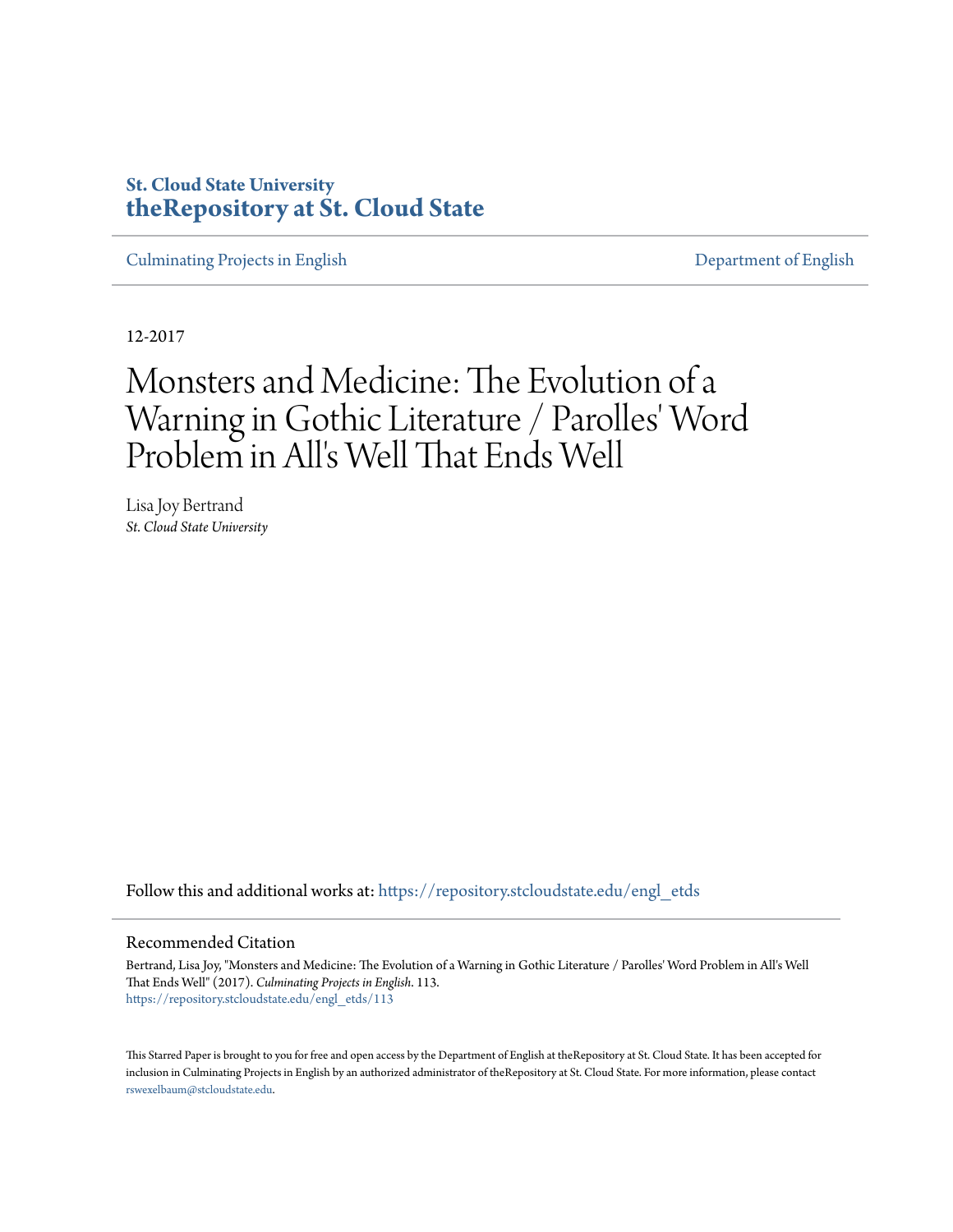# **St. Cloud State University [theRepository at St. Cloud State](https://repository.stcloudstate.edu?utm_source=repository.stcloudstate.edu%2Fengl_etds%2F113&utm_medium=PDF&utm_campaign=PDFCoverPages)**

[Culminating Projects in English](https://repository.stcloudstate.edu/engl_etds?utm_source=repository.stcloudstate.edu%2Fengl_etds%2F113&utm_medium=PDF&utm_campaign=PDFCoverPages) [Department of English](https://repository.stcloudstate.edu/engl?utm_source=repository.stcloudstate.edu%2Fengl_etds%2F113&utm_medium=PDF&utm_campaign=PDFCoverPages)

12-2017

# Monsters and Medicine: The Evolution of a Warning in Gothic Literature / Parolles' Word Problem in All's Well That Ends Well

Lisa Joy Bertrand *St. Cloud State University*

Follow this and additional works at: [https://repository.stcloudstate.edu/engl\\_etds](https://repository.stcloudstate.edu/engl_etds?utm_source=repository.stcloudstate.edu%2Fengl_etds%2F113&utm_medium=PDF&utm_campaign=PDFCoverPages)

#### Recommended Citation

Bertrand, Lisa Joy, "Monsters and Medicine: The Evolution of a Warning in Gothic Literature / Parolles' Word Problem in All's Well That Ends Well" (2017). *Culminating Projects in English*. 113. [https://repository.stcloudstate.edu/engl\\_etds/113](https://repository.stcloudstate.edu/engl_etds/113?utm_source=repository.stcloudstate.edu%2Fengl_etds%2F113&utm_medium=PDF&utm_campaign=PDFCoverPages)

This Starred Paper is brought to you for free and open access by the Department of English at theRepository at St. Cloud State. It has been accepted for inclusion in Culminating Projects in English by an authorized administrator of theRepository at St. Cloud State. For more information, please contact [rswexelbaum@stcloudstate.edu](mailto:rswexelbaum@stcloudstate.edu).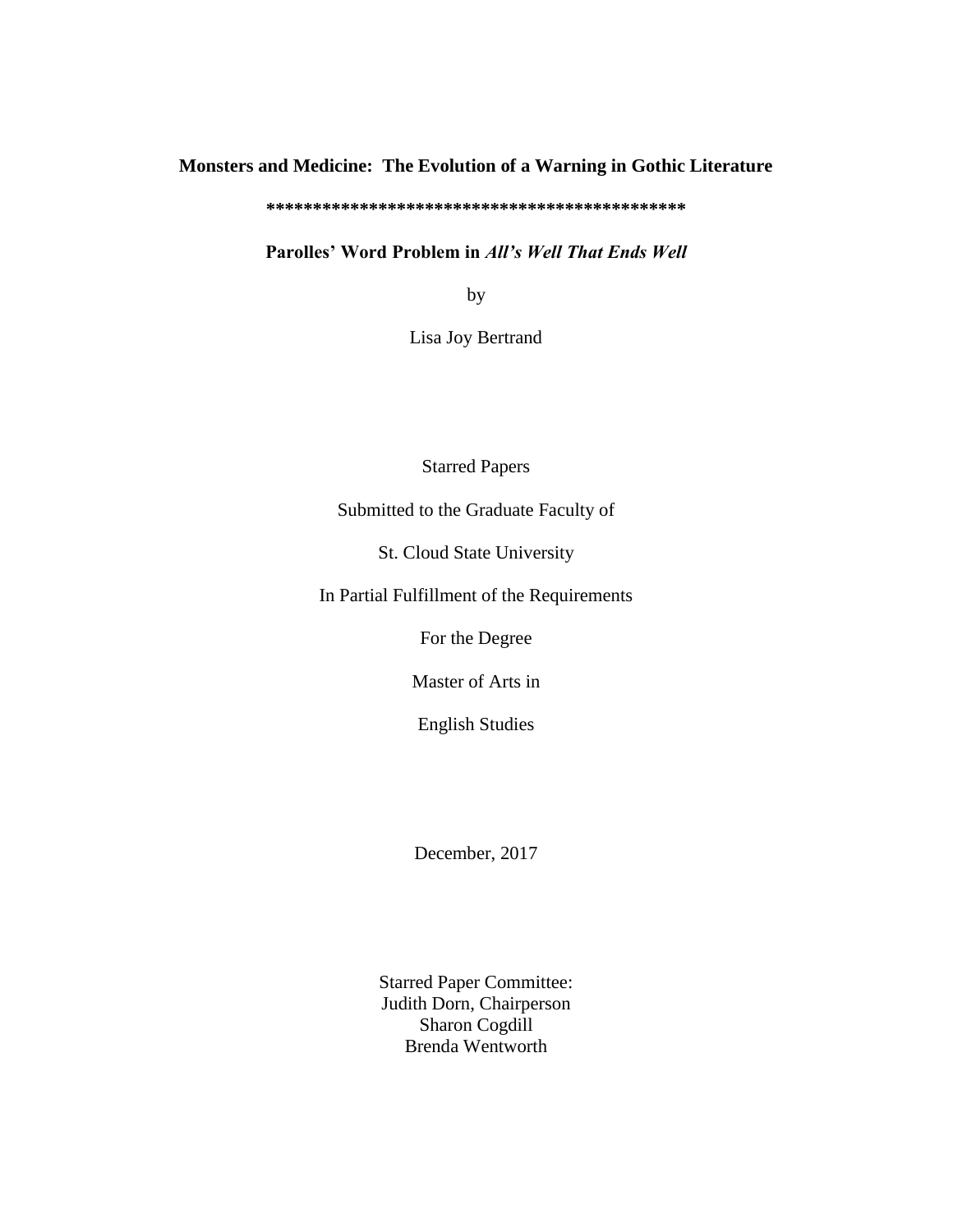## **Monsters and Medicine: The Evolution of a Warning in Gothic Literature**

**\*\*\*\*\*\*\*\*\*\*\*\*\*\*\*\*\*\*\*\*\*\*\*\*\*\*\*\*\*\*\*\*\*\*\*\*\*\*\*\*\*\*\*\*\***

**Parolles' Word Problem in** *All's Well That Ends Well*

by

Lisa Joy Bertrand

Starred Papers

Submitted to the Graduate Faculty of

St. Cloud State University

In Partial Fulfillment of the Requirements

For the Degree

Master of Arts in

English Studies

December, 2017

Starred Paper Committee: Judith Dorn, Chairperson Sharon Cogdill Brenda Wentworth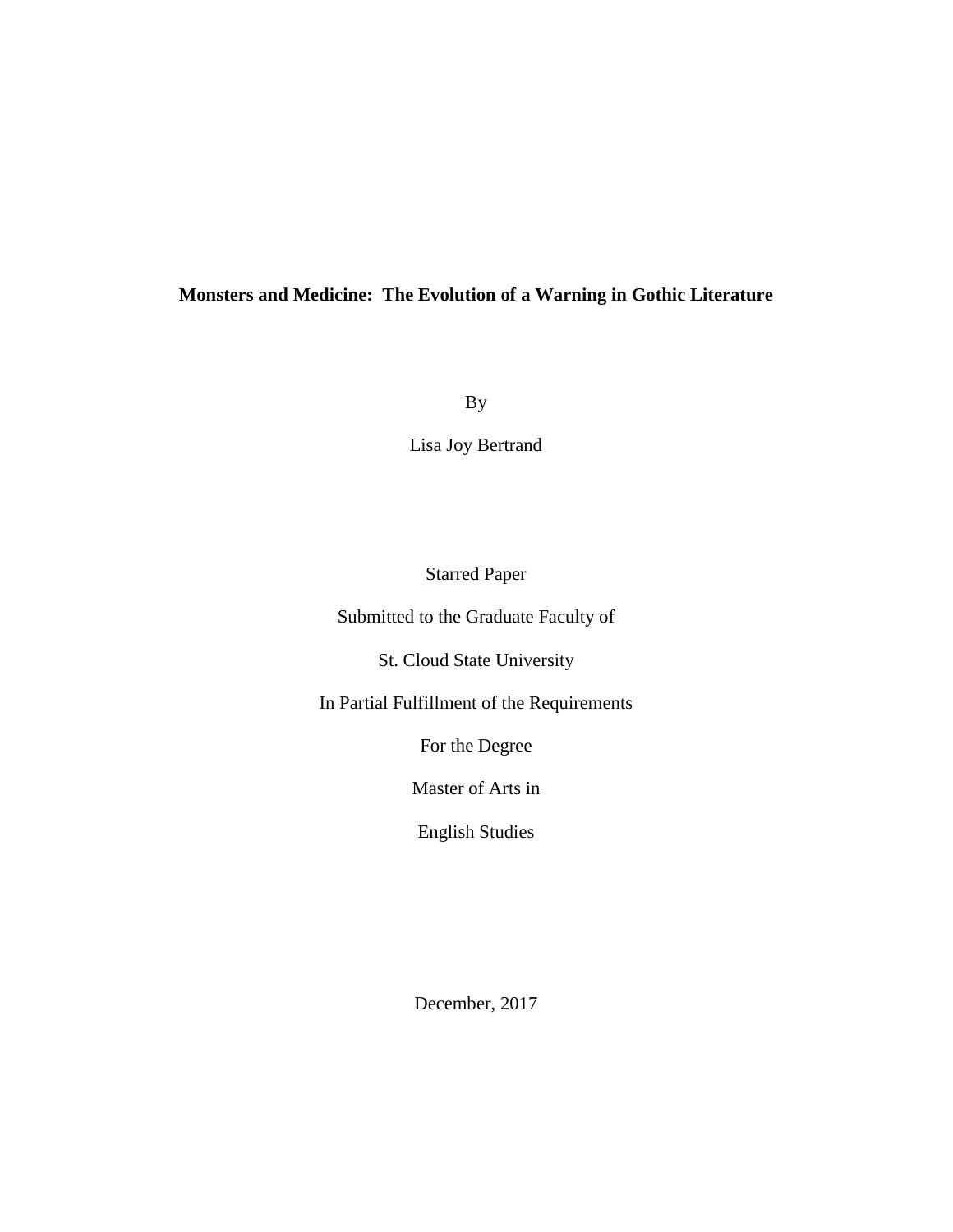## **Monsters and Medicine: The Evolution of a Warning in Gothic Literature**

By

Lisa Joy Bertrand

## Starred Paper

Submitted to the Graduate Faculty of

St. Cloud State University

In Partial Fulfillment of the Requirements

For the Degree

Master of Arts in

English Studies

December, 2017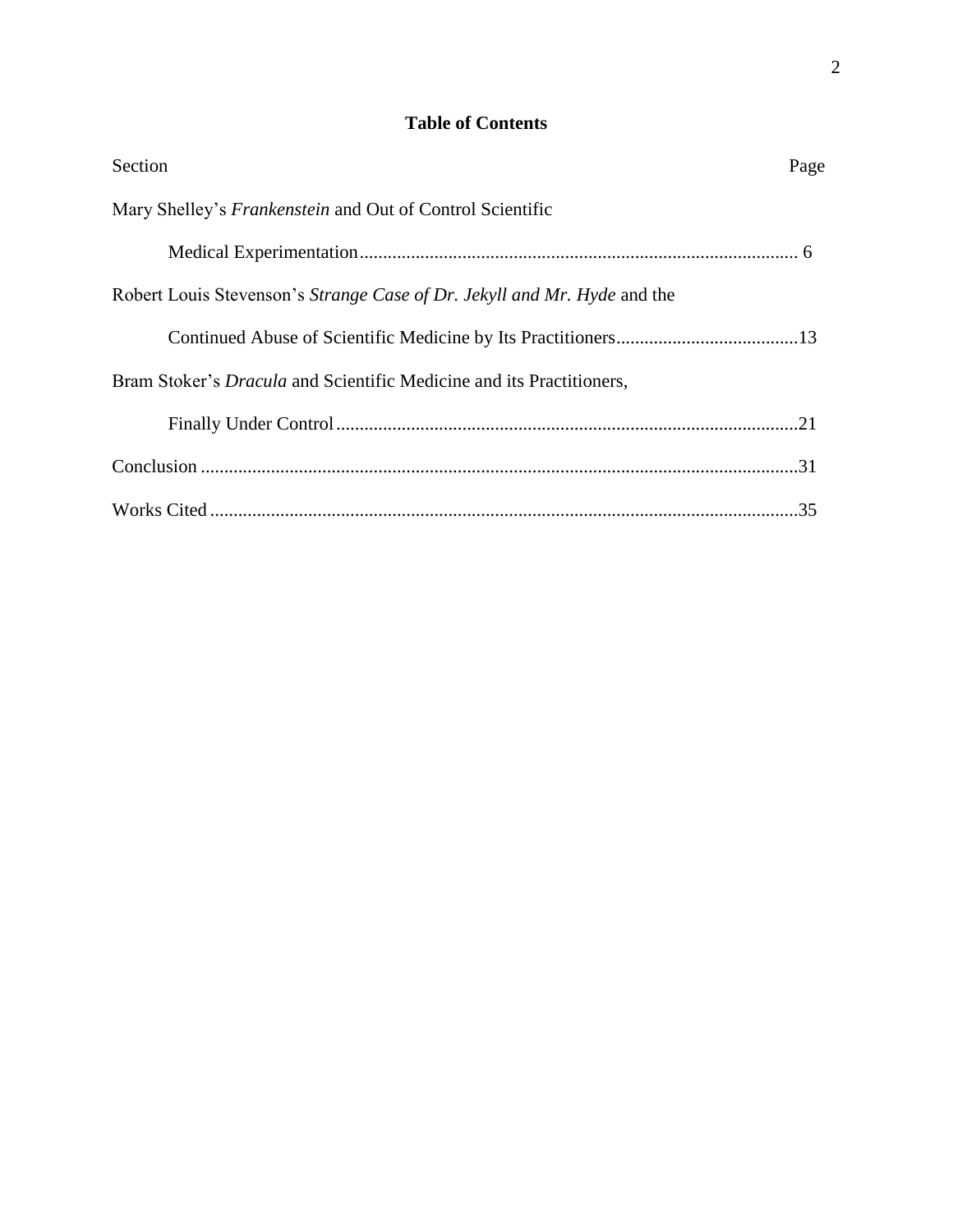## **Table of Contents**

| Section                                                                     | Page |
|-----------------------------------------------------------------------------|------|
| Mary Shelley's <i>Frankenstein</i> and Out of Control Scientific            |      |
|                                                                             |      |
| Robert Louis Stevenson's Strange Case of Dr. Jekyll and Mr. Hyde and the    |      |
|                                                                             |      |
| Bram Stoker's <i>Dracula</i> and Scientific Medicine and its Practitioners, |      |
|                                                                             |      |
|                                                                             |      |
|                                                                             |      |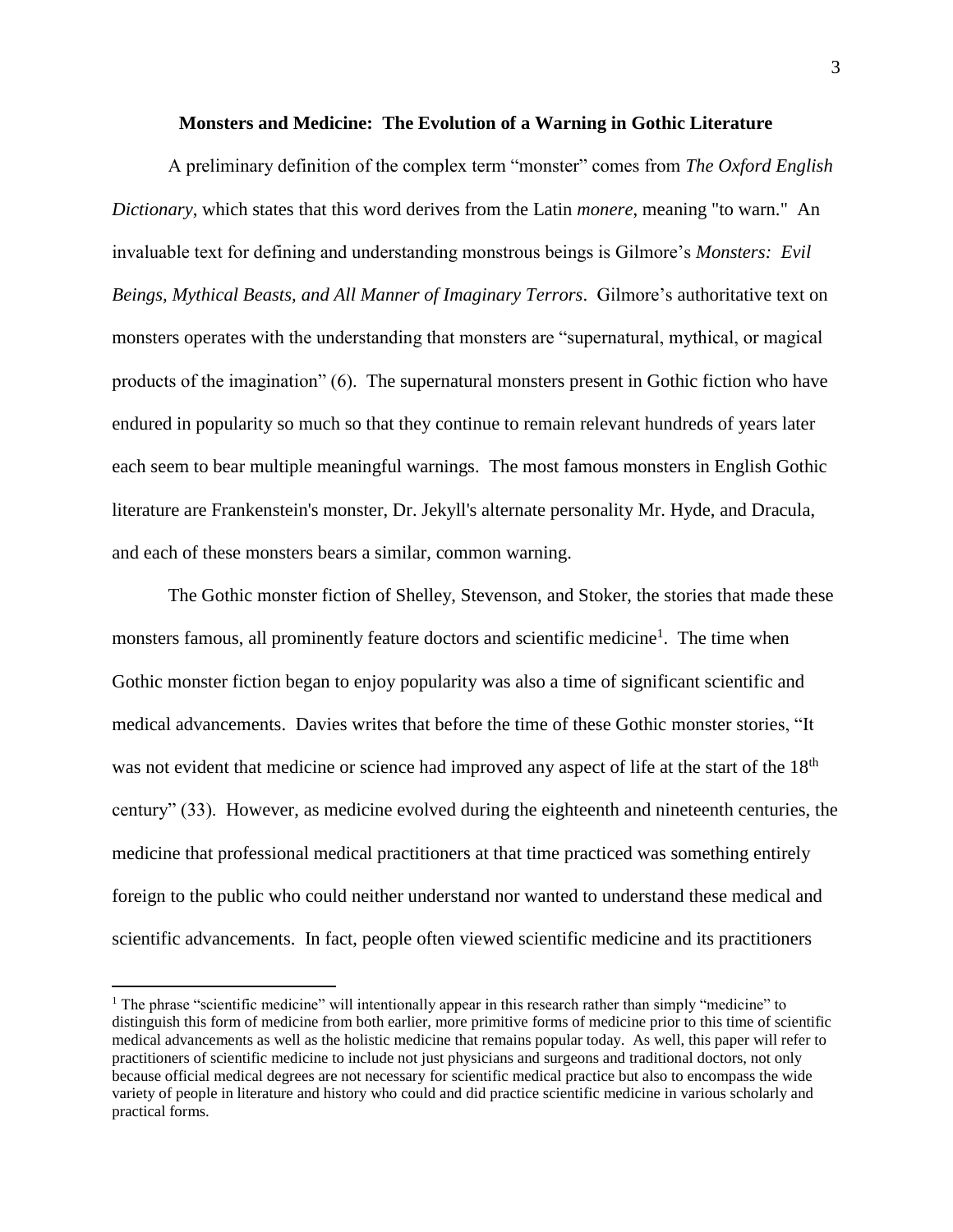#### **Monsters and Medicine: The Evolution of a Warning in Gothic Literature**

A preliminary definition of the complex term "monster" comes from *The Oxford English Dictionary*, which states that this word derives from the Latin *monere*, meaning "to warn." An invaluable text for defining and understanding monstrous beings is Gilmore's *Monsters: Evil Beings, Mythical Beasts, and All Manner of Imaginary Terrors*. Gilmore's authoritative text on monsters operates with the understanding that monsters are "supernatural, mythical, or magical products of the imagination" (6). The supernatural monsters present in Gothic fiction who have endured in popularity so much so that they continue to remain relevant hundreds of years later each seem to bear multiple meaningful warnings. The most famous monsters in English Gothic literature are Frankenstein's monster, Dr. Jekyll's alternate personality Mr. Hyde, and Dracula, and each of these monsters bears a similar, common warning.

The Gothic monster fiction of Shelley, Stevenson, and Stoker, the stories that made these monsters famous, all prominently feature doctors and scientific medicine<sup>1</sup>. The time when Gothic monster fiction began to enjoy popularity was also a time of significant scientific and medical advancements. Davies writes that before the time of these Gothic monster stories, "It was not evident that medicine or science had improved any aspect of life at the start of the 18<sup>th</sup> century" (33). However, as medicine evolved during the eighteenth and nineteenth centuries, the medicine that professional medical practitioners at that time practiced was something entirely foreign to the public who could neither understand nor wanted to understand these medical and scientific advancements. In fact, people often viewed scientific medicine and its practitioners

 $\overline{a}$ 

<sup>&</sup>lt;sup>1</sup> The phrase "scientific medicine" will intentionally appear in this research rather than simply "medicine" to distinguish this form of medicine from both earlier, more primitive forms of medicine prior to this time of scientific medical advancements as well as the holistic medicine that remains popular today. As well, this paper will refer to practitioners of scientific medicine to include not just physicians and surgeons and traditional doctors, not only because official medical degrees are not necessary for scientific medical practice but also to encompass the wide variety of people in literature and history who could and did practice scientific medicine in various scholarly and practical forms.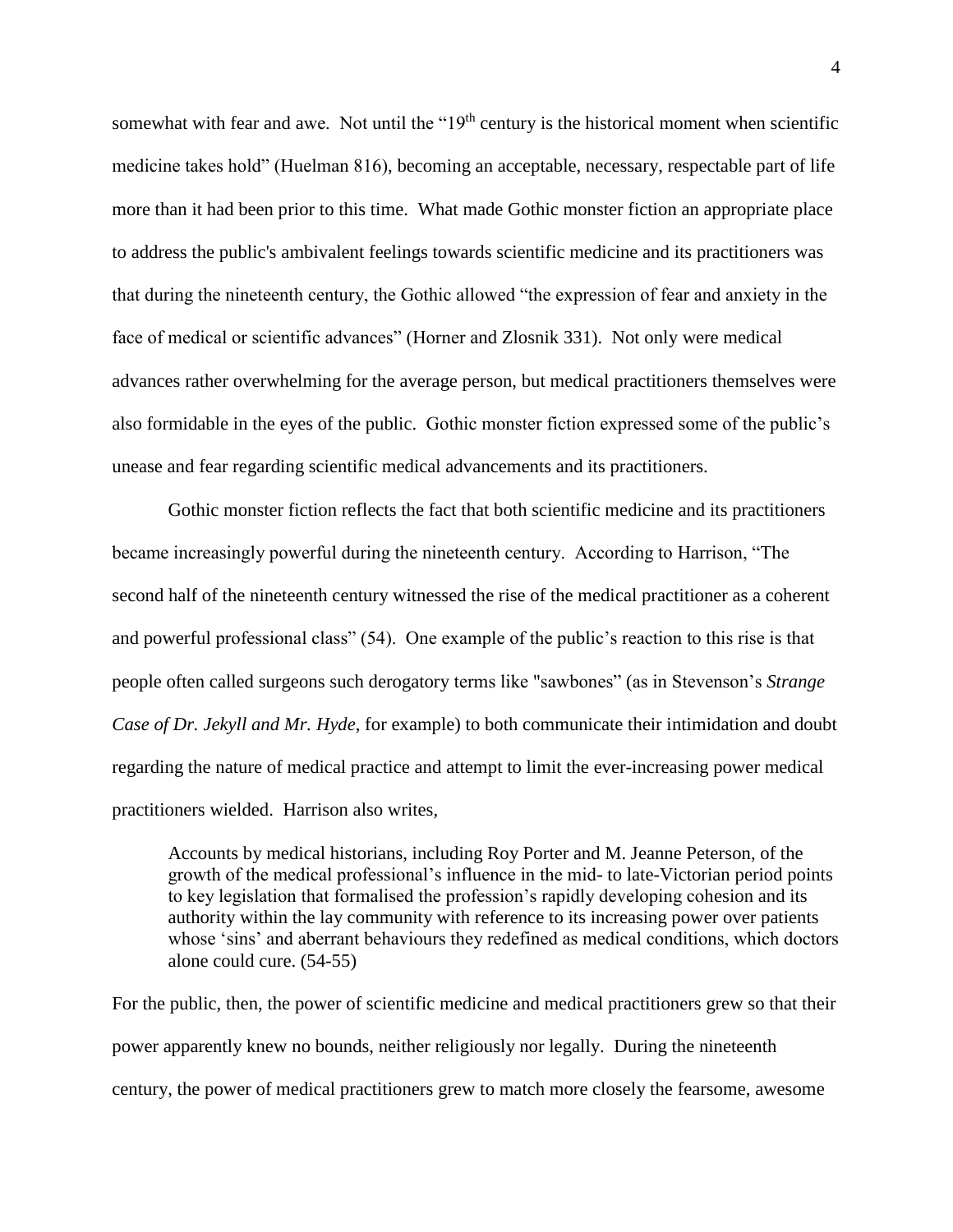somewhat with fear and awe. Not until the " $19<sup>th</sup>$  century is the historical moment when scientific medicine takes hold" (Huelman 816), becoming an acceptable, necessary, respectable part of life more than it had been prior to this time. What made Gothic monster fiction an appropriate place to address the public's ambivalent feelings towards scientific medicine and its practitioners was that during the nineteenth century, the Gothic allowed "the expression of fear and anxiety in the face of medical or scientific advances" (Horner and Zlosnik 331). Not only were medical advances rather overwhelming for the average person, but medical practitioners themselves were also formidable in the eyes of the public. Gothic monster fiction expressed some of the public's unease and fear regarding scientific medical advancements and its practitioners.

Gothic monster fiction reflects the fact that both scientific medicine and its practitioners became increasingly powerful during the nineteenth century. According to Harrison, "The second half of the nineteenth century witnessed the rise of the medical practitioner as a coherent and powerful professional class" (54). One example of the public's reaction to this rise is that people often called surgeons such derogatory terms like "sawbones" (as in Stevenson's *Strange Case of Dr. Jekyll and Mr. Hyde*, for example) to both communicate their intimidation and doubt regarding the nature of medical practice and attempt to limit the ever-increasing power medical practitioners wielded. Harrison also writes,

Accounts by medical historians, including Roy Porter and M. Jeanne Peterson, of the growth of the medical professional's influence in the mid- to late-Victorian period points to key legislation that formalised the profession's rapidly developing cohesion and its authority within the lay community with reference to its increasing power over patients whose 'sins' and aberrant behaviours they redefined as medical conditions, which doctors alone could cure. (54-55)

For the public, then, the power of scientific medicine and medical practitioners grew so that their power apparently knew no bounds, neither religiously nor legally. During the nineteenth century, the power of medical practitioners grew to match more closely the fearsome, awesome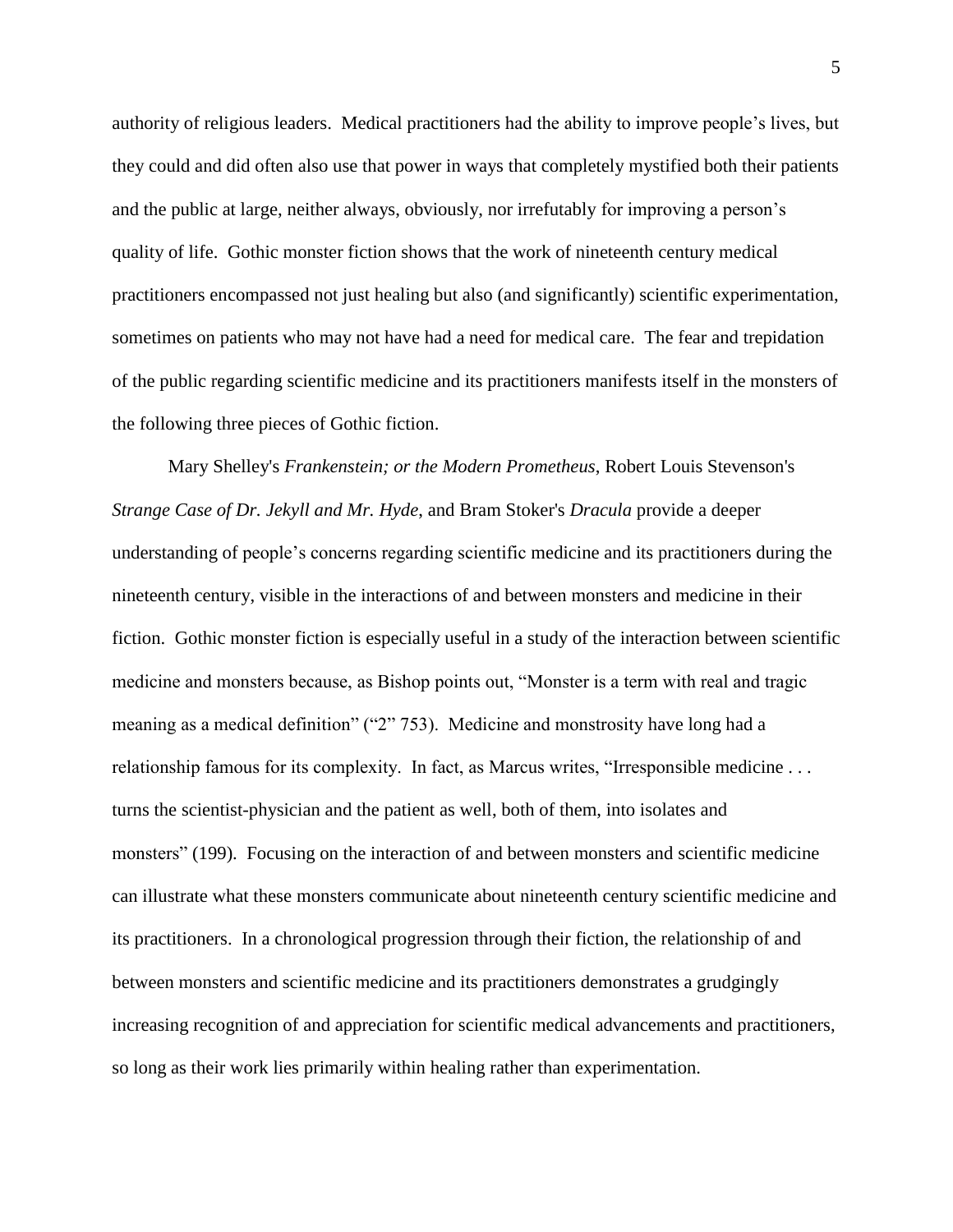authority of religious leaders. Medical practitioners had the ability to improve people's lives, but they could and did often also use that power in ways that completely mystified both their patients and the public at large, neither always, obviously, nor irrefutably for improving a person's quality of life. Gothic monster fiction shows that the work of nineteenth century medical practitioners encompassed not just healing but also (and significantly) scientific experimentation, sometimes on patients who may not have had a need for medical care. The fear and trepidation of the public regarding scientific medicine and its practitioners manifests itself in the monsters of the following three pieces of Gothic fiction.

Mary Shelley's *Frankenstein; or the Modern Prometheus*, Robert Louis Stevenson's *Strange Case of Dr. Jekyll and Mr. Hyde*, and Bram Stoker's *Dracula* provide a deeper understanding of people's concerns regarding scientific medicine and its practitioners during the nineteenth century, visible in the interactions of and between monsters and medicine in their fiction. Gothic monster fiction is especially useful in a study of the interaction between scientific medicine and monsters because, as Bishop points out, "Monster is a term with real and tragic meaning as a medical definition" ("2" 753). Medicine and monstrosity have long had a relationship famous for its complexity. In fact, as Marcus writes, "Irresponsible medicine . . . turns the scientist-physician and the patient as well, both of them, into isolates and monsters" (199). Focusing on the interaction of and between monsters and scientific medicine can illustrate what these monsters communicate about nineteenth century scientific medicine and its practitioners. In a chronological progression through their fiction, the relationship of and between monsters and scientific medicine and its practitioners demonstrates a grudgingly increasing recognition of and appreciation for scientific medical advancements and practitioners, so long as their work lies primarily within healing rather than experimentation.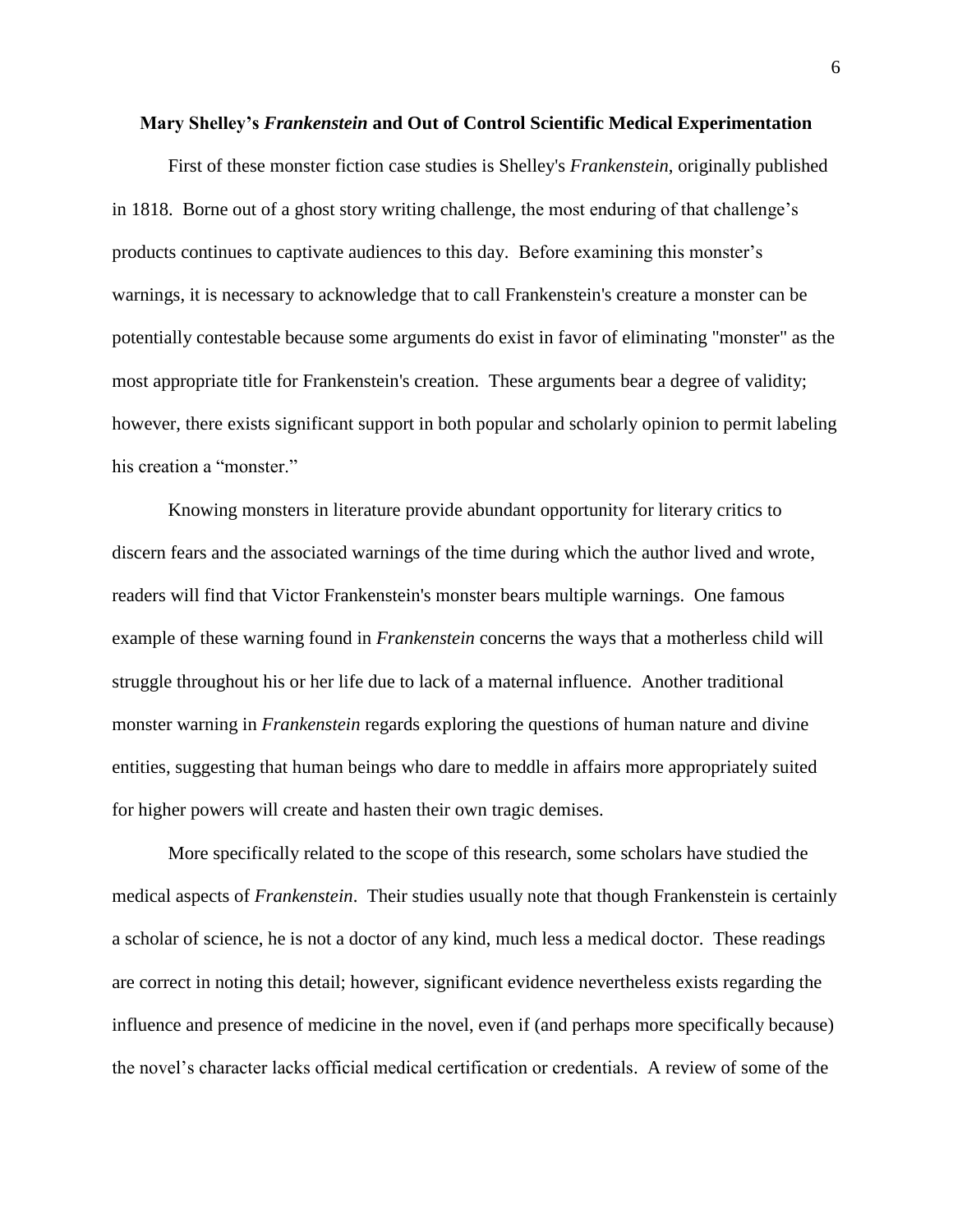#### **Mary Shelley's** *Frankenstein* **and Out of Control Scientific Medical Experimentation**

First of these monster fiction case studies is Shelley's *Frankenstein*, originally published in 1818. Borne out of a ghost story writing challenge, the most enduring of that challenge's products continues to captivate audiences to this day. Before examining this monster's warnings, it is necessary to acknowledge that to call Frankenstein's creature a monster can be potentially contestable because some arguments do exist in favor of eliminating "monster" as the most appropriate title for Frankenstein's creation. These arguments bear a degree of validity; however, there exists significant support in both popular and scholarly opinion to permit labeling his creation a "monster."

Knowing monsters in literature provide abundant opportunity for literary critics to discern fears and the associated warnings of the time during which the author lived and wrote, readers will find that Victor Frankenstein's monster bears multiple warnings. One famous example of these warning found in *Frankenstein* concerns the ways that a motherless child will struggle throughout his or her life due to lack of a maternal influence. Another traditional monster warning in *Frankenstein* regards exploring the questions of human nature and divine entities, suggesting that human beings who dare to meddle in affairs more appropriately suited for higher powers will create and hasten their own tragic demises.

More specifically related to the scope of this research, some scholars have studied the medical aspects of *Frankenstein*. Their studies usually note that though Frankenstein is certainly a scholar of science, he is not a doctor of any kind, much less a medical doctor. These readings are correct in noting this detail; however, significant evidence nevertheless exists regarding the influence and presence of medicine in the novel, even if (and perhaps more specifically because) the novel's character lacks official medical certification or credentials. A review of some of the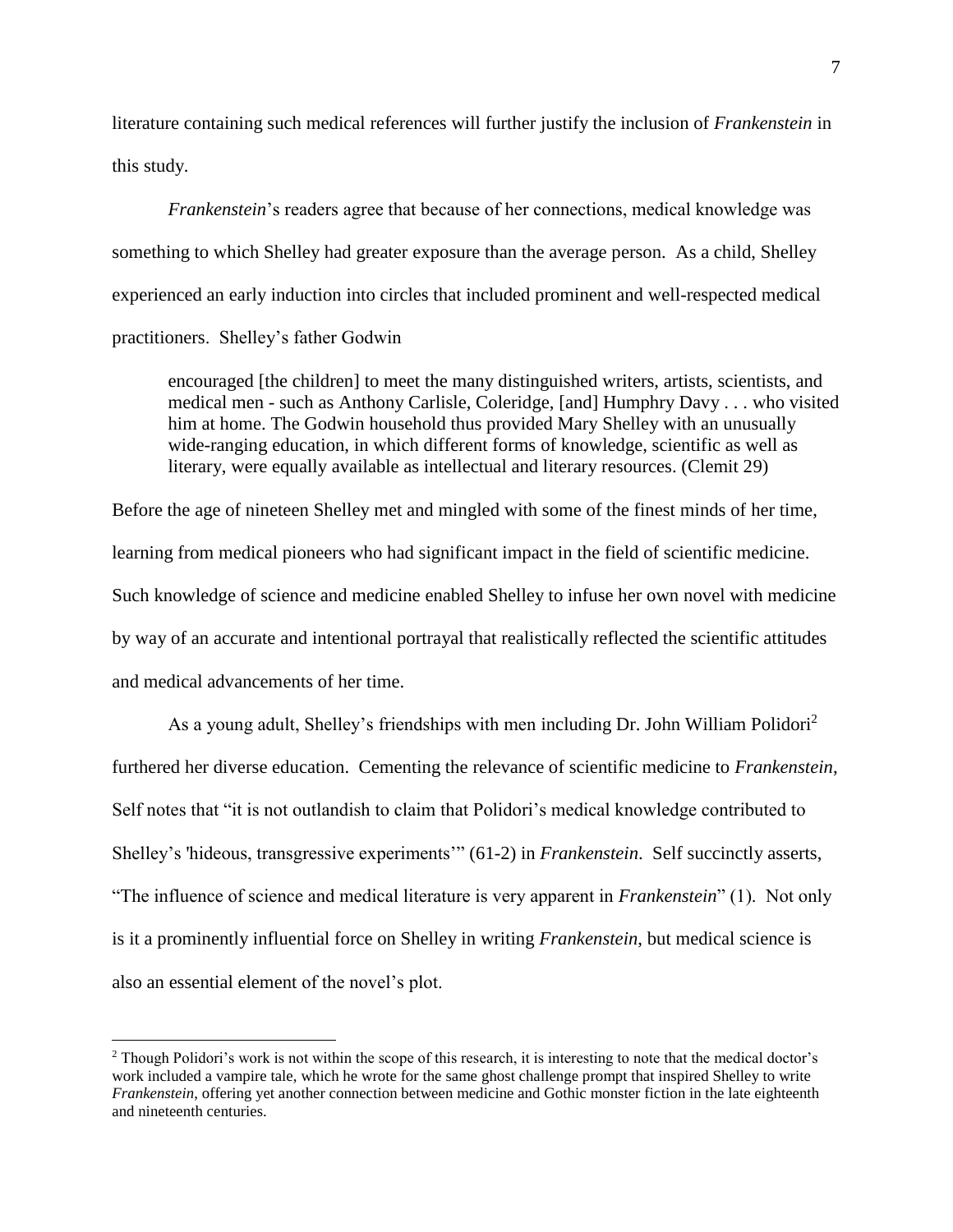literature containing such medical references will further justify the inclusion of *Frankenstein* in this study.

*Frankenstein*'s readers agree that because of her connections, medical knowledge was something to which Shelley had greater exposure than the average person. As a child, Shelley experienced an early induction into circles that included prominent and well-respected medical practitioners. Shelley's father Godwin

encouraged [the children] to meet the many distinguished writers, artists, scientists, and medical men - such as Anthony Carlisle, Coleridge, [and] Humphry Davy . . . who visited him at home. The Godwin household thus provided Mary Shelley with an unusually wide-ranging education, in which different forms of knowledge, scientific as well as literary, were equally available as intellectual and literary resources. (Clemit 29)

Before the age of nineteen Shelley met and mingled with some of the finest minds of her time, learning from medical pioneers who had significant impact in the field of scientific medicine. Such knowledge of science and medicine enabled Shelley to infuse her own novel with medicine by way of an accurate and intentional portrayal that realistically reflected the scientific attitudes and medical advancements of her time.

As a young adult, Shelley's friendships with men including Dr. John William Polidori<sup>2</sup> furthered her diverse education. Cementing the relevance of scientific medicine to *Frankenstein*, Self notes that "it is not outlandish to claim that Polidori's medical knowledge contributed to Shelley's 'hideous, transgressive experiments'" (61-2) in *Frankenstein*. Self succinctly asserts, "The influence of science and medical literature is very apparent in *Frankenstein*" (1). Not only is it a prominently influential force on Shelley in writing *Frankenstein*, but medical science is also an essential element of the novel's plot.

 $\overline{a}$ 

<sup>&</sup>lt;sup>2</sup> Though Polidori's work is not within the scope of this research, it is interesting to note that the medical doctor's work included a vampire tale, which he wrote for the same ghost challenge prompt that inspired Shelley to write *Frankenstein*, offering yet another connection between medicine and Gothic monster fiction in the late eighteenth and nineteenth centuries.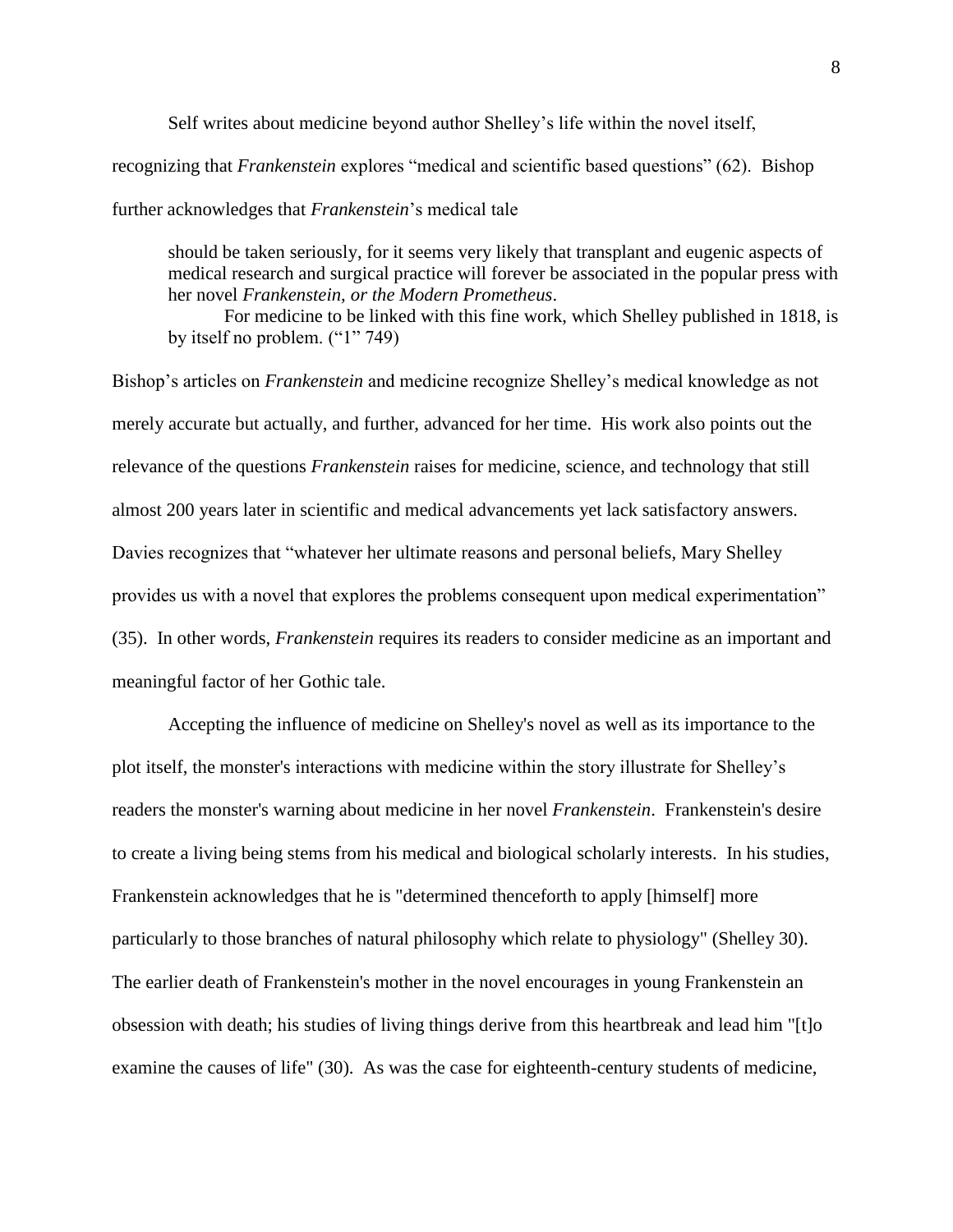Self writes about medicine beyond author Shelley's life within the novel itself, recognizing that *Frankenstein* explores "medical and scientific based questions" (62). Bishop further acknowledges that *Frankenstein*'s medical tale

should be taken seriously, for it seems very likely that transplant and eugenic aspects of medical research and surgical practice will forever be associated in the popular press with her novel *Frankenstein, or the Modern Prometheus*.

For medicine to be linked with this fine work, which Shelley published in 1818, is by itself no problem. ("1" 749)

Bishop's articles on *Frankenstein* and medicine recognize Shelley's medical knowledge as not merely accurate but actually, and further, advanced for her time. His work also points out the relevance of the questions *Frankenstein* raises for medicine, science, and technology that still almost 200 years later in scientific and medical advancements yet lack satisfactory answers. Davies recognizes that "whatever her ultimate reasons and personal beliefs, Mary Shelley provides us with a novel that explores the problems consequent upon medical experimentation" (35). In other words, *Frankenstein* requires its readers to consider medicine as an important and meaningful factor of her Gothic tale.

Accepting the influence of medicine on Shelley's novel as well as its importance to the plot itself, the monster's interactions with medicine within the story illustrate for Shelley's readers the monster's warning about medicine in her novel *Frankenstein*. Frankenstein's desire to create a living being stems from his medical and biological scholarly interests. In his studies, Frankenstein acknowledges that he is "determined thenceforth to apply [himself] more particularly to those branches of natural philosophy which relate to physiology" (Shelley 30). The earlier death of Frankenstein's mother in the novel encourages in young Frankenstein an obsession with death; his studies of living things derive from this heartbreak and lead him "[t]o examine the causes of life" (30). As was the case for eighteenth-century students of medicine,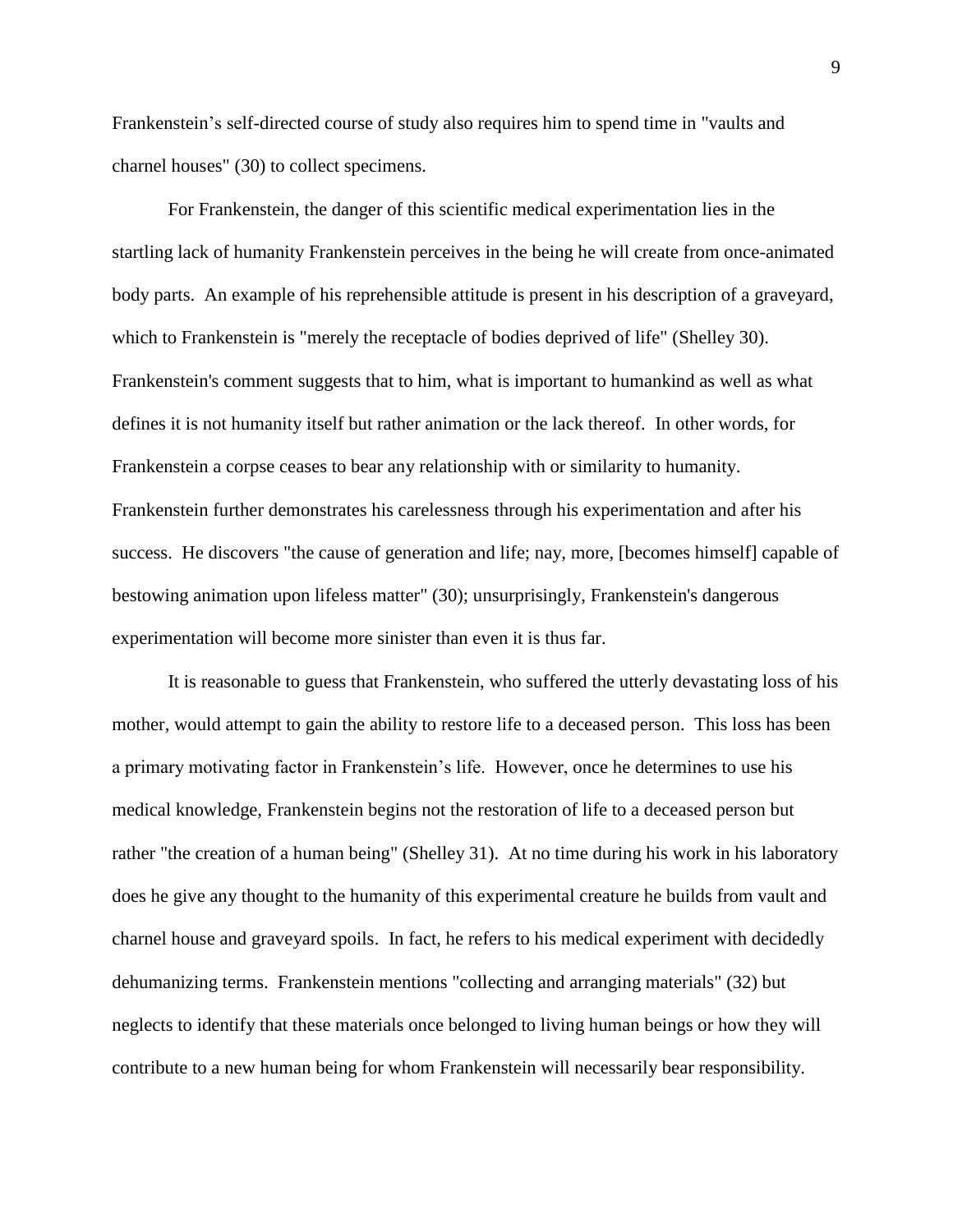Frankenstein's self-directed course of study also requires him to spend time in "vaults and charnel houses" (30) to collect specimens.

For Frankenstein, the danger of this scientific medical experimentation lies in the startling lack of humanity Frankenstein perceives in the being he will create from once-animated body parts. An example of his reprehensible attitude is present in his description of a graveyard, which to Frankenstein is "merely the receptacle of bodies deprived of life" (Shelley 30). Frankenstein's comment suggests that to him, what is important to humankind as well as what defines it is not humanity itself but rather animation or the lack thereof. In other words, for Frankenstein a corpse ceases to bear any relationship with or similarity to humanity. Frankenstein further demonstrates his carelessness through his experimentation and after his success. He discovers "the cause of generation and life; nay, more, [becomes himself] capable of bestowing animation upon lifeless matter" (30); unsurprisingly, Frankenstein's dangerous experimentation will become more sinister than even it is thus far.

It is reasonable to guess that Frankenstein, who suffered the utterly devastating loss of his mother, would attempt to gain the ability to restore life to a deceased person. This loss has been a primary motivating factor in Frankenstein's life. However, once he determines to use his medical knowledge, Frankenstein begins not the restoration of life to a deceased person but rather "the creation of a human being" (Shelley 31). At no time during his work in his laboratory does he give any thought to the humanity of this experimental creature he builds from vault and charnel house and graveyard spoils. In fact, he refers to his medical experiment with decidedly dehumanizing terms. Frankenstein mentions "collecting and arranging materials" (32) but neglects to identify that these materials once belonged to living human beings or how they will contribute to a new human being for whom Frankenstein will necessarily bear responsibility.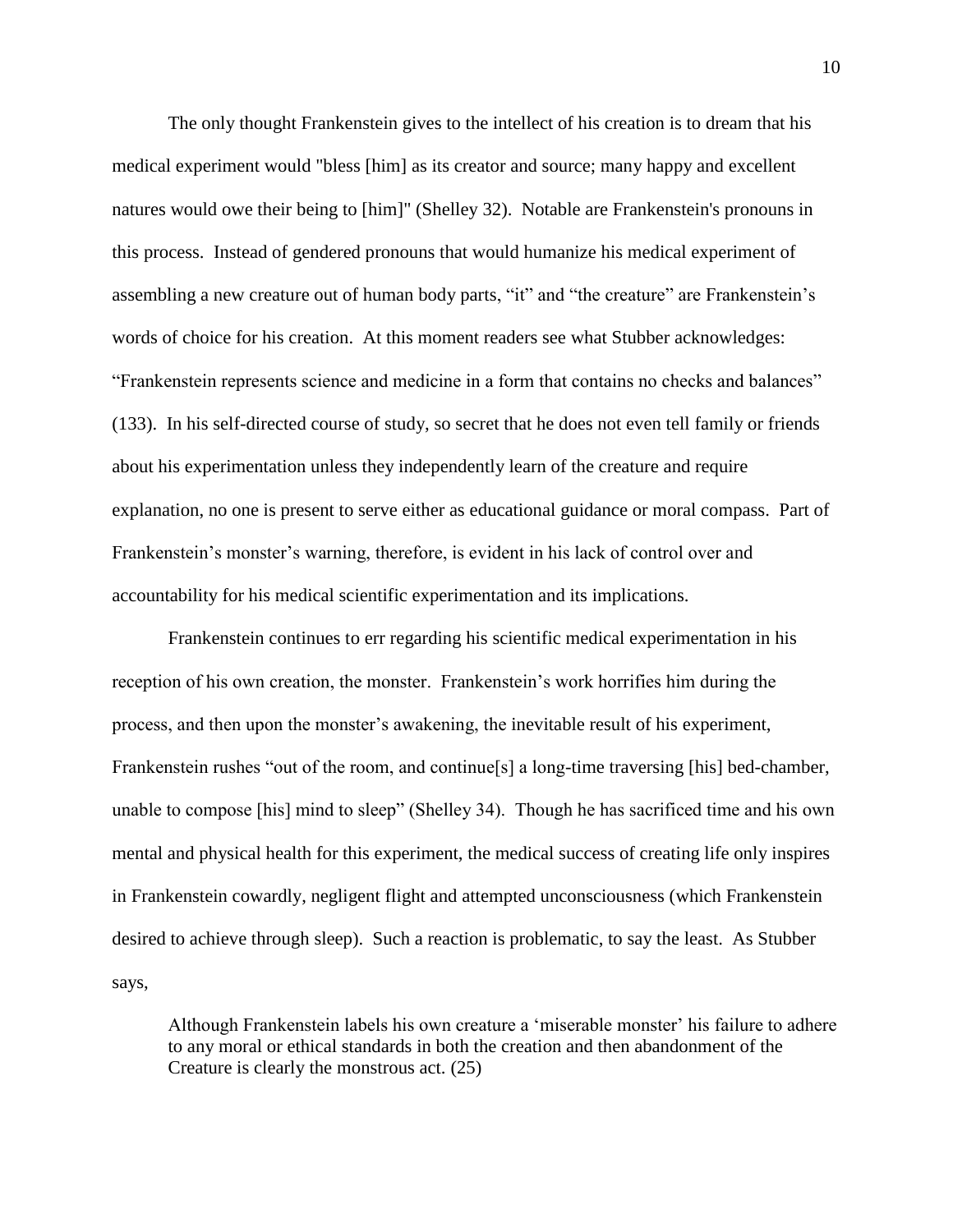The only thought Frankenstein gives to the intellect of his creation is to dream that his medical experiment would "bless [him] as its creator and source; many happy and excellent natures would owe their being to [him]" (Shelley 32). Notable are Frankenstein's pronouns in this process. Instead of gendered pronouns that would humanize his medical experiment of assembling a new creature out of human body parts, "it" and "the creature" are Frankenstein's words of choice for his creation. At this moment readers see what Stubber acknowledges: "Frankenstein represents science and medicine in a form that contains no checks and balances" (133). In his self-directed course of study, so secret that he does not even tell family or friends about his experimentation unless they independently learn of the creature and require explanation, no one is present to serve either as educational guidance or moral compass. Part of Frankenstein's monster's warning, therefore, is evident in his lack of control over and accountability for his medical scientific experimentation and its implications.

Frankenstein continues to err regarding his scientific medical experimentation in his reception of his own creation, the monster. Frankenstein's work horrifies him during the process, and then upon the monster's awakening, the inevitable result of his experiment, Frankenstein rushes "out of the room, and continue[s] a long-time traversing [his] bed-chamber, unable to compose [his] mind to sleep" (Shelley 34). Though he has sacrificed time and his own mental and physical health for this experiment, the medical success of creating life only inspires in Frankenstein cowardly, negligent flight and attempted unconsciousness (which Frankenstein desired to achieve through sleep). Such a reaction is problematic, to say the least. As Stubber says,

Although Frankenstein labels his own creature a 'miserable monster' his failure to adhere to any moral or ethical standards in both the creation and then abandonment of the Creature is clearly the monstrous act. (25)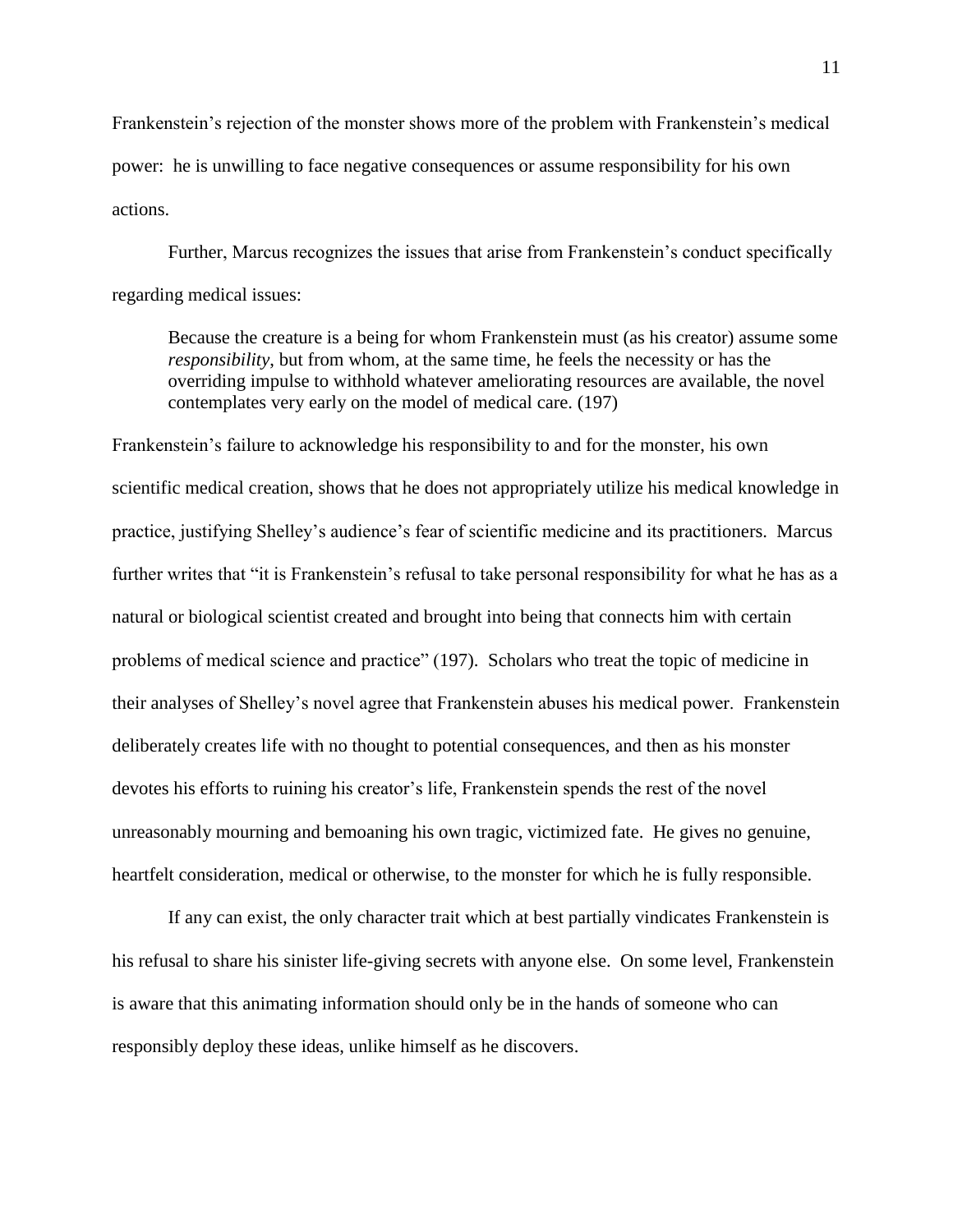Frankenstein's rejection of the monster shows more of the problem with Frankenstein's medical power: he is unwilling to face negative consequences or assume responsibility for his own actions.

Further, Marcus recognizes the issues that arise from Frankenstein's conduct specifically regarding medical issues:

Because the creature is a being for whom Frankenstein must (as his creator) assume some *responsibility*, but from whom, at the same time, he feels the necessity or has the overriding impulse to withhold whatever ameliorating resources are available, the novel contemplates very early on the model of medical care. (197)

Frankenstein's failure to acknowledge his responsibility to and for the monster, his own scientific medical creation, shows that he does not appropriately utilize his medical knowledge in practice, justifying Shelley's audience's fear of scientific medicine and its practitioners. Marcus further writes that "it is Frankenstein's refusal to take personal responsibility for what he has as a natural or biological scientist created and brought into being that connects him with certain problems of medical science and practice" (197). Scholars who treat the topic of medicine in their analyses of Shelley's novel agree that Frankenstein abuses his medical power. Frankenstein deliberately creates life with no thought to potential consequences, and then as his monster devotes his efforts to ruining his creator's life, Frankenstein spends the rest of the novel unreasonably mourning and bemoaning his own tragic, victimized fate. He gives no genuine, heartfelt consideration, medical or otherwise, to the monster for which he is fully responsible.

If any can exist, the only character trait which at best partially vindicates Frankenstein is his refusal to share his sinister life-giving secrets with anyone else. On some level, Frankenstein is aware that this animating information should only be in the hands of someone who can responsibly deploy these ideas, unlike himself as he discovers.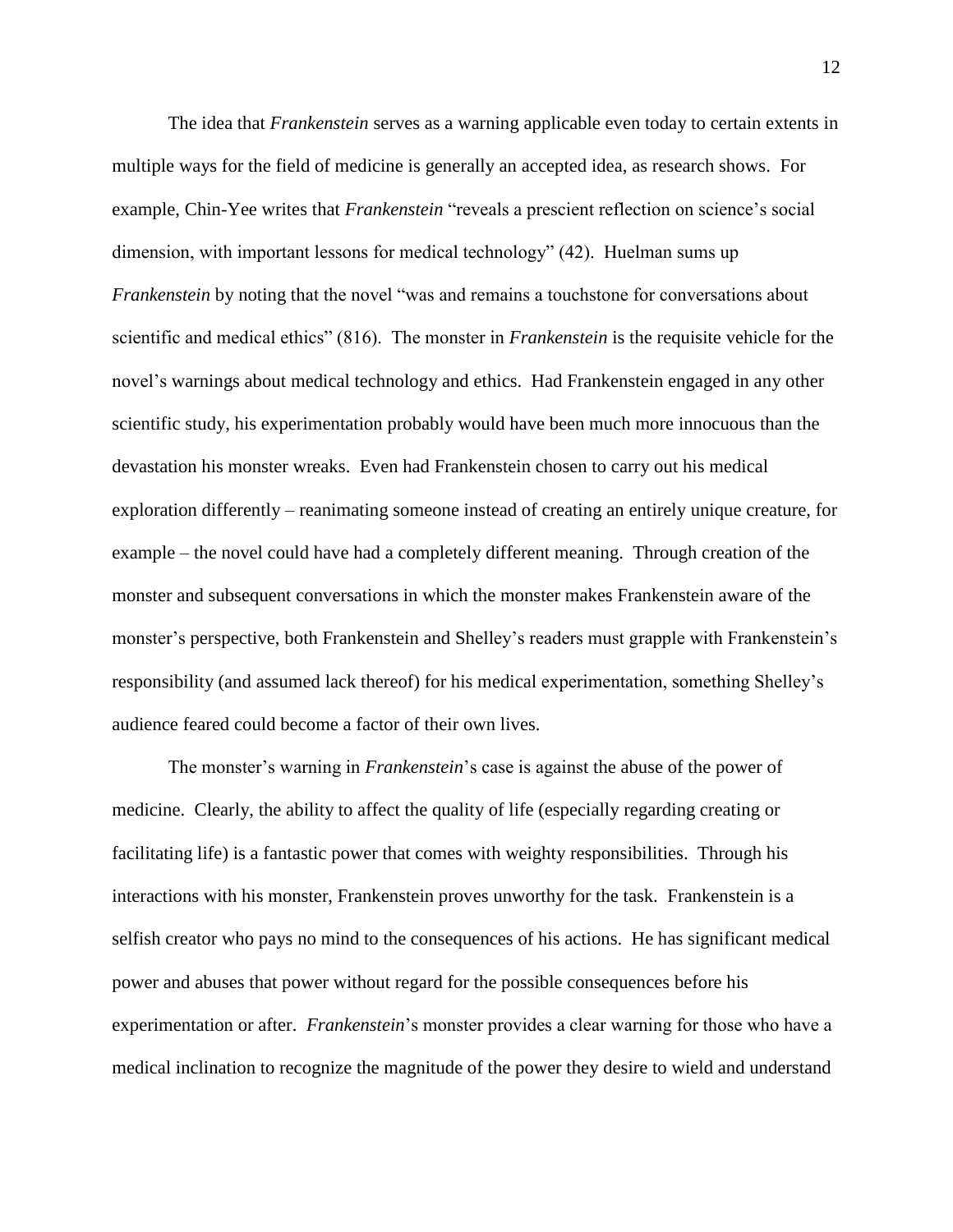The idea that *Frankenstein* serves as a warning applicable even today to certain extents in multiple ways for the field of medicine is generally an accepted idea, as research shows. For example, Chin-Yee writes that *Frankenstein* "reveals a prescient reflection on science's social dimension, with important lessons for medical technology" (42). Huelman sums up *Frankenstein* by noting that the novel "was and remains a touchstone for conversations about scientific and medical ethics" (816). The monster in *Frankenstein* is the requisite vehicle for the novel's warnings about medical technology and ethics. Had Frankenstein engaged in any other scientific study, his experimentation probably would have been much more innocuous than the devastation his monster wreaks. Even had Frankenstein chosen to carry out his medical exploration differently – reanimating someone instead of creating an entirely unique creature, for example – the novel could have had a completely different meaning. Through creation of the monster and subsequent conversations in which the monster makes Frankenstein aware of the monster's perspective, both Frankenstein and Shelley's readers must grapple with Frankenstein's responsibility (and assumed lack thereof) for his medical experimentation, something Shelley's audience feared could become a factor of their own lives.

The monster's warning in *Frankenstein*'s case is against the abuse of the power of medicine. Clearly, the ability to affect the quality of life (especially regarding creating or facilitating life) is a fantastic power that comes with weighty responsibilities. Through his interactions with his monster, Frankenstein proves unworthy for the task. Frankenstein is a selfish creator who pays no mind to the consequences of his actions. He has significant medical power and abuses that power without regard for the possible consequences before his experimentation or after. *Frankenstein*'s monster provides a clear warning for those who have a medical inclination to recognize the magnitude of the power they desire to wield and understand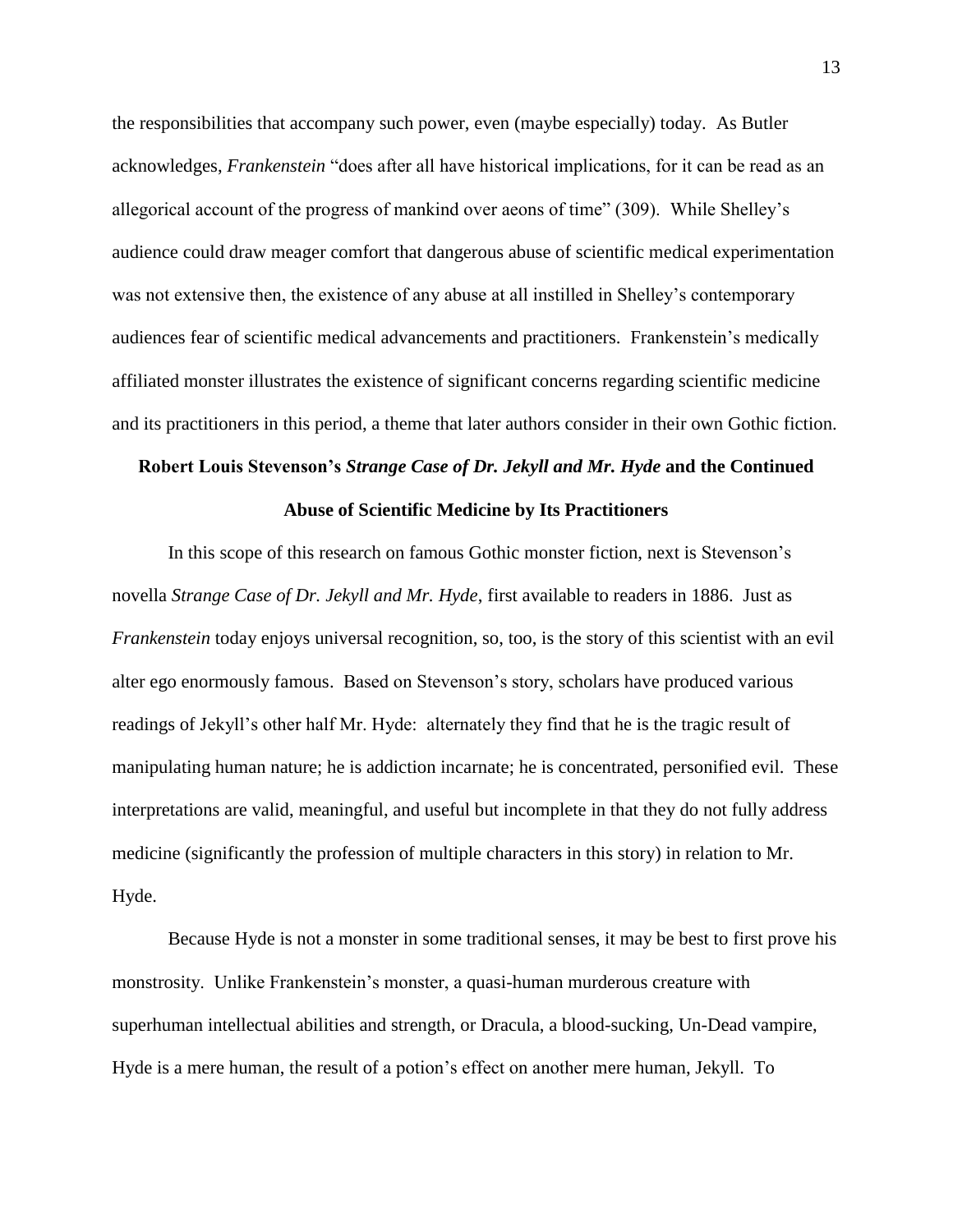the responsibilities that accompany such power, even (maybe especially) today. As Butler acknowledges, *Frankenstein* "does after all have historical implications, for it can be read as an allegorical account of the progress of mankind over aeons of time" (309). While Shelley's audience could draw meager comfort that dangerous abuse of scientific medical experimentation was not extensive then, the existence of any abuse at all instilled in Shelley's contemporary audiences fear of scientific medical advancements and practitioners. Frankenstein's medically affiliated monster illustrates the existence of significant concerns regarding scientific medicine and its practitioners in this period, a theme that later authors consider in their own Gothic fiction.

## **Robert Louis Stevenson's** *Strange Case of Dr. Jekyll and Mr. Hyde* **and the Continued**

#### **Abuse of Scientific Medicine by Its Practitioners**

In this scope of this research on famous Gothic monster fiction, next is Stevenson's novella *Strange Case of Dr. Jekyll and Mr. Hyde*, first available to readers in 1886. Just as *Frankenstein* today enjoys universal recognition, so, too, is the story of this scientist with an evil alter ego enormously famous. Based on Stevenson's story, scholars have produced various readings of Jekyll's other half Mr. Hyde: alternately they find that he is the tragic result of manipulating human nature; he is addiction incarnate; he is concentrated, personified evil. These interpretations are valid, meaningful, and useful but incomplete in that they do not fully address medicine (significantly the profession of multiple characters in this story) in relation to Mr. Hyde.

Because Hyde is not a monster in some traditional senses, it may be best to first prove his monstrosity. Unlike Frankenstein's monster, a quasi-human murderous creature with superhuman intellectual abilities and strength, or Dracula, a blood-sucking, Un-Dead vampire, Hyde is a mere human, the result of a potion's effect on another mere human, Jekyll. To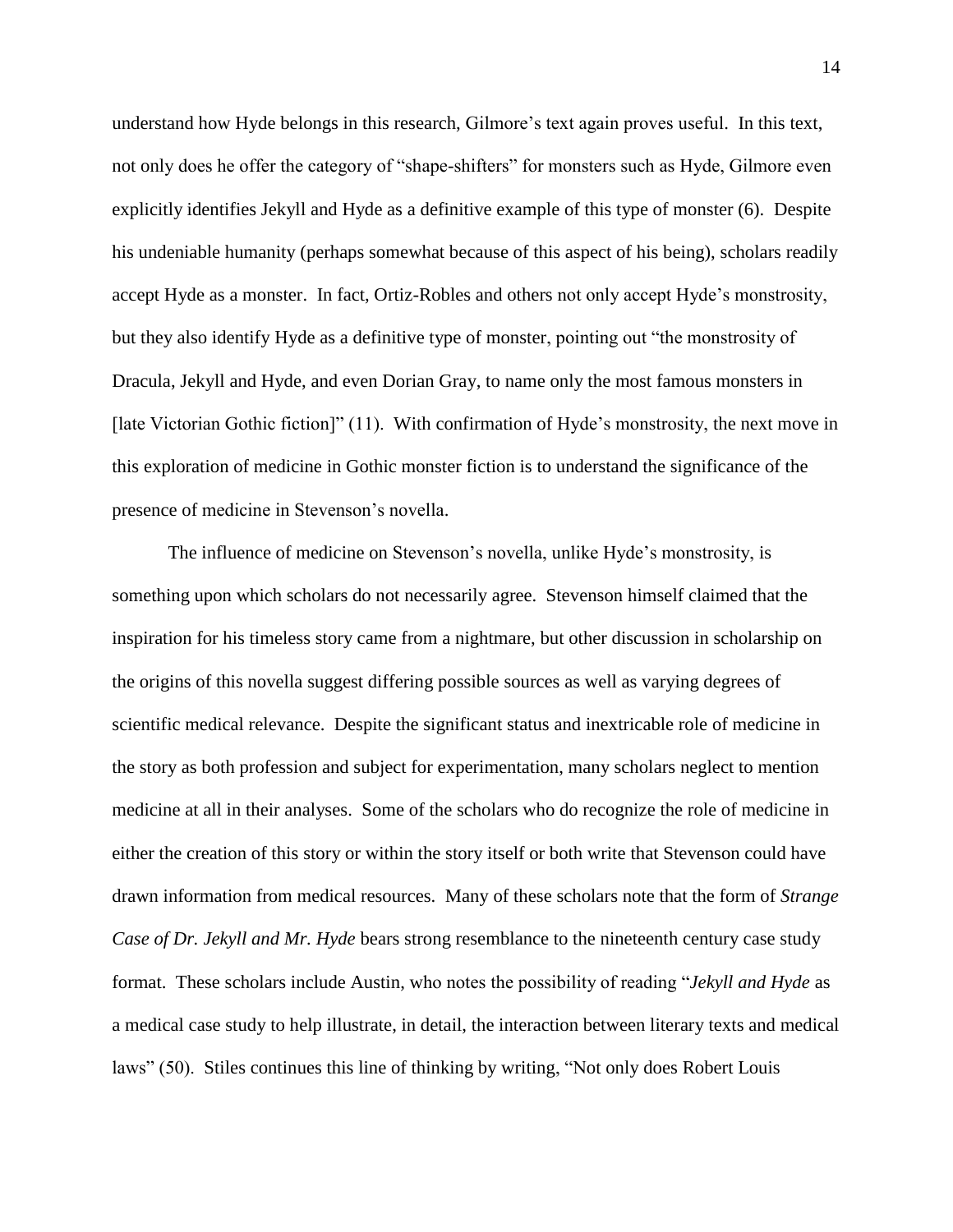understand how Hyde belongs in this research, Gilmore's text again proves useful. In this text, not only does he offer the category of "shape-shifters" for monsters such as Hyde, Gilmore even explicitly identifies Jekyll and Hyde as a definitive example of this type of monster (6). Despite his undeniable humanity (perhaps somewhat because of this aspect of his being), scholars readily accept Hyde as a monster. In fact, Ortiz-Robles and others not only accept Hyde's monstrosity, but they also identify Hyde as a definitive type of monster, pointing out "the monstrosity of Dracula, Jekyll and Hyde, and even Dorian Gray, to name only the most famous monsters in [late Victorian Gothic fiction]" (11). With confirmation of Hyde's monstrosity, the next move in this exploration of medicine in Gothic monster fiction is to understand the significance of the presence of medicine in Stevenson's novella.

The influence of medicine on Stevenson's novella, unlike Hyde's monstrosity, is something upon which scholars do not necessarily agree. Stevenson himself claimed that the inspiration for his timeless story came from a nightmare, but other discussion in scholarship on the origins of this novella suggest differing possible sources as well as varying degrees of scientific medical relevance. Despite the significant status and inextricable role of medicine in the story as both profession and subject for experimentation, many scholars neglect to mention medicine at all in their analyses. Some of the scholars who do recognize the role of medicine in either the creation of this story or within the story itself or both write that Stevenson could have drawn information from medical resources. Many of these scholars note that the form of *Strange Case of Dr. Jekyll and Mr. Hyde* bears strong resemblance to the nineteenth century case study format. These scholars include Austin, who notes the possibility of reading "*Jekyll and Hyde* as a medical case study to help illustrate, in detail, the interaction between literary texts and medical laws" (50). Stiles continues this line of thinking by writing, "Not only does Robert Louis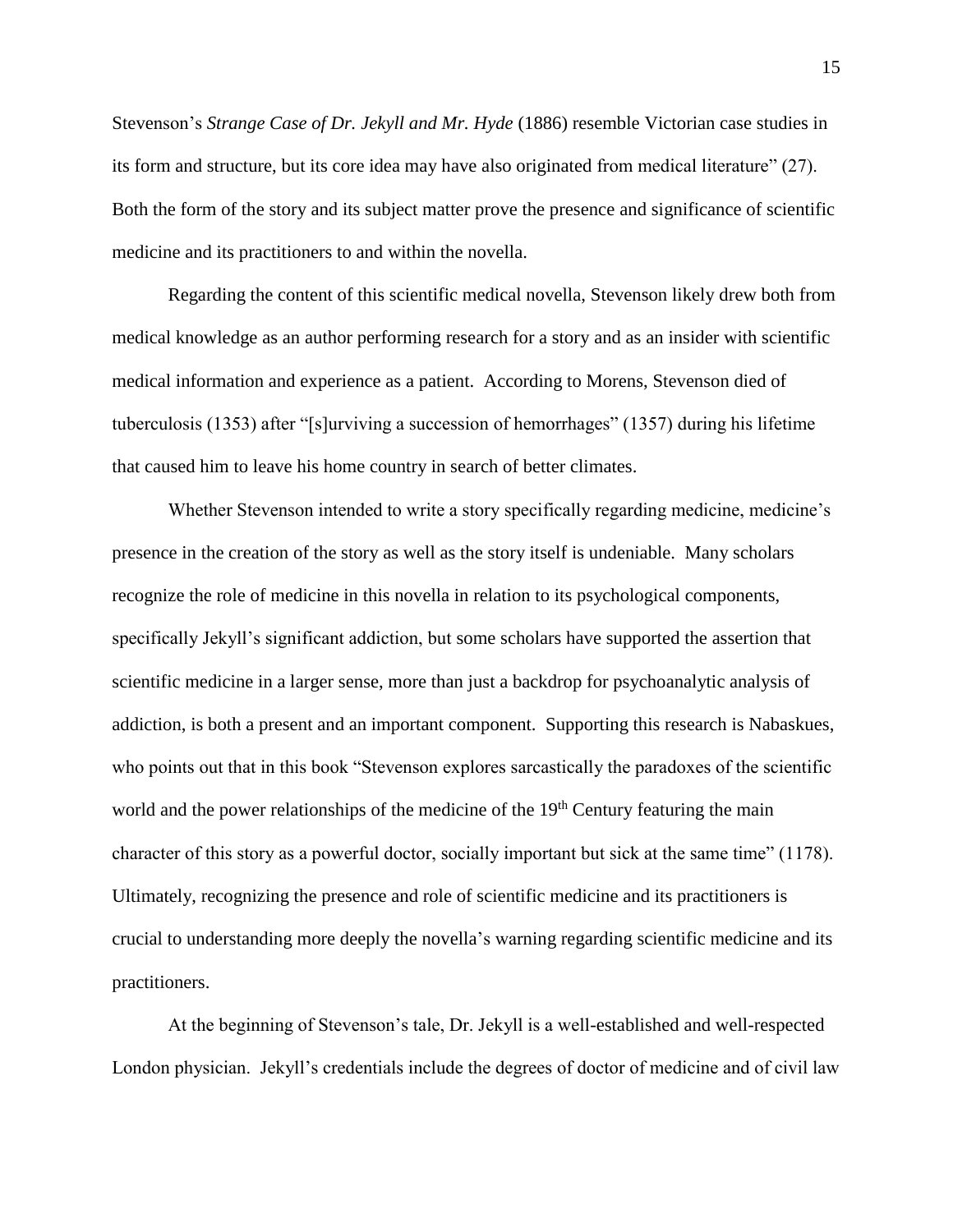Stevenson's *Strange Case of Dr. Jekyll and Mr. Hyde* (1886) resemble Victorian case studies in its form and structure, but its core idea may have also originated from medical literature" (27). Both the form of the story and its subject matter prove the presence and significance of scientific medicine and its practitioners to and within the novella.

Regarding the content of this scientific medical novella, Stevenson likely drew both from medical knowledge as an author performing research for a story and as an insider with scientific medical information and experience as a patient. According to Morens, Stevenson died of tuberculosis (1353) after "[s]urviving a succession of hemorrhages" (1357) during his lifetime that caused him to leave his home country in search of better climates.

Whether Stevenson intended to write a story specifically regarding medicine, medicine's presence in the creation of the story as well as the story itself is undeniable. Many scholars recognize the role of medicine in this novella in relation to its psychological components, specifically Jekyll's significant addiction, but some scholars have supported the assertion that scientific medicine in a larger sense, more than just a backdrop for psychoanalytic analysis of addiction, is both a present and an important component. Supporting this research is Nabaskues, who points out that in this book "Stevenson explores sarcastically the paradoxes of the scientific world and the power relationships of the medicine of the  $19<sup>th</sup>$  Century featuring the main character of this story as a powerful doctor, socially important but sick at the same time" (1178). Ultimately, recognizing the presence and role of scientific medicine and its practitioners is crucial to understanding more deeply the novella's warning regarding scientific medicine and its practitioners.

At the beginning of Stevenson's tale, Dr. Jekyll is a well-established and well-respected London physician. Jekyll's credentials include the degrees of doctor of medicine and of civil law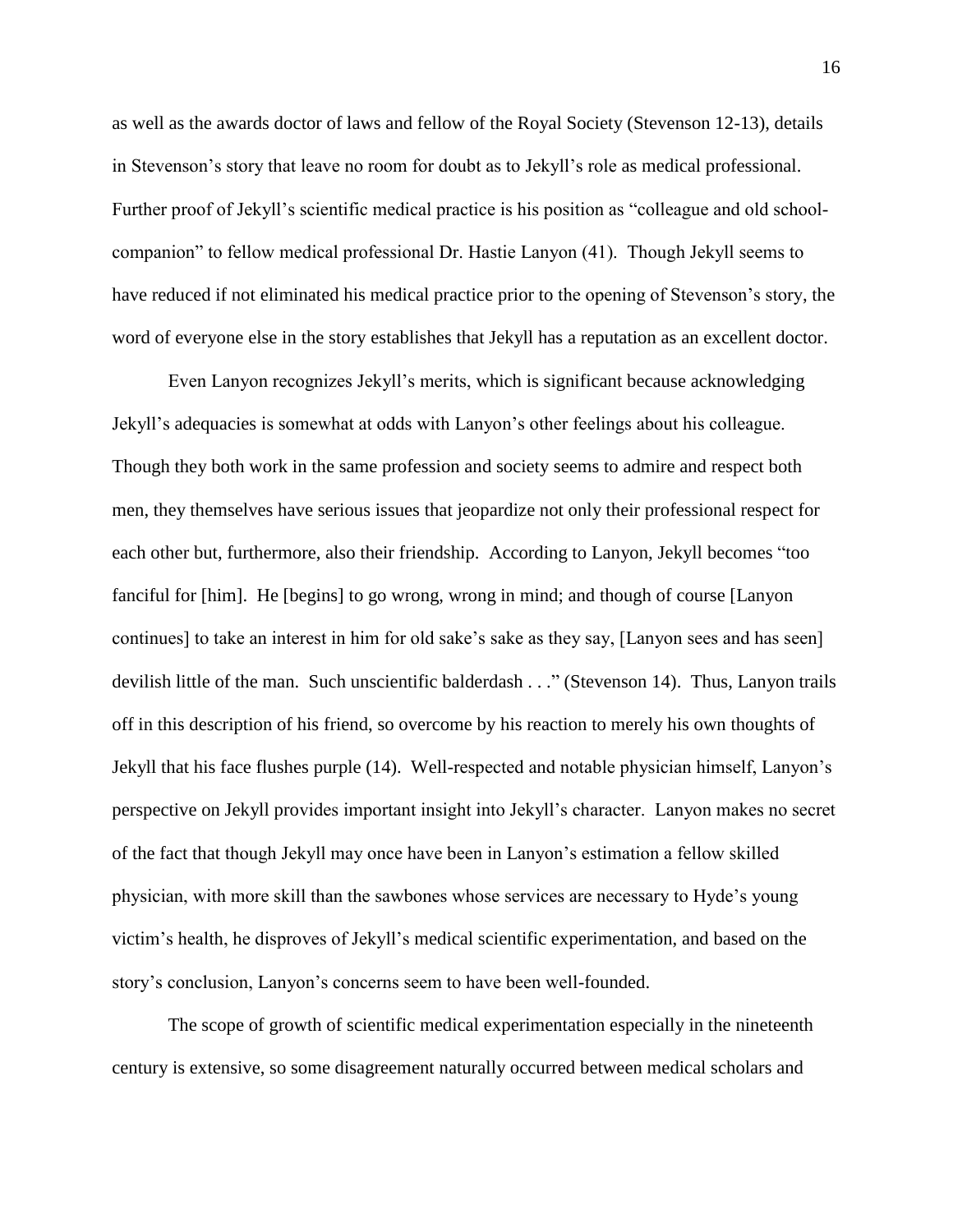as well as the awards doctor of laws and fellow of the Royal Society (Stevenson 12-13), details in Stevenson's story that leave no room for doubt as to Jekyll's role as medical professional. Further proof of Jekyll's scientific medical practice is his position as "colleague and old schoolcompanion" to fellow medical professional Dr. Hastie Lanyon (41). Though Jekyll seems to have reduced if not eliminated his medical practice prior to the opening of Stevenson's story, the word of everyone else in the story establishes that Jekyll has a reputation as an excellent doctor.

Even Lanyon recognizes Jekyll's merits, which is significant because acknowledging Jekyll's adequacies is somewhat at odds with Lanyon's other feelings about his colleague. Though they both work in the same profession and society seems to admire and respect both men, they themselves have serious issues that jeopardize not only their professional respect for each other but, furthermore, also their friendship. According to Lanyon, Jekyll becomes "too fanciful for [him]. He [begins] to go wrong, wrong in mind; and though of course [Lanyon continues] to take an interest in him for old sake's sake as they say, [Lanyon sees and has seen] devilish little of the man. Such unscientific balderdash . . ." (Stevenson 14). Thus, Lanyon trails off in this description of his friend, so overcome by his reaction to merely his own thoughts of Jekyll that his face flushes purple (14). Well-respected and notable physician himself, Lanyon's perspective on Jekyll provides important insight into Jekyll's character. Lanyon makes no secret of the fact that though Jekyll may once have been in Lanyon's estimation a fellow skilled physician, with more skill than the sawbones whose services are necessary to Hyde's young victim's health, he disproves of Jekyll's medical scientific experimentation, and based on the story's conclusion, Lanyon's concerns seem to have been well-founded.

The scope of growth of scientific medical experimentation especially in the nineteenth century is extensive, so some disagreement naturally occurred between medical scholars and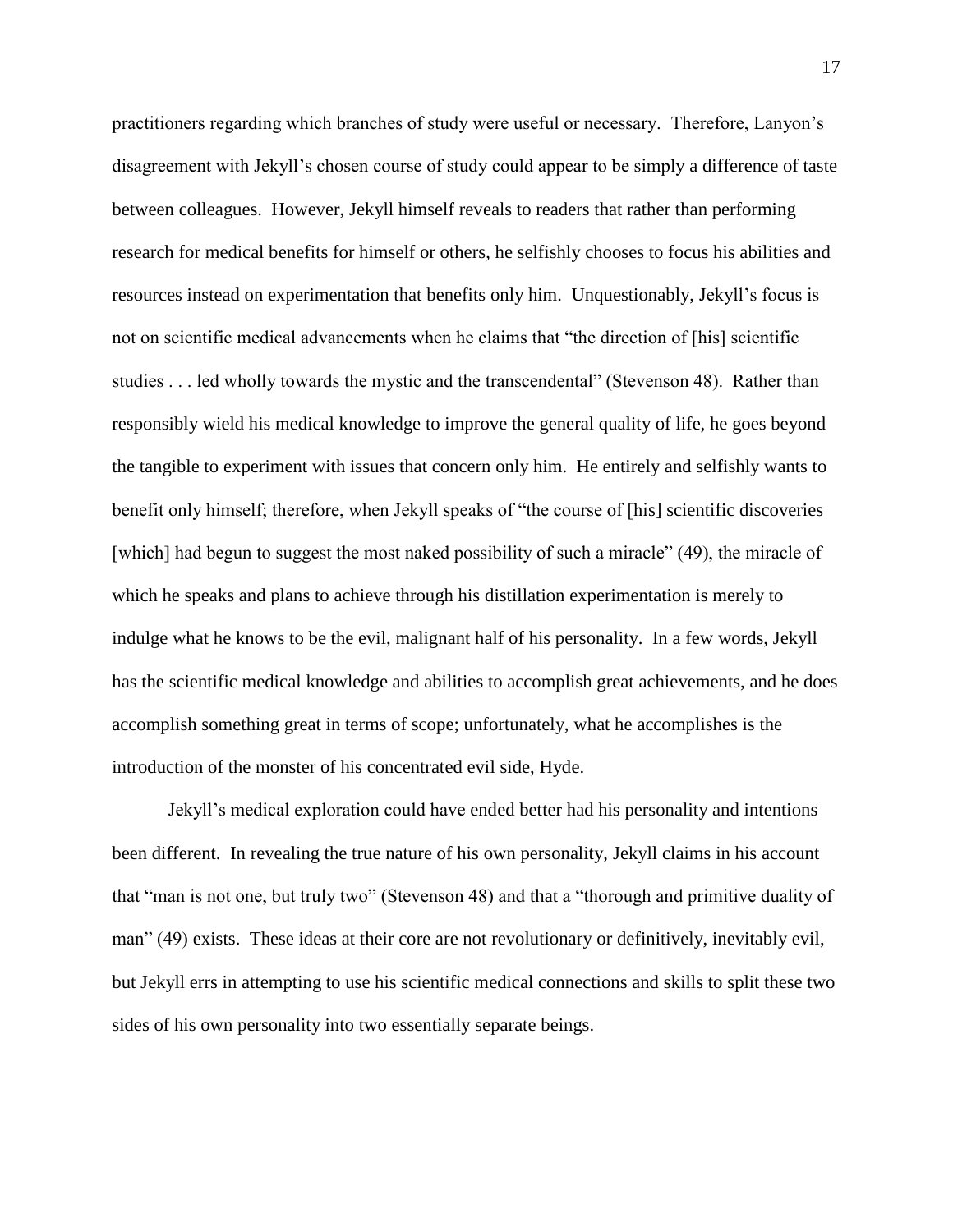practitioners regarding which branches of study were useful or necessary. Therefore, Lanyon's disagreement with Jekyll's chosen course of study could appear to be simply a difference of taste between colleagues. However, Jekyll himself reveals to readers that rather than performing research for medical benefits for himself or others, he selfishly chooses to focus his abilities and resources instead on experimentation that benefits only him. Unquestionably, Jekyll's focus is not on scientific medical advancements when he claims that "the direction of [his] scientific studies . . . led wholly towards the mystic and the transcendental" (Stevenson 48). Rather than responsibly wield his medical knowledge to improve the general quality of life, he goes beyond the tangible to experiment with issues that concern only him. He entirely and selfishly wants to benefit only himself; therefore, when Jekyll speaks of "the course of [his] scientific discoveries [which] had begun to suggest the most naked possibility of such a miracle" (49), the miracle of which he speaks and plans to achieve through his distillation experimentation is merely to indulge what he knows to be the evil, malignant half of his personality. In a few words, Jekyll has the scientific medical knowledge and abilities to accomplish great achievements, and he does accomplish something great in terms of scope; unfortunately, what he accomplishes is the introduction of the monster of his concentrated evil side, Hyde.

Jekyll's medical exploration could have ended better had his personality and intentions been different. In revealing the true nature of his own personality, Jekyll claims in his account that "man is not one, but truly two" (Stevenson 48) and that a "thorough and primitive duality of man" (49) exists. These ideas at their core are not revolutionary or definitively, inevitably evil, but Jekyll errs in attempting to use his scientific medical connections and skills to split these two sides of his own personality into two essentially separate beings.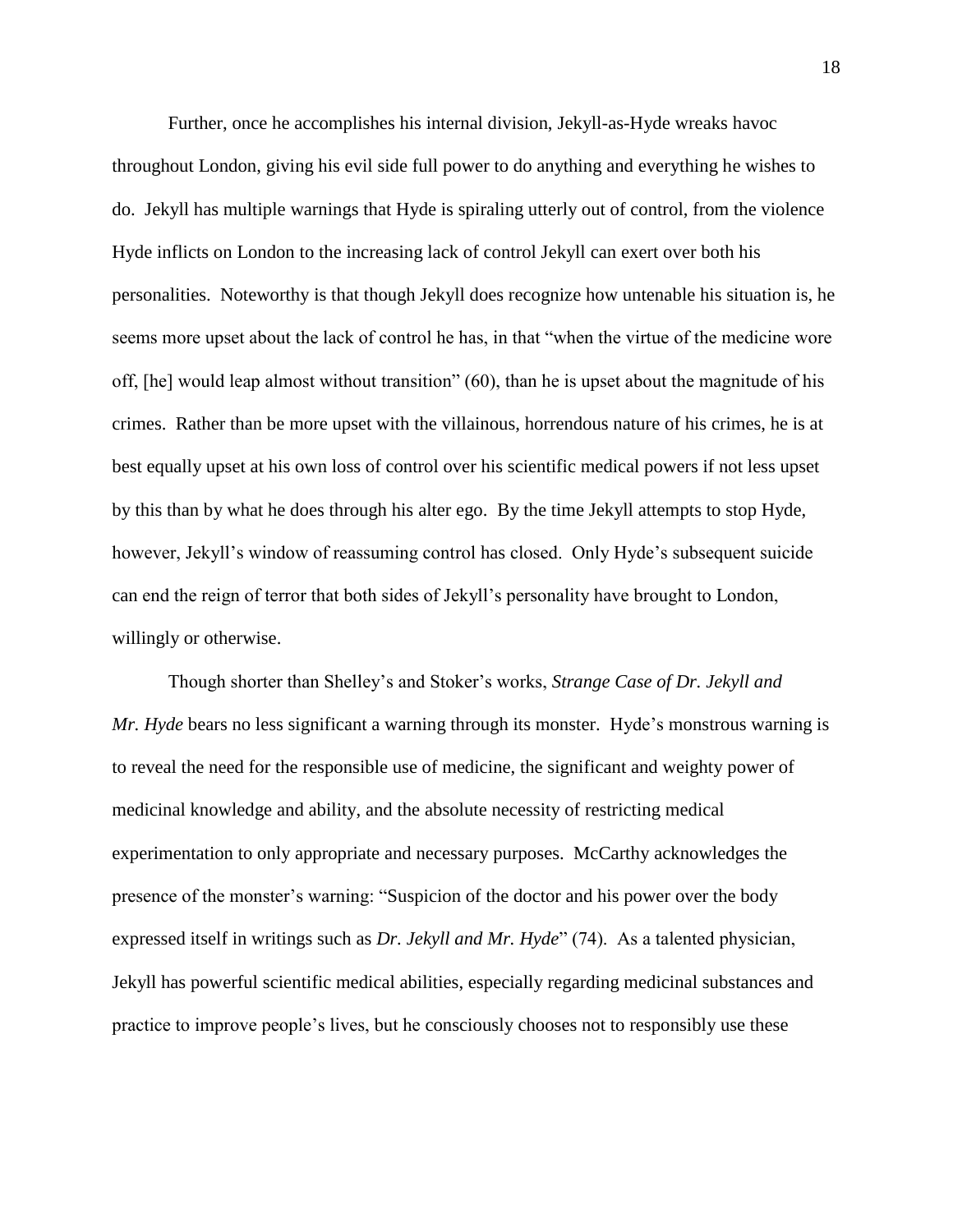Further, once he accomplishes his internal division, Jekyll-as-Hyde wreaks havoc throughout London, giving his evil side full power to do anything and everything he wishes to do. Jekyll has multiple warnings that Hyde is spiraling utterly out of control, from the violence Hyde inflicts on London to the increasing lack of control Jekyll can exert over both his personalities. Noteworthy is that though Jekyll does recognize how untenable his situation is, he seems more upset about the lack of control he has, in that "when the virtue of the medicine wore off, [he] would leap almost without transition" (60), than he is upset about the magnitude of his crimes. Rather than be more upset with the villainous, horrendous nature of his crimes, he is at best equally upset at his own loss of control over his scientific medical powers if not less upset by this than by what he does through his alter ego. By the time Jekyll attempts to stop Hyde, however, Jekyll's window of reassuming control has closed. Only Hyde's subsequent suicide can end the reign of terror that both sides of Jekyll's personality have brought to London, willingly or otherwise.

Though shorter than Shelley's and Stoker's works, *Strange Case of Dr. Jekyll and Mr. Hyde* bears no less significant a warning through its monster. Hyde's monstrous warning is to reveal the need for the responsible use of medicine, the significant and weighty power of medicinal knowledge and ability, and the absolute necessity of restricting medical experimentation to only appropriate and necessary purposes. McCarthy acknowledges the presence of the monster's warning: "Suspicion of the doctor and his power over the body expressed itself in writings such as *Dr. Jekyll and Mr. Hyde*" (74). As a talented physician, Jekyll has powerful scientific medical abilities, especially regarding medicinal substances and practice to improve people's lives, but he consciously chooses not to responsibly use these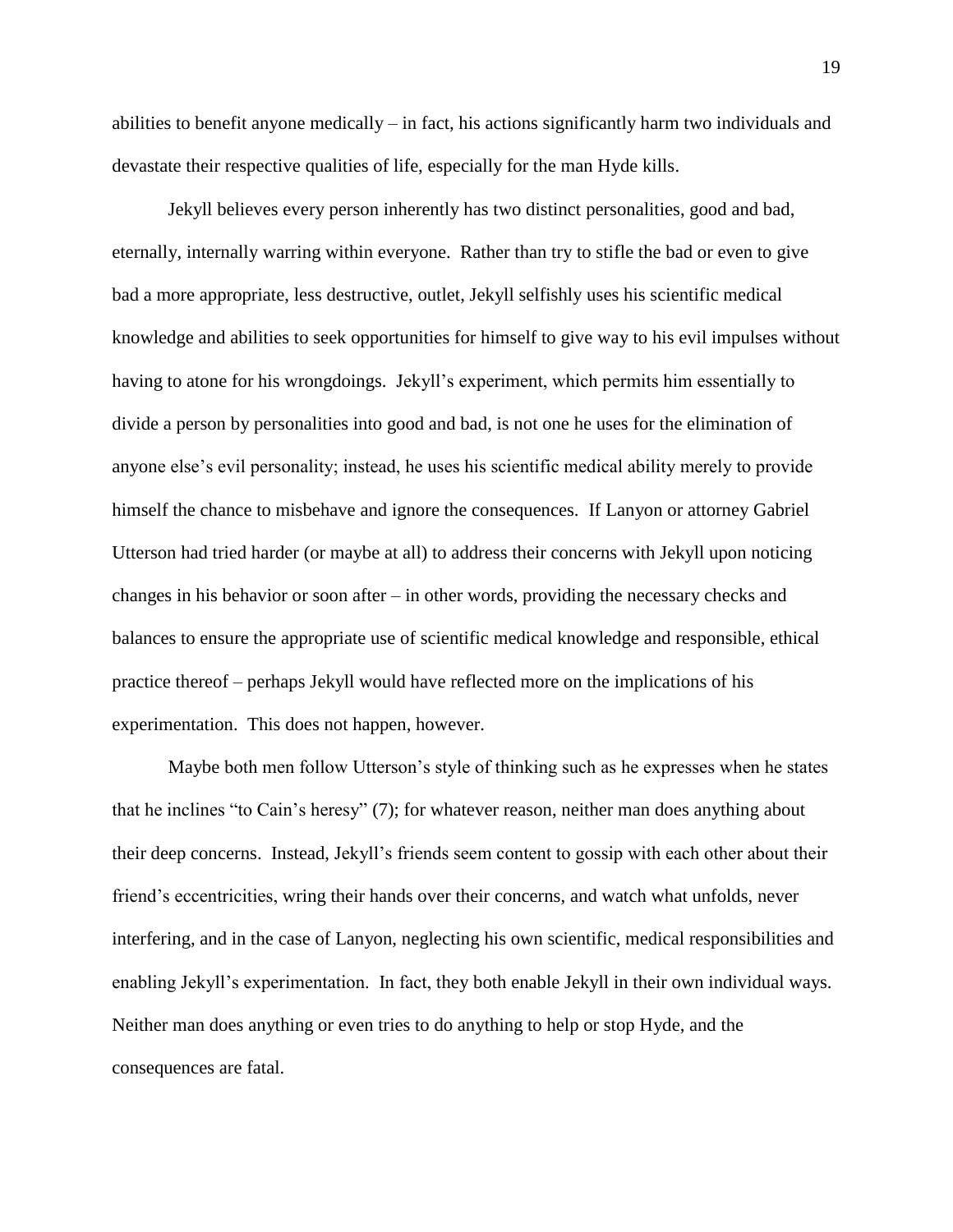abilities to benefit anyone medically – in fact, his actions significantly harm two individuals and devastate their respective qualities of life, especially for the man Hyde kills.

Jekyll believes every person inherently has two distinct personalities, good and bad, eternally, internally warring within everyone. Rather than try to stifle the bad or even to give bad a more appropriate, less destructive, outlet, Jekyll selfishly uses his scientific medical knowledge and abilities to seek opportunities for himself to give way to his evil impulses without having to atone for his wrongdoings. Jekyll's experiment, which permits him essentially to divide a person by personalities into good and bad, is not one he uses for the elimination of anyone else's evil personality; instead, he uses his scientific medical ability merely to provide himself the chance to misbehave and ignore the consequences. If Lanyon or attorney Gabriel Utterson had tried harder (or maybe at all) to address their concerns with Jekyll upon noticing changes in his behavior or soon after – in other words, providing the necessary checks and balances to ensure the appropriate use of scientific medical knowledge and responsible, ethical practice thereof – perhaps Jekyll would have reflected more on the implications of his experimentation. This does not happen, however.

Maybe both men follow Utterson's style of thinking such as he expresses when he states that he inclines "to Cain's heresy" (7); for whatever reason, neither man does anything about their deep concerns. Instead, Jekyll's friends seem content to gossip with each other about their friend's eccentricities, wring their hands over their concerns, and watch what unfolds, never interfering, and in the case of Lanyon, neglecting his own scientific, medical responsibilities and enabling Jekyll's experimentation. In fact, they both enable Jekyll in their own individual ways. Neither man does anything or even tries to do anything to help or stop Hyde, and the consequences are fatal.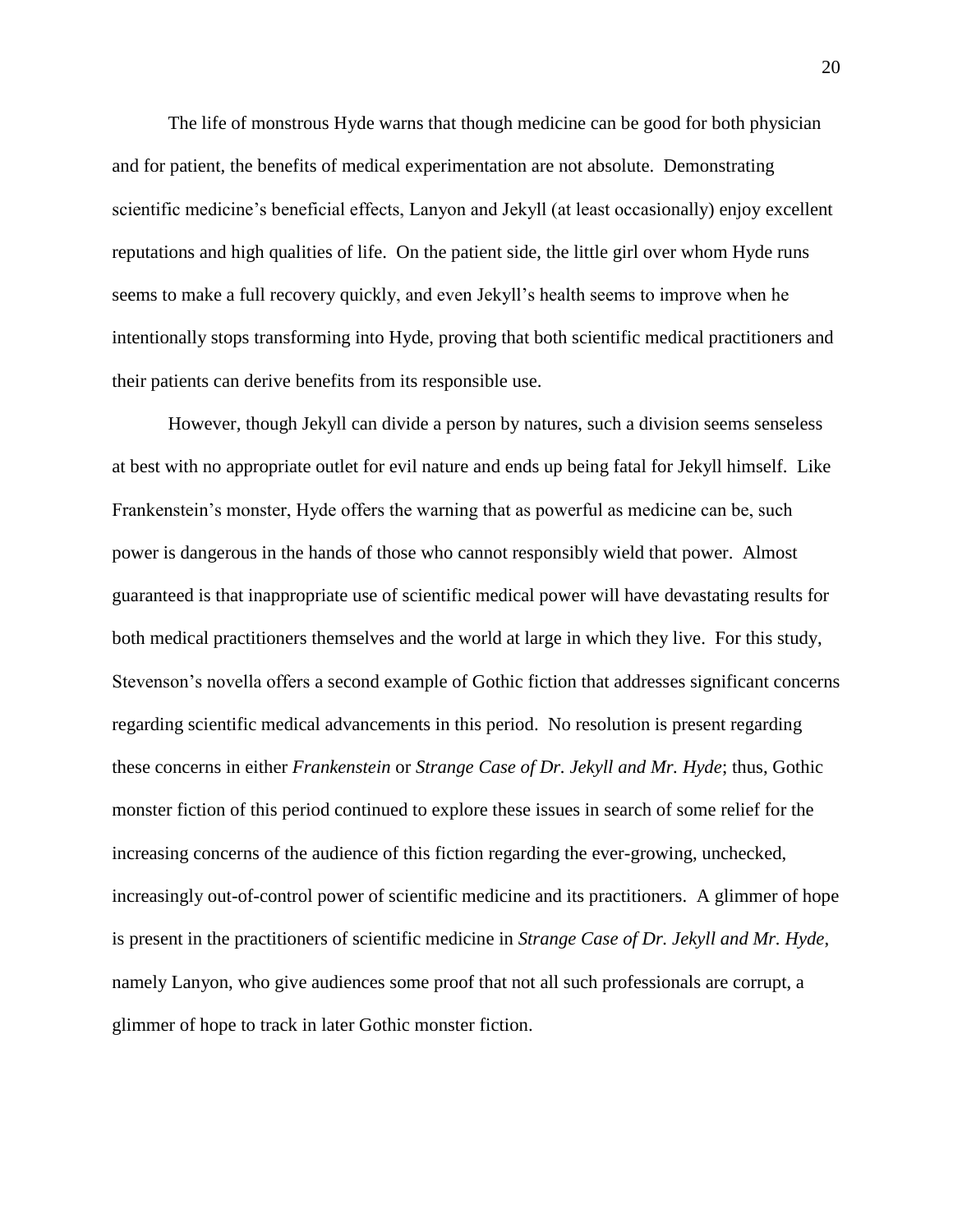The life of monstrous Hyde warns that though medicine can be good for both physician and for patient, the benefits of medical experimentation are not absolute. Demonstrating scientific medicine's beneficial effects, Lanyon and Jekyll (at least occasionally) enjoy excellent reputations and high qualities of life. On the patient side, the little girl over whom Hyde runs seems to make a full recovery quickly, and even Jekyll's health seems to improve when he intentionally stops transforming into Hyde, proving that both scientific medical practitioners and their patients can derive benefits from its responsible use.

However, though Jekyll can divide a person by natures, such a division seems senseless at best with no appropriate outlet for evil nature and ends up being fatal for Jekyll himself. Like Frankenstein's monster, Hyde offers the warning that as powerful as medicine can be, such power is dangerous in the hands of those who cannot responsibly wield that power. Almost guaranteed is that inappropriate use of scientific medical power will have devastating results for both medical practitioners themselves and the world at large in which they live. For this study, Stevenson's novella offers a second example of Gothic fiction that addresses significant concerns regarding scientific medical advancements in this period. No resolution is present regarding these concerns in either *Frankenstein* or *Strange Case of Dr. Jekyll and Mr. Hyde*; thus, Gothic monster fiction of this period continued to explore these issues in search of some relief for the increasing concerns of the audience of this fiction regarding the ever-growing, unchecked, increasingly out-of-control power of scientific medicine and its practitioners. A glimmer of hope is present in the practitioners of scientific medicine in *Strange Case of Dr. Jekyll and Mr. Hyde*, namely Lanyon, who give audiences some proof that not all such professionals are corrupt, a glimmer of hope to track in later Gothic monster fiction.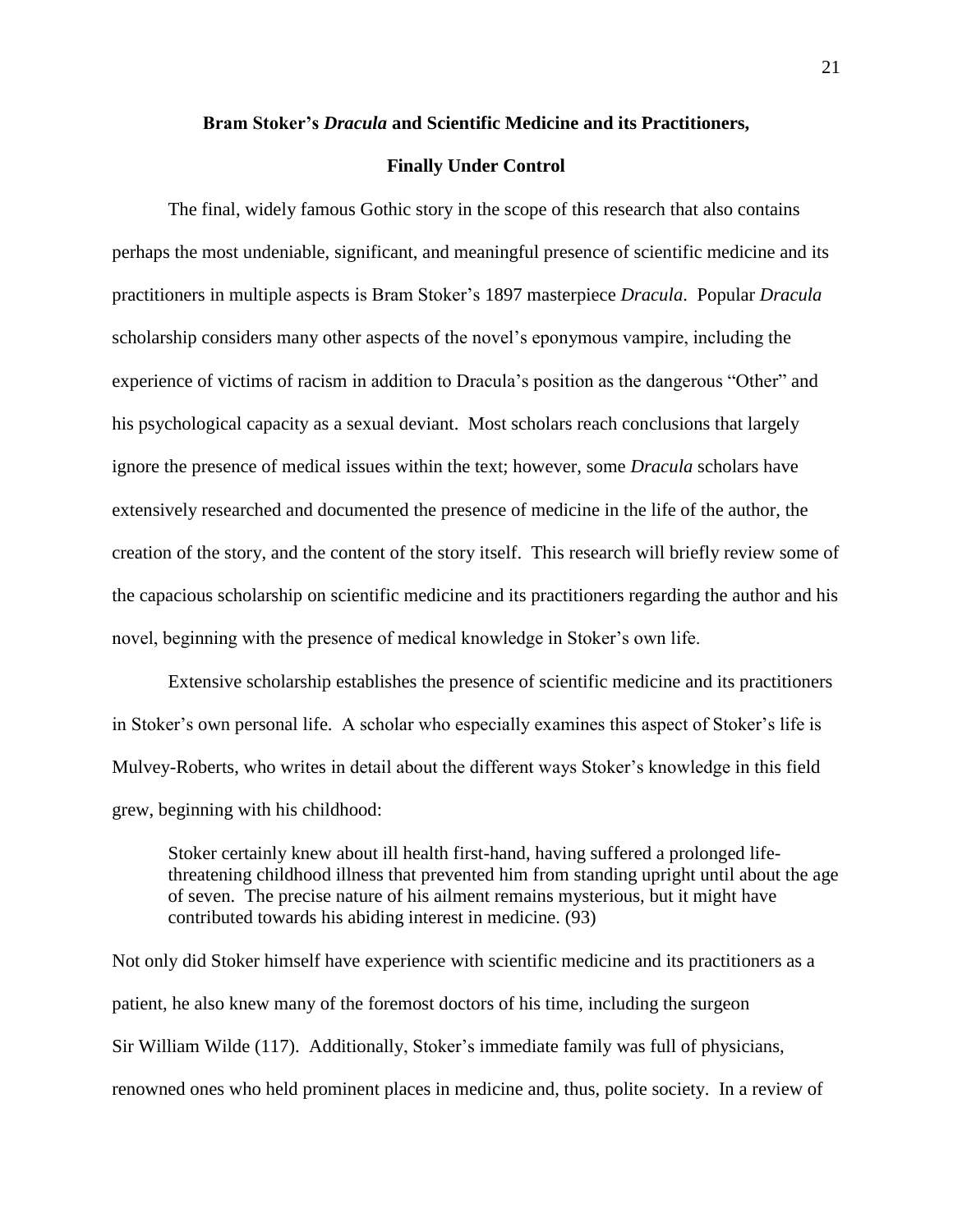#### **Bram Stoker's** *Dracula* **and Scientific Medicine and its Practitioners,**

#### **Finally Under Control**

The final, widely famous Gothic story in the scope of this research that also contains perhaps the most undeniable, significant, and meaningful presence of scientific medicine and its practitioners in multiple aspects is Bram Stoker's 1897 masterpiece *Dracula*. Popular *Dracula*  scholarship considers many other aspects of the novel's eponymous vampire, including the experience of victims of racism in addition to Dracula's position as the dangerous "Other" and his psychological capacity as a sexual deviant. Most scholars reach conclusions that largely ignore the presence of medical issues within the text; however, some *Dracula* scholars have extensively researched and documented the presence of medicine in the life of the author, the creation of the story, and the content of the story itself. This research will briefly review some of the capacious scholarship on scientific medicine and its practitioners regarding the author and his novel, beginning with the presence of medical knowledge in Stoker's own life.

Extensive scholarship establishes the presence of scientific medicine and its practitioners in Stoker's own personal life. A scholar who especially examines this aspect of Stoker's life is Mulvey-Roberts, who writes in detail about the different ways Stoker's knowledge in this field grew, beginning with his childhood:

Stoker certainly knew about ill health first-hand, having suffered a prolonged lifethreatening childhood illness that prevented him from standing upright until about the age of seven. The precise nature of his ailment remains mysterious, but it might have contributed towards his abiding interest in medicine. (93)

Not only did Stoker himself have experience with scientific medicine and its practitioners as a patient, he also knew many of the foremost doctors of his time, including the surgeon Sir William Wilde (117). Additionally, Stoker's immediate family was full of physicians, renowned ones who held prominent places in medicine and, thus, polite society. In a review of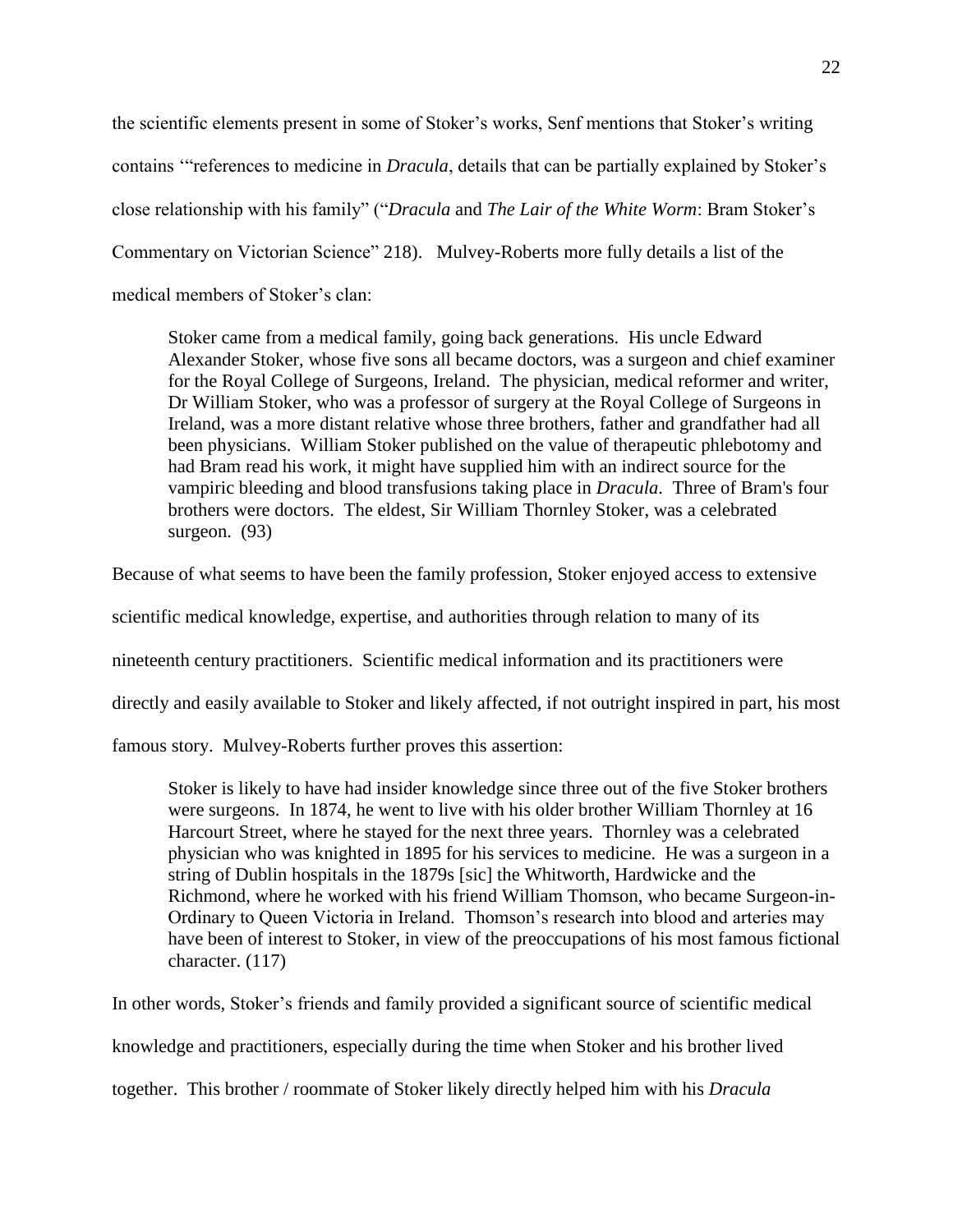the scientific elements present in some of Stoker's works, Senf mentions that Stoker's writing contains '"references to medicine in *Dracula*, details that can be partially explained by Stoker's close relationship with his family" ("*Dracula* and *The Lair of the White Worm*: Bram Stoker's Commentary on Victorian Science" 218). Mulvey-Roberts more fully details a list of the medical members of Stoker's clan:

Stoker came from a medical family, going back generations. His uncle Edward Alexander Stoker, whose five sons all became doctors, was a surgeon and chief examiner for the Royal College of Surgeons, Ireland. The physician, medical reformer and writer, Dr William Stoker, who was a professor of surgery at the Royal College of Surgeons in Ireland, was a more distant relative whose three brothers, father and grandfather had all been physicians. William Stoker published on the value of therapeutic phlebotomy and had Bram read his work, it might have supplied him with an indirect source for the vampiric bleeding and blood transfusions taking place in *Dracula*. Three of Bram's four brothers were doctors. The eldest, Sir William Thornley Stoker, was a celebrated surgeon. (93)

Because of what seems to have been the family profession, Stoker enjoyed access to extensive

scientific medical knowledge, expertise, and authorities through relation to many of its

nineteenth century practitioners. Scientific medical information and its practitioners were

directly and easily available to Stoker and likely affected, if not outright inspired in part, his most

famous story. Mulvey-Roberts further proves this assertion:

Stoker is likely to have had insider knowledge since three out of the five Stoker brothers were surgeons. In 1874, he went to live with his older brother William Thornley at 16 Harcourt Street, where he stayed for the next three years. Thornley was a celebrated physician who was knighted in 1895 for his services to medicine. He was a surgeon in a string of Dublin hospitals in the 1879s [sic] the Whitworth, Hardwicke and the Richmond, where he worked with his friend William Thomson, who became Surgeon-in-Ordinary to Queen Victoria in Ireland. Thomson's research into blood and arteries may have been of interest to Stoker, in view of the preoccupations of his most famous fictional character. (117)

In other words, Stoker's friends and family provided a significant source of scientific medical

knowledge and practitioners, especially during the time when Stoker and his brother lived

together. This brother / roommate of Stoker likely directly helped him with his *Dracula*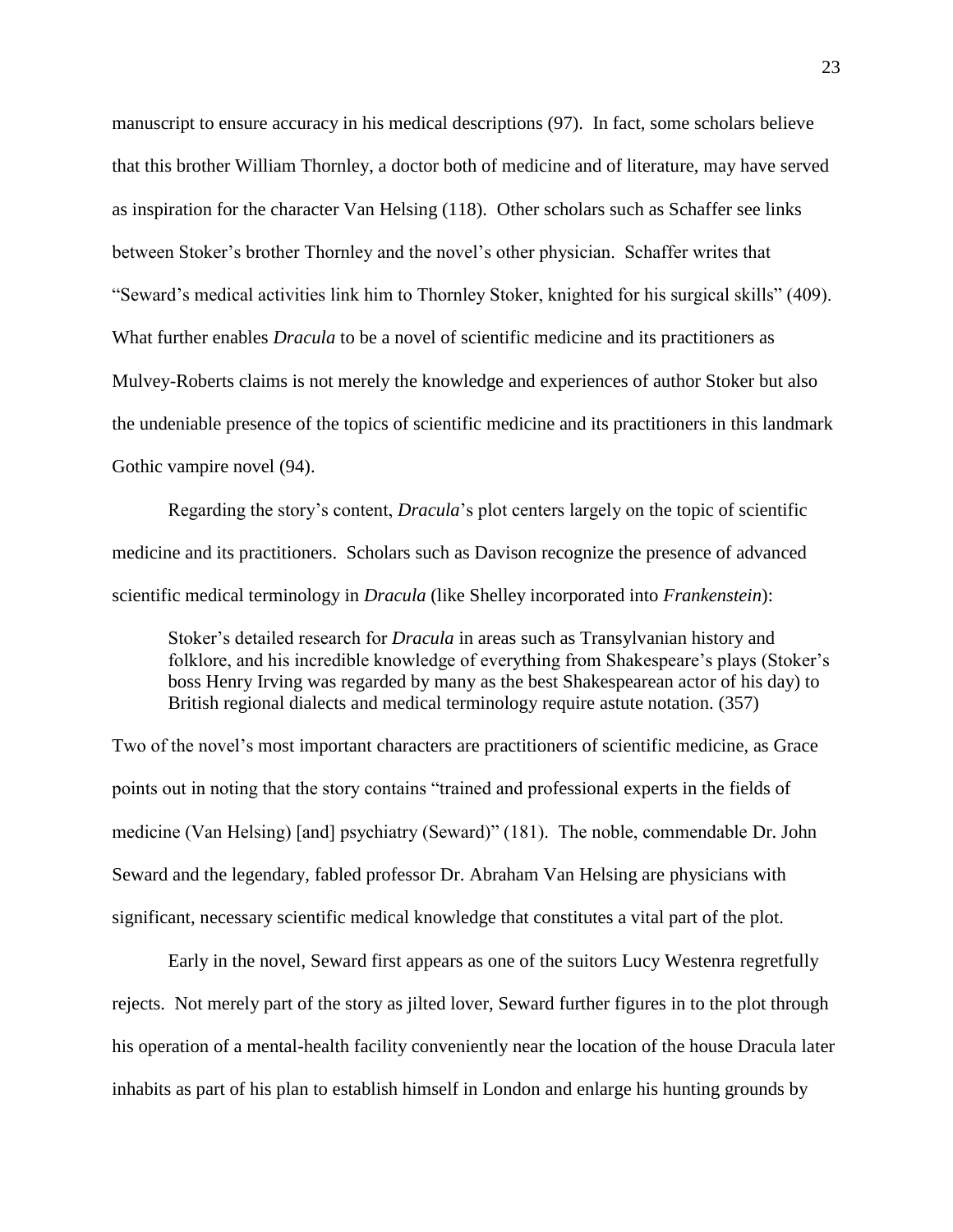manuscript to ensure accuracy in his medical descriptions (97). In fact, some scholars believe that this brother William Thornley, a doctor both of medicine and of literature, may have served as inspiration for the character Van Helsing (118). Other scholars such as Schaffer see links between Stoker's brother Thornley and the novel's other physician. Schaffer writes that "Seward's medical activities link him to Thornley Stoker, knighted for his surgical skills" (409). What further enables *Dracula* to be a novel of scientific medicine and its practitioners as Mulvey-Roberts claims is not merely the knowledge and experiences of author Stoker but also the undeniable presence of the topics of scientific medicine and its practitioners in this landmark Gothic vampire novel (94).

Regarding the story's content, *Dracula*'s plot centers largely on the topic of scientific medicine and its practitioners. Scholars such as Davison recognize the presence of advanced scientific medical terminology in *Dracula* (like Shelley incorporated into *Frankenstein*):

Stoker's detailed research for *Dracula* in areas such as Transylvanian history and folklore, and his incredible knowledge of everything from Shakespeare's plays (Stoker's boss Henry Irving was regarded by many as the best Shakespearean actor of his day) to British regional dialects and medical terminology require astute notation. (357)

Two of the novel's most important characters are practitioners of scientific medicine, as Grace points out in noting that the story contains "trained and professional experts in the fields of medicine (Van Helsing) [and] psychiatry (Seward)" (181). The noble, commendable Dr. John Seward and the legendary, fabled professor Dr. Abraham Van Helsing are physicians with significant, necessary scientific medical knowledge that constitutes a vital part of the plot.

Early in the novel, Seward first appears as one of the suitors Lucy Westenra regretfully rejects. Not merely part of the story as jilted lover, Seward further figures in to the plot through his operation of a mental-health facility conveniently near the location of the house Dracula later inhabits as part of his plan to establish himself in London and enlarge his hunting grounds by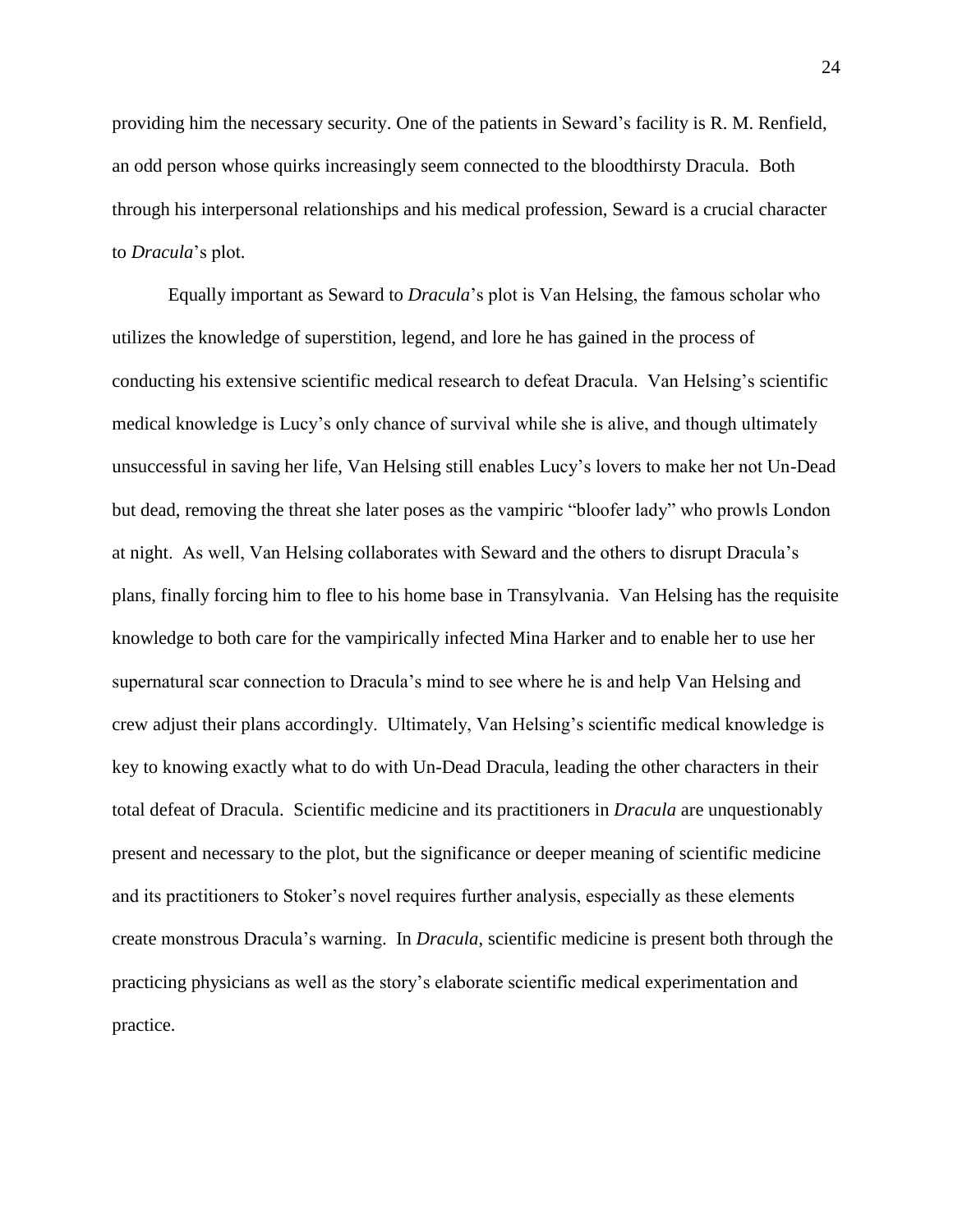providing him the necessary security. One of the patients in Seward's facility is R. M. Renfield, an odd person whose quirks increasingly seem connected to the bloodthirsty Dracula. Both through his interpersonal relationships and his medical profession, Seward is a crucial character to *Dracula*'s plot.

Equally important as Seward to *Dracula*'s plot is Van Helsing, the famous scholar who utilizes the knowledge of superstition, legend, and lore he has gained in the process of conducting his extensive scientific medical research to defeat Dracula. Van Helsing's scientific medical knowledge is Lucy's only chance of survival while she is alive, and though ultimately unsuccessful in saving her life, Van Helsing still enables Lucy's lovers to make her not Un-Dead but dead, removing the threat she later poses as the vampiric "bloofer lady" who prowls London at night. As well, Van Helsing collaborates with Seward and the others to disrupt Dracula's plans, finally forcing him to flee to his home base in Transylvania. Van Helsing has the requisite knowledge to both care for the vampirically infected Mina Harker and to enable her to use her supernatural scar connection to Dracula's mind to see where he is and help Van Helsing and crew adjust their plans accordingly. Ultimately, Van Helsing's scientific medical knowledge is key to knowing exactly what to do with Un-Dead Dracula, leading the other characters in their total defeat of Dracula. Scientific medicine and its practitioners in *Dracula* are unquestionably present and necessary to the plot, but the significance or deeper meaning of scientific medicine and its practitioners to Stoker's novel requires further analysis, especially as these elements create monstrous Dracula's warning. In *Dracula*, scientific medicine is present both through the practicing physicians as well as the story's elaborate scientific medical experimentation and practice.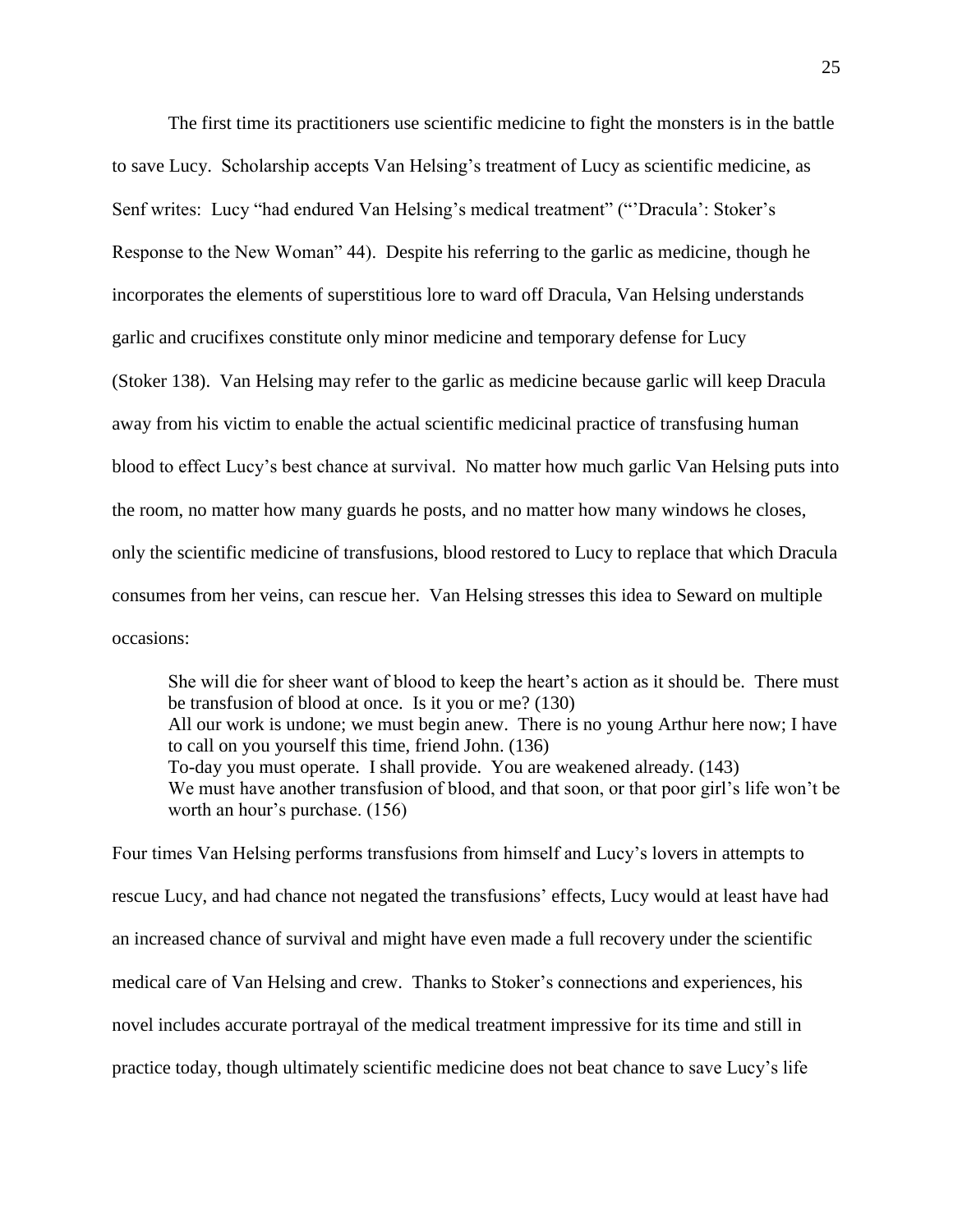The first time its practitioners use scientific medicine to fight the monsters is in the battle to save Lucy. Scholarship accepts Van Helsing's treatment of Lucy as scientific medicine, as Senf writes: Lucy "had endured Van Helsing's medical treatment" ("'Dracula': Stoker's Response to the New Woman" 44). Despite his referring to the garlic as medicine, though he incorporates the elements of superstitious lore to ward off Dracula, Van Helsing understands garlic and crucifixes constitute only minor medicine and temporary defense for Lucy (Stoker 138). Van Helsing may refer to the garlic as medicine because garlic will keep Dracula away from his victim to enable the actual scientific medicinal practice of transfusing human blood to effect Lucy's best chance at survival. No matter how much garlic Van Helsing puts into the room, no matter how many guards he posts, and no matter how many windows he closes, only the scientific medicine of transfusions, blood restored to Lucy to replace that which Dracula consumes from her veins, can rescue her. Van Helsing stresses this idea to Seward on multiple occasions:

She will die for sheer want of blood to keep the heart's action as it should be. There must be transfusion of blood at once. Is it you or me? (130) All our work is undone; we must begin anew. There is no young Arthur here now; I have to call on you yourself this time, friend John. (136) To-day you must operate. I shall provide. You are weakened already. (143) We must have another transfusion of blood, and that soon, or that poor girl's life won't be worth an hour's purchase. (156)

Four times Van Helsing performs transfusions from himself and Lucy's lovers in attempts to rescue Lucy, and had chance not negated the transfusions' effects, Lucy would at least have had an increased chance of survival and might have even made a full recovery under the scientific medical care of Van Helsing and crew. Thanks to Stoker's connections and experiences, his novel includes accurate portrayal of the medical treatment impressive for its time and still in practice today, though ultimately scientific medicine does not beat chance to save Lucy's life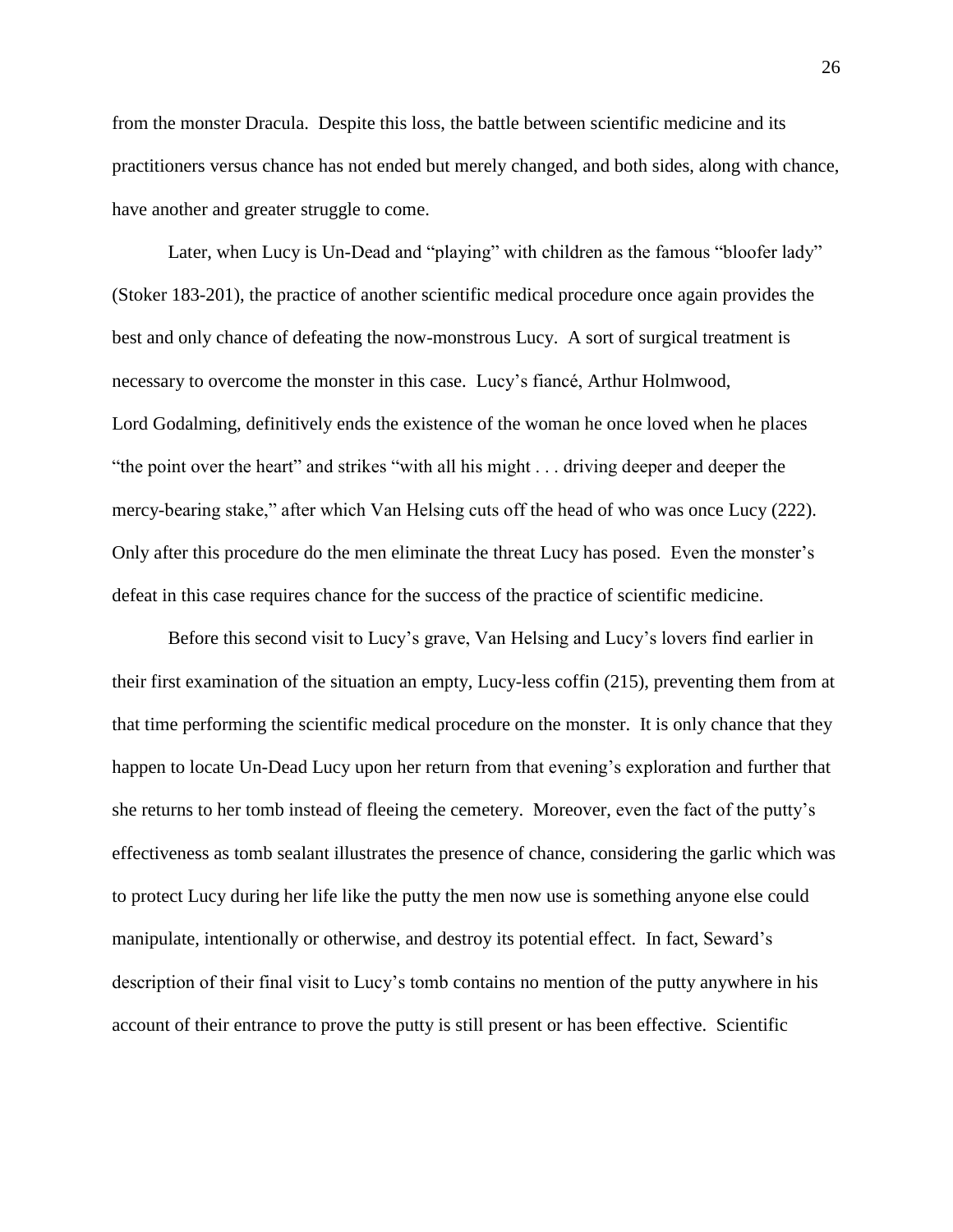from the monster Dracula. Despite this loss, the battle between scientific medicine and its practitioners versus chance has not ended but merely changed, and both sides, along with chance, have another and greater struggle to come.

Later, when Lucy is Un-Dead and "playing" with children as the famous "bloofer lady" (Stoker 183-201), the practice of another scientific medical procedure once again provides the best and only chance of defeating the now-monstrous Lucy. A sort of surgical treatment is necessary to overcome the monster in this case. Lucy's fiancé, Arthur Holmwood, Lord Godalming, definitively ends the existence of the woman he once loved when he places "the point over the heart" and strikes "with all his might . . . driving deeper and deeper the mercy-bearing stake," after which Van Helsing cuts off the head of who was once Lucy (222). Only after this procedure do the men eliminate the threat Lucy has posed. Even the monster's defeat in this case requires chance for the success of the practice of scientific medicine.

Before this second visit to Lucy's grave, Van Helsing and Lucy's lovers find earlier in their first examination of the situation an empty, Lucy-less coffin (215), preventing them from at that time performing the scientific medical procedure on the monster. It is only chance that they happen to locate Un-Dead Lucy upon her return from that evening's exploration and further that she returns to her tomb instead of fleeing the cemetery. Moreover, even the fact of the putty's effectiveness as tomb sealant illustrates the presence of chance, considering the garlic which was to protect Lucy during her life like the putty the men now use is something anyone else could manipulate, intentionally or otherwise, and destroy its potential effect. In fact, Seward's description of their final visit to Lucy's tomb contains no mention of the putty anywhere in his account of their entrance to prove the putty is still present or has been effective. Scientific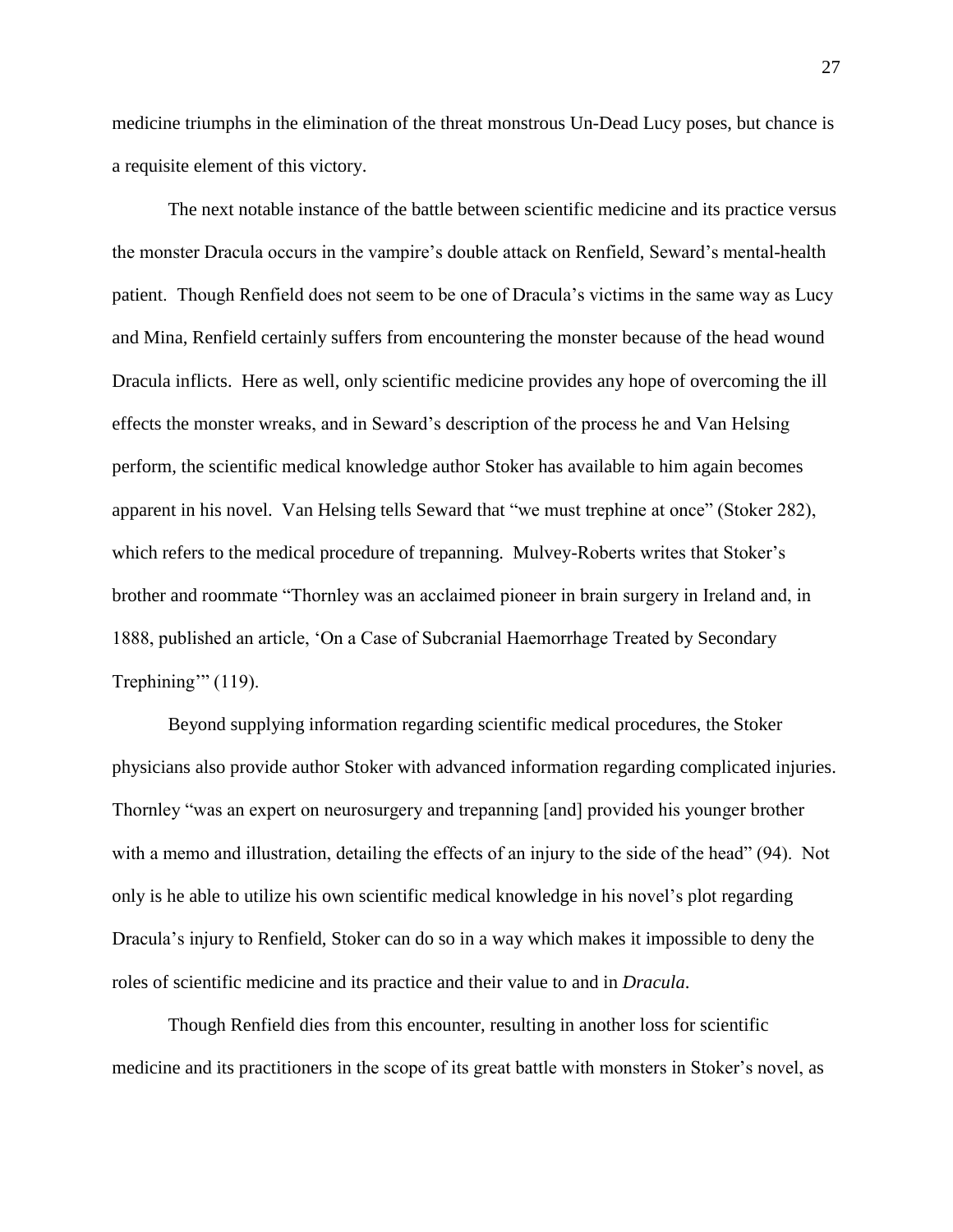medicine triumphs in the elimination of the threat monstrous Un-Dead Lucy poses, but chance is a requisite element of this victory.

The next notable instance of the battle between scientific medicine and its practice versus the monster Dracula occurs in the vampire's double attack on Renfield, Seward's mental-health patient. Though Renfield does not seem to be one of Dracula's victims in the same way as Lucy and Mina, Renfield certainly suffers from encountering the monster because of the head wound Dracula inflicts. Here as well, only scientific medicine provides any hope of overcoming the ill effects the monster wreaks, and in Seward's description of the process he and Van Helsing perform, the scientific medical knowledge author Stoker has available to him again becomes apparent in his novel. Van Helsing tells Seward that "we must trephine at once" (Stoker 282), which refers to the medical procedure of trepanning. Mulvey-Roberts writes that Stoker's brother and roommate "Thornley was an acclaimed pioneer in brain surgery in Ireland and, in 1888, published an article, 'On a Case of Subcranial Haemorrhage Treated by Secondary Trephining" (119).

Beyond supplying information regarding scientific medical procedures, the Stoker physicians also provide author Stoker with advanced information regarding complicated injuries. Thornley "was an expert on neurosurgery and trepanning [and] provided his younger brother with a memo and illustration, detailing the effects of an injury to the side of the head" (94). Not only is he able to utilize his own scientific medical knowledge in his novel's plot regarding Dracula's injury to Renfield, Stoker can do so in a way which makes it impossible to deny the roles of scientific medicine and its practice and their value to and in *Dracula*.

Though Renfield dies from this encounter, resulting in another loss for scientific medicine and its practitioners in the scope of its great battle with monsters in Stoker's novel, as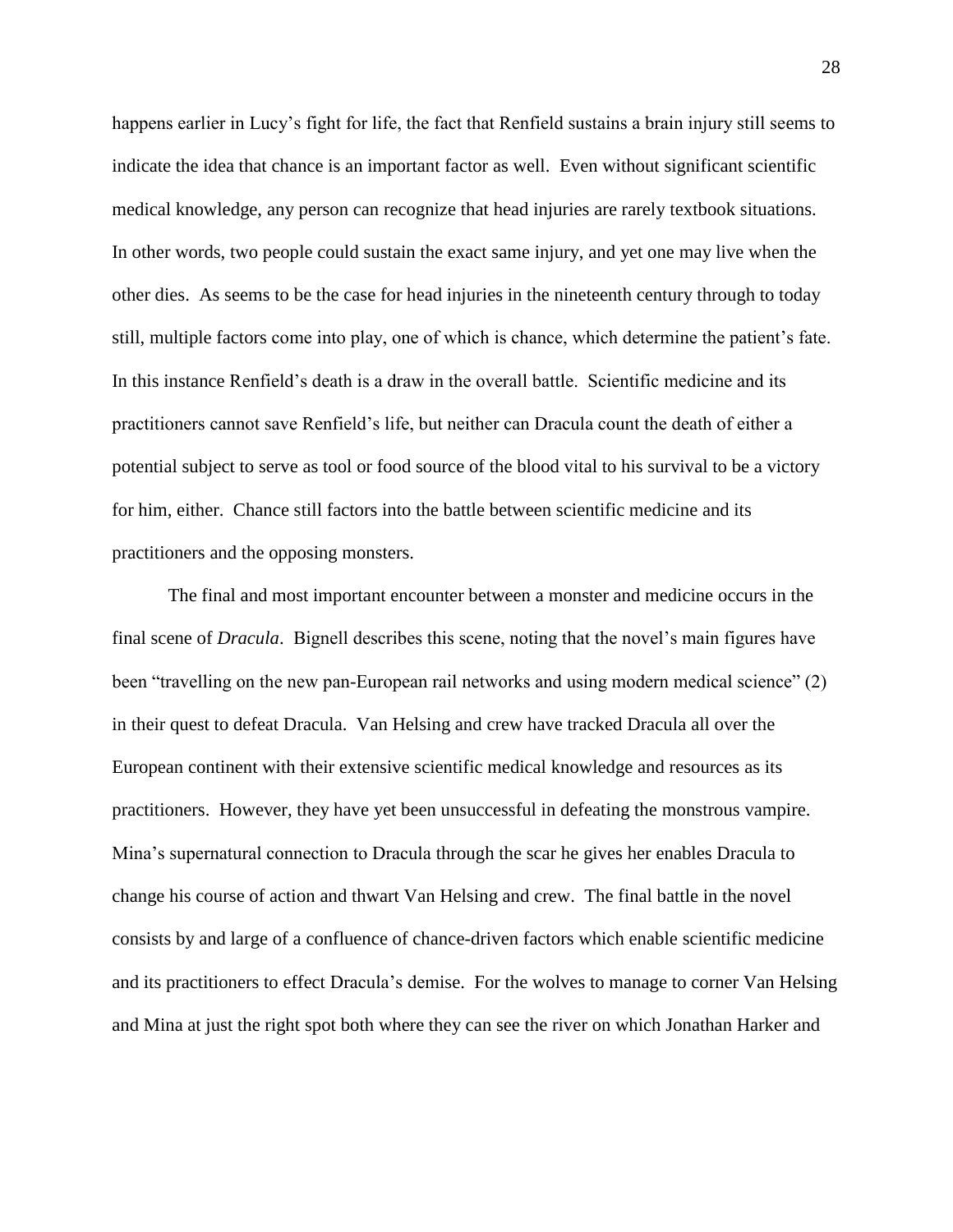happens earlier in Lucy's fight for life, the fact that Renfield sustains a brain injury still seems to indicate the idea that chance is an important factor as well. Even without significant scientific medical knowledge, any person can recognize that head injuries are rarely textbook situations. In other words, two people could sustain the exact same injury, and yet one may live when the other dies. As seems to be the case for head injuries in the nineteenth century through to today still, multiple factors come into play, one of which is chance, which determine the patient's fate. In this instance Renfield's death is a draw in the overall battle. Scientific medicine and its practitioners cannot save Renfield's life, but neither can Dracula count the death of either a potential subject to serve as tool or food source of the blood vital to his survival to be a victory for him, either. Chance still factors into the battle between scientific medicine and its practitioners and the opposing monsters.

The final and most important encounter between a monster and medicine occurs in the final scene of *Dracula*. Bignell describes this scene, noting that the novel's main figures have been "travelling on the new pan-European rail networks and using modern medical science" (2) in their quest to defeat Dracula. Van Helsing and crew have tracked Dracula all over the European continent with their extensive scientific medical knowledge and resources as its practitioners. However, they have yet been unsuccessful in defeating the monstrous vampire. Mina's supernatural connection to Dracula through the scar he gives her enables Dracula to change his course of action and thwart Van Helsing and crew. The final battle in the novel consists by and large of a confluence of chance-driven factors which enable scientific medicine and its practitioners to effect Dracula's demise. For the wolves to manage to corner Van Helsing and Mina at just the right spot both where they can see the river on which Jonathan Harker and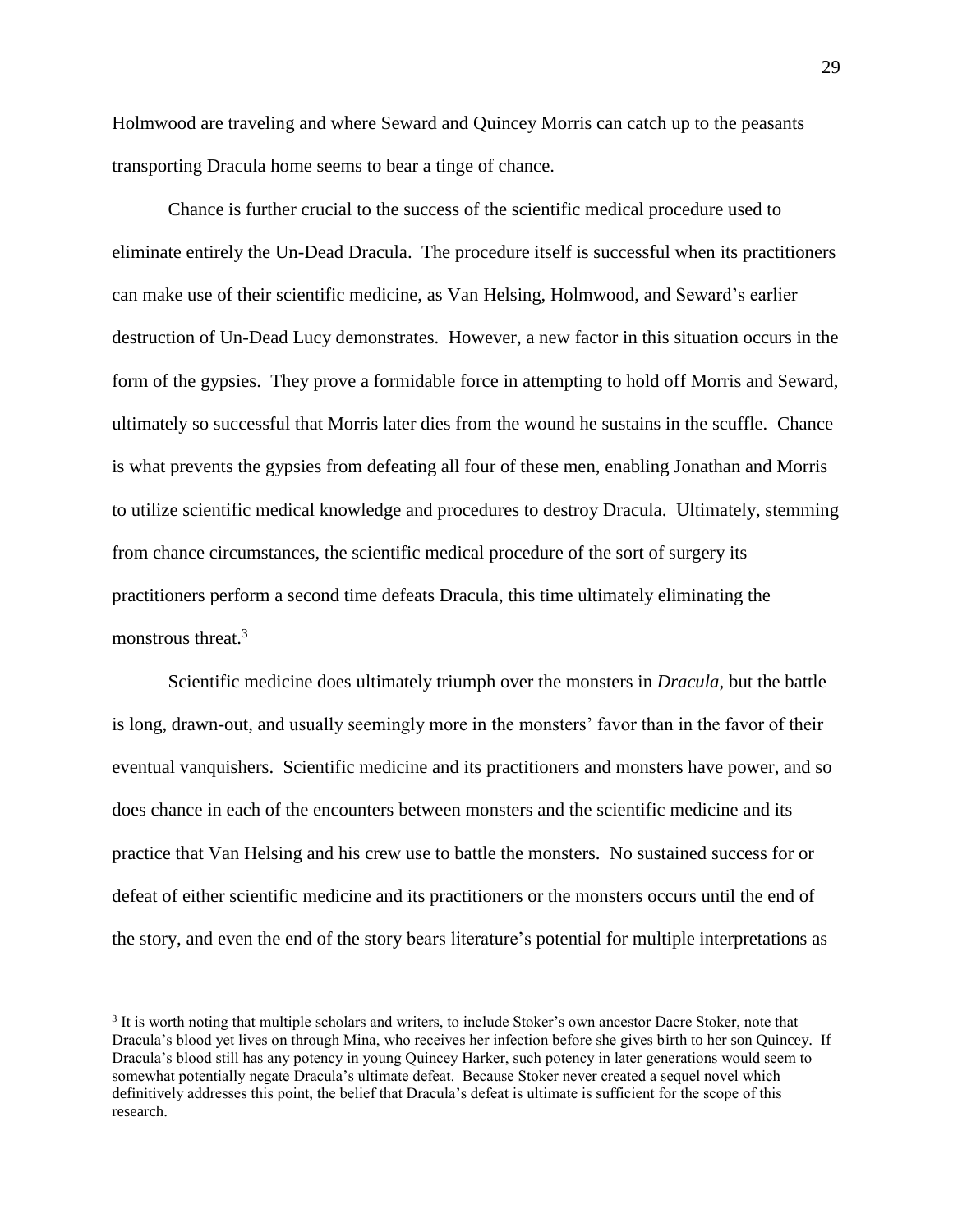Holmwood are traveling and where Seward and Quincey Morris can catch up to the peasants transporting Dracula home seems to bear a tinge of chance.

Chance is further crucial to the success of the scientific medical procedure used to eliminate entirely the Un-Dead Dracula. The procedure itself is successful when its practitioners can make use of their scientific medicine, as Van Helsing, Holmwood, and Seward's earlier destruction of Un-Dead Lucy demonstrates. However, a new factor in this situation occurs in the form of the gypsies. They prove a formidable force in attempting to hold off Morris and Seward, ultimately so successful that Morris later dies from the wound he sustains in the scuffle. Chance is what prevents the gypsies from defeating all four of these men, enabling Jonathan and Morris to utilize scientific medical knowledge and procedures to destroy Dracula. Ultimately, stemming from chance circumstances, the scientific medical procedure of the sort of surgery its practitioners perform a second time defeats Dracula, this time ultimately eliminating the monstrous threat.<sup>3</sup>

Scientific medicine does ultimately triumph over the monsters in *Dracula*, but the battle is long, drawn-out, and usually seemingly more in the monsters' favor than in the favor of their eventual vanquishers. Scientific medicine and its practitioners and monsters have power, and so does chance in each of the encounters between monsters and the scientific medicine and its practice that Van Helsing and his crew use to battle the monsters. No sustained success for or defeat of either scientific medicine and its practitioners or the monsters occurs until the end of the story, and even the end of the story bears literature's potential for multiple interpretations as

 $\overline{a}$ 

<sup>&</sup>lt;sup>3</sup> It is worth noting that multiple scholars and writers, to include Stoker's own ancestor Dacre Stoker, note that Dracula's blood yet lives on through Mina, who receives her infection before she gives birth to her son Quincey. If Dracula's blood still has any potency in young Quincey Harker, such potency in later generations would seem to somewhat potentially negate Dracula's ultimate defeat. Because Stoker never created a sequel novel which definitively addresses this point, the belief that Dracula's defeat is ultimate is sufficient for the scope of this research.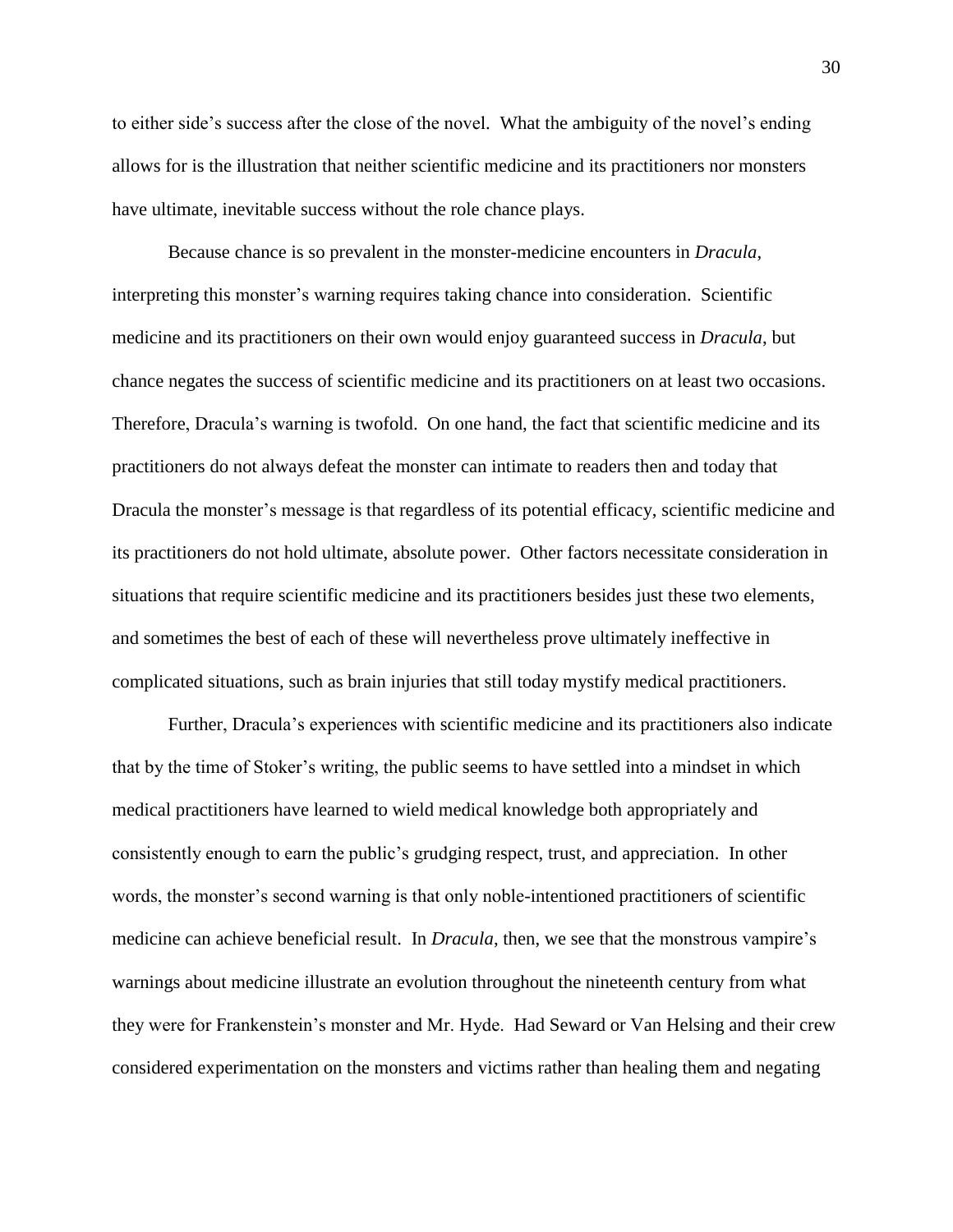to either side's success after the close of the novel. What the ambiguity of the novel's ending allows for is the illustration that neither scientific medicine and its practitioners nor monsters have ultimate, inevitable success without the role chance plays.

Because chance is so prevalent in the monster-medicine encounters in *Dracula*, interpreting this monster's warning requires taking chance into consideration. Scientific medicine and its practitioners on their own would enjoy guaranteed success in *Dracula*, but chance negates the success of scientific medicine and its practitioners on at least two occasions. Therefore, Dracula's warning is twofold. On one hand, the fact that scientific medicine and its practitioners do not always defeat the monster can intimate to readers then and today that Dracula the monster's message is that regardless of its potential efficacy, scientific medicine and its practitioners do not hold ultimate, absolute power. Other factors necessitate consideration in situations that require scientific medicine and its practitioners besides just these two elements, and sometimes the best of each of these will nevertheless prove ultimately ineffective in complicated situations, such as brain injuries that still today mystify medical practitioners.

Further, Dracula's experiences with scientific medicine and its practitioners also indicate that by the time of Stoker's writing, the public seems to have settled into a mindset in which medical practitioners have learned to wield medical knowledge both appropriately and consistently enough to earn the public's grudging respect, trust, and appreciation. In other words, the monster's second warning is that only noble-intentioned practitioners of scientific medicine can achieve beneficial result. In *Dracula*, then, we see that the monstrous vampire's warnings about medicine illustrate an evolution throughout the nineteenth century from what they were for Frankenstein's monster and Mr. Hyde. Had Seward or Van Helsing and their crew considered experimentation on the monsters and victims rather than healing them and negating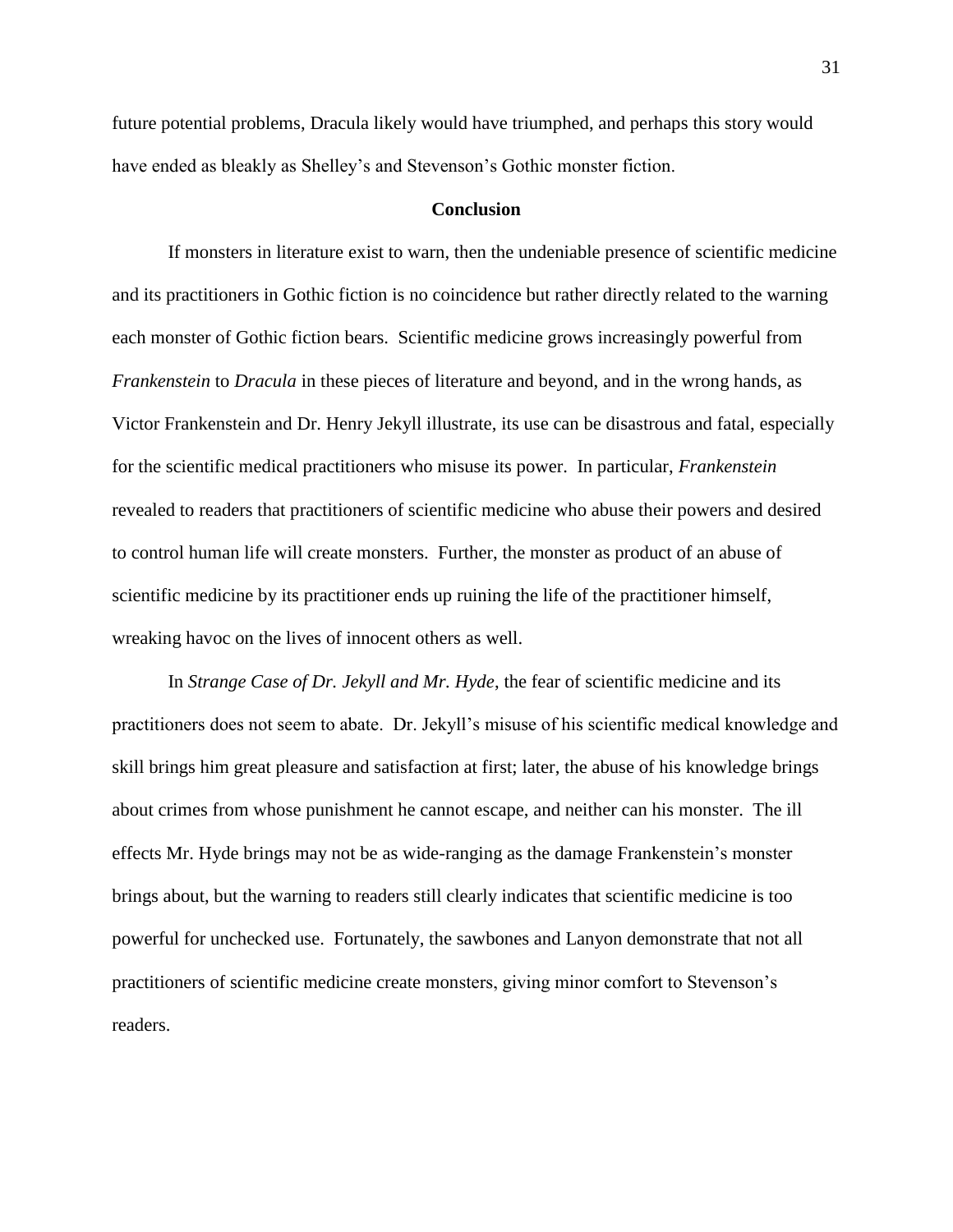future potential problems, Dracula likely would have triumphed, and perhaps this story would have ended as bleakly as Shelley's and Stevenson's Gothic monster fiction.

#### **Conclusion**

If monsters in literature exist to warn, then the undeniable presence of scientific medicine and its practitioners in Gothic fiction is no coincidence but rather directly related to the warning each monster of Gothic fiction bears. Scientific medicine grows increasingly powerful from *Frankenstein* to *Dracula* in these pieces of literature and beyond, and in the wrong hands, as Victor Frankenstein and Dr. Henry Jekyll illustrate, its use can be disastrous and fatal, especially for the scientific medical practitioners who misuse its power. In particular, *Frankenstein* revealed to readers that practitioners of scientific medicine who abuse their powers and desired to control human life will create monsters. Further, the monster as product of an abuse of scientific medicine by its practitioner ends up ruining the life of the practitioner himself, wreaking havoc on the lives of innocent others as well.

In *Strange Case of Dr. Jekyll and Mr. Hyde*, the fear of scientific medicine and its practitioners does not seem to abate. Dr. Jekyll's misuse of his scientific medical knowledge and skill brings him great pleasure and satisfaction at first; later, the abuse of his knowledge brings about crimes from whose punishment he cannot escape, and neither can his monster. The ill effects Mr. Hyde brings may not be as wide-ranging as the damage Frankenstein's monster brings about, but the warning to readers still clearly indicates that scientific medicine is too powerful for unchecked use. Fortunately, the sawbones and Lanyon demonstrate that not all practitioners of scientific medicine create monsters, giving minor comfort to Stevenson's readers.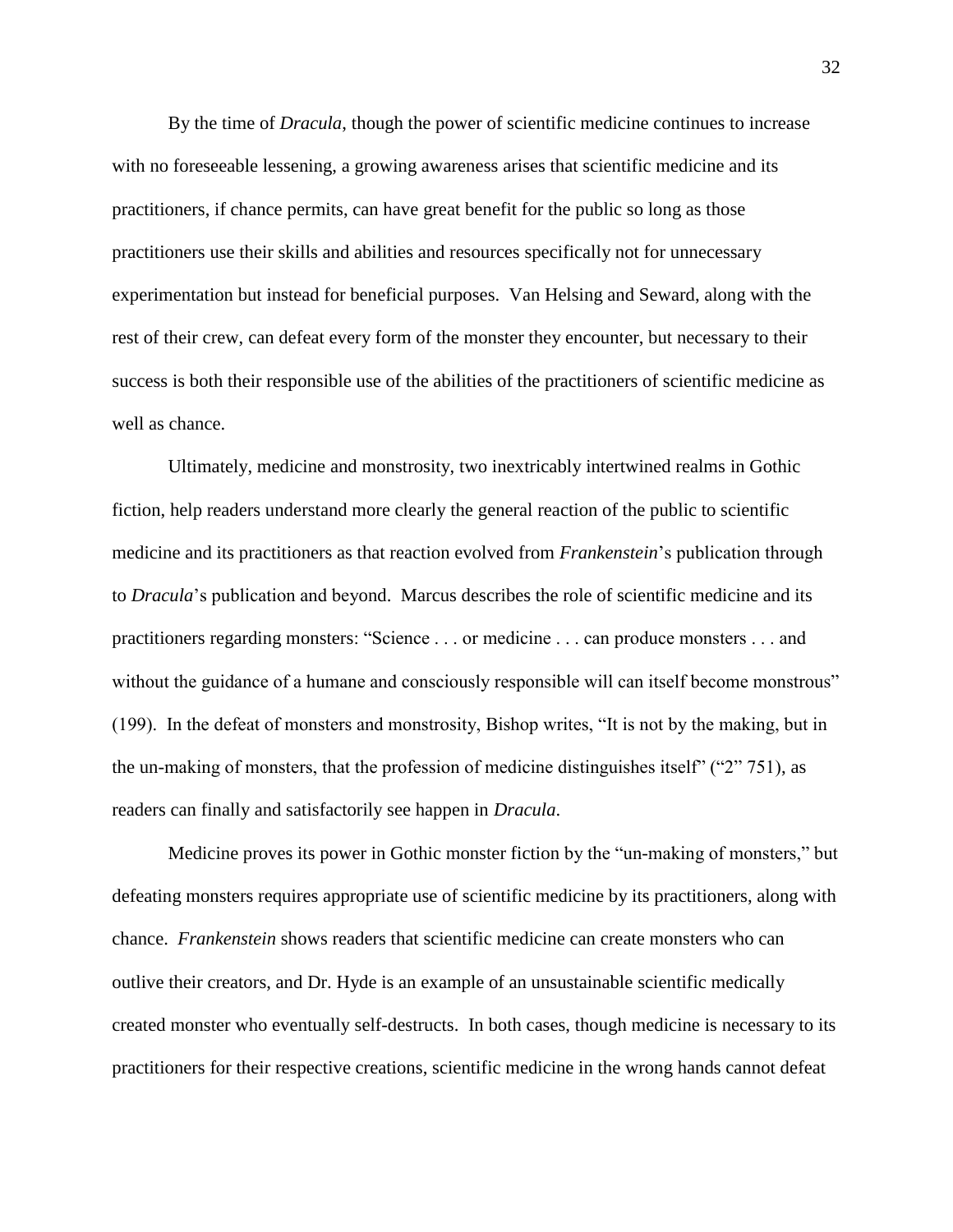By the time of *Dracula*, though the power of scientific medicine continues to increase with no foreseeable lessening, a growing awareness arises that scientific medicine and its practitioners, if chance permits, can have great benefit for the public so long as those practitioners use their skills and abilities and resources specifically not for unnecessary experimentation but instead for beneficial purposes. Van Helsing and Seward, along with the rest of their crew, can defeat every form of the monster they encounter, but necessary to their success is both their responsible use of the abilities of the practitioners of scientific medicine as well as chance.

Ultimately, medicine and monstrosity, two inextricably intertwined realms in Gothic fiction, help readers understand more clearly the general reaction of the public to scientific medicine and its practitioners as that reaction evolved from *Frankenstein*'s publication through to *Dracula*'s publication and beyond. Marcus describes the role of scientific medicine and its practitioners regarding monsters: "Science . . . or medicine . . . can produce monsters . . . and without the guidance of a humane and consciously responsible will can itself become monstrous" (199). In the defeat of monsters and monstrosity, Bishop writes, "It is not by the making, but in the un-making of monsters, that the profession of medicine distinguishes itself" ("2" 751), as readers can finally and satisfactorily see happen in *Dracula*.

Medicine proves its power in Gothic monster fiction by the "un-making of monsters," but defeating monsters requires appropriate use of scientific medicine by its practitioners, along with chance. *Frankenstein* shows readers that scientific medicine can create monsters who can outlive their creators, and Dr. Hyde is an example of an unsustainable scientific medically created monster who eventually self-destructs. In both cases, though medicine is necessary to its practitioners for their respective creations, scientific medicine in the wrong hands cannot defeat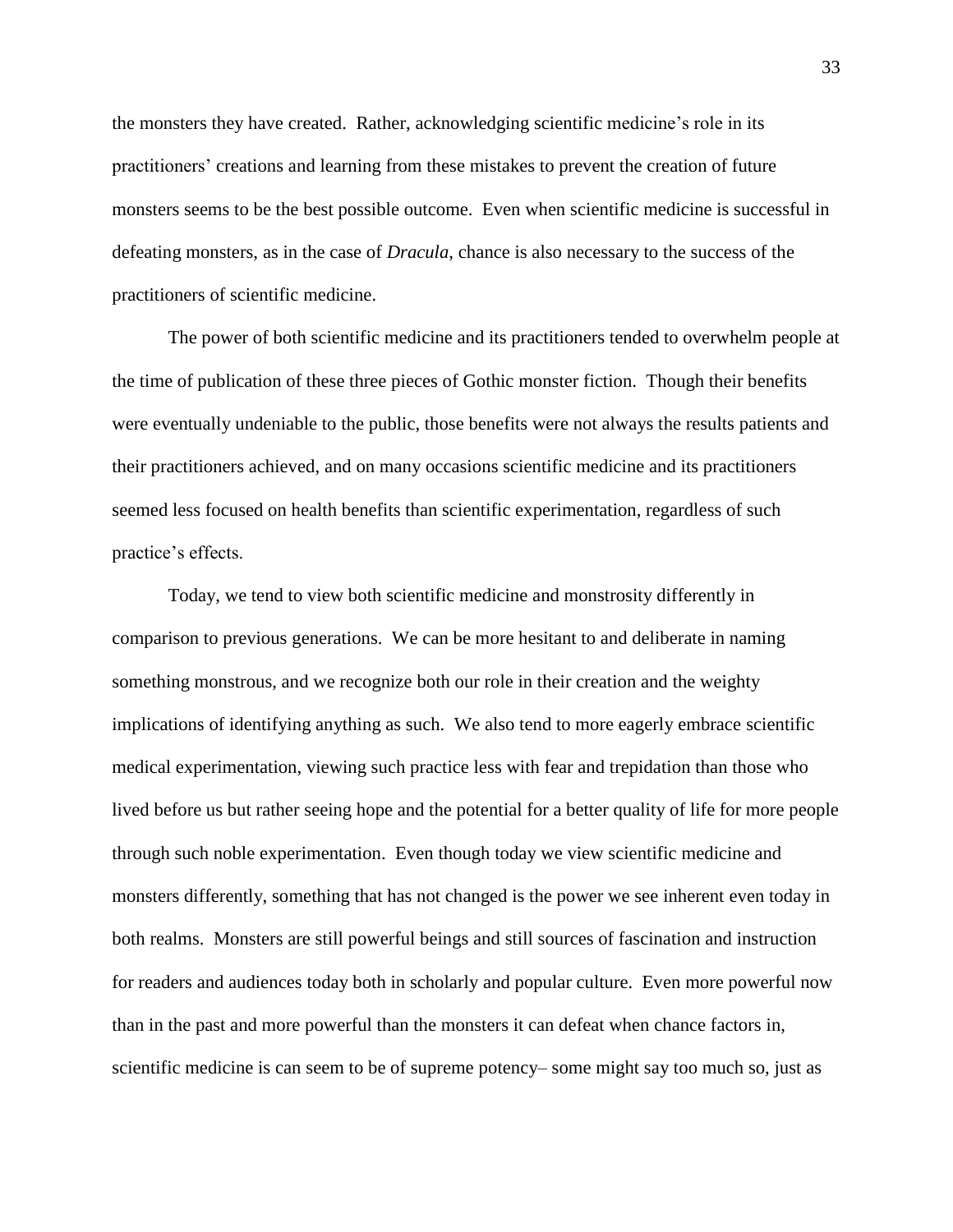the monsters they have created. Rather, acknowledging scientific medicine's role in its practitioners' creations and learning from these mistakes to prevent the creation of future monsters seems to be the best possible outcome. Even when scientific medicine is successful in defeating monsters, as in the case of *Dracula*, chance is also necessary to the success of the practitioners of scientific medicine.

The power of both scientific medicine and its practitioners tended to overwhelm people at the time of publication of these three pieces of Gothic monster fiction. Though their benefits were eventually undeniable to the public, those benefits were not always the results patients and their practitioners achieved, and on many occasions scientific medicine and its practitioners seemed less focused on health benefits than scientific experimentation, regardless of such practice's effects.

Today, we tend to view both scientific medicine and monstrosity differently in comparison to previous generations. We can be more hesitant to and deliberate in naming something monstrous, and we recognize both our role in their creation and the weighty implications of identifying anything as such. We also tend to more eagerly embrace scientific medical experimentation, viewing such practice less with fear and trepidation than those who lived before us but rather seeing hope and the potential for a better quality of life for more people through such noble experimentation. Even though today we view scientific medicine and monsters differently, something that has not changed is the power we see inherent even today in both realms. Monsters are still powerful beings and still sources of fascination and instruction for readers and audiences today both in scholarly and popular culture. Even more powerful now than in the past and more powerful than the monsters it can defeat when chance factors in, scientific medicine is can seem to be of supreme potency– some might say too much so, just as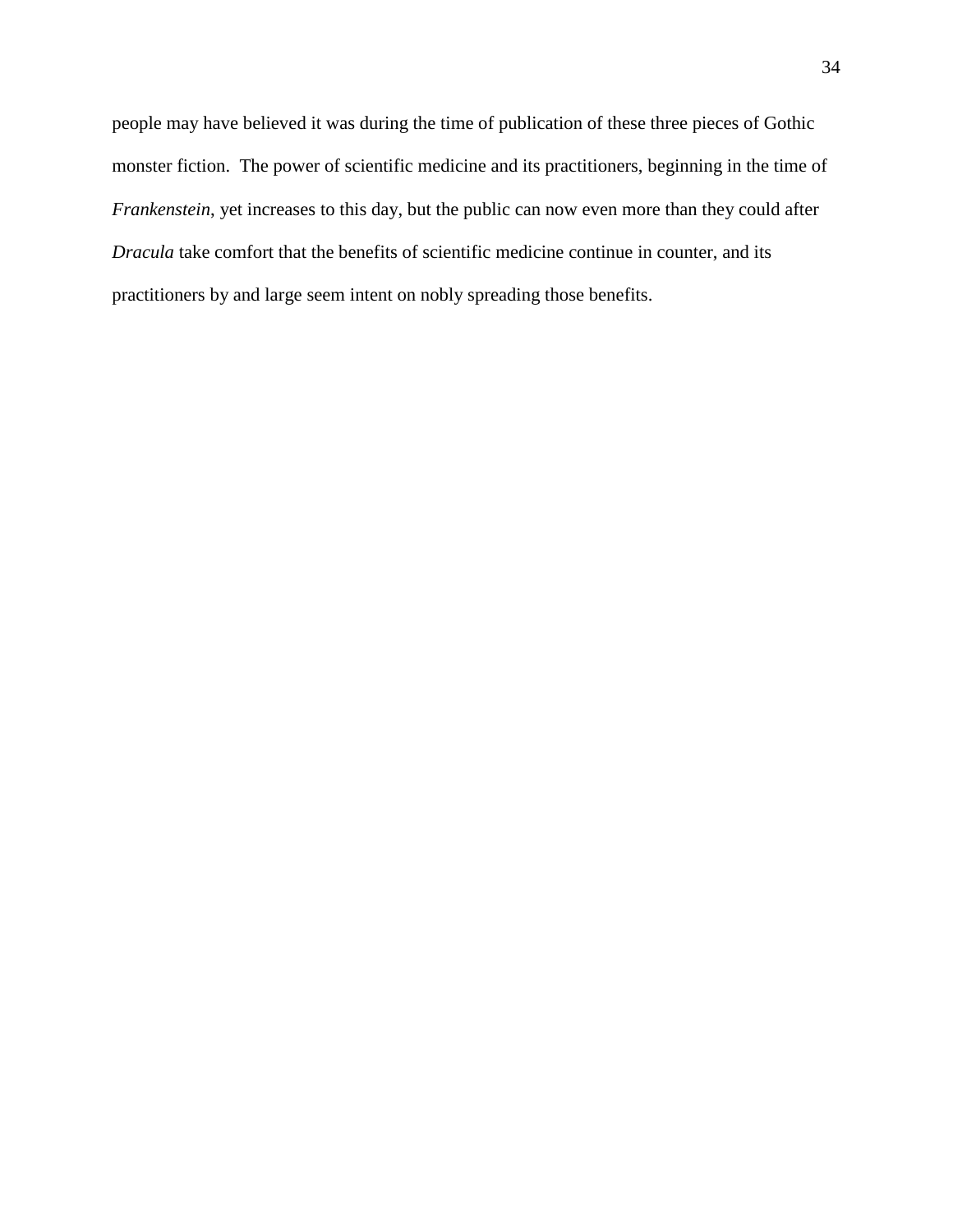people may have believed it was during the time of publication of these three pieces of Gothic monster fiction. The power of scientific medicine and its practitioners, beginning in the time of *Frankenstein*, yet increases to this day, but the public can now even more than they could after *Dracula* take comfort that the benefits of scientific medicine continue in counter, and its practitioners by and large seem intent on nobly spreading those benefits.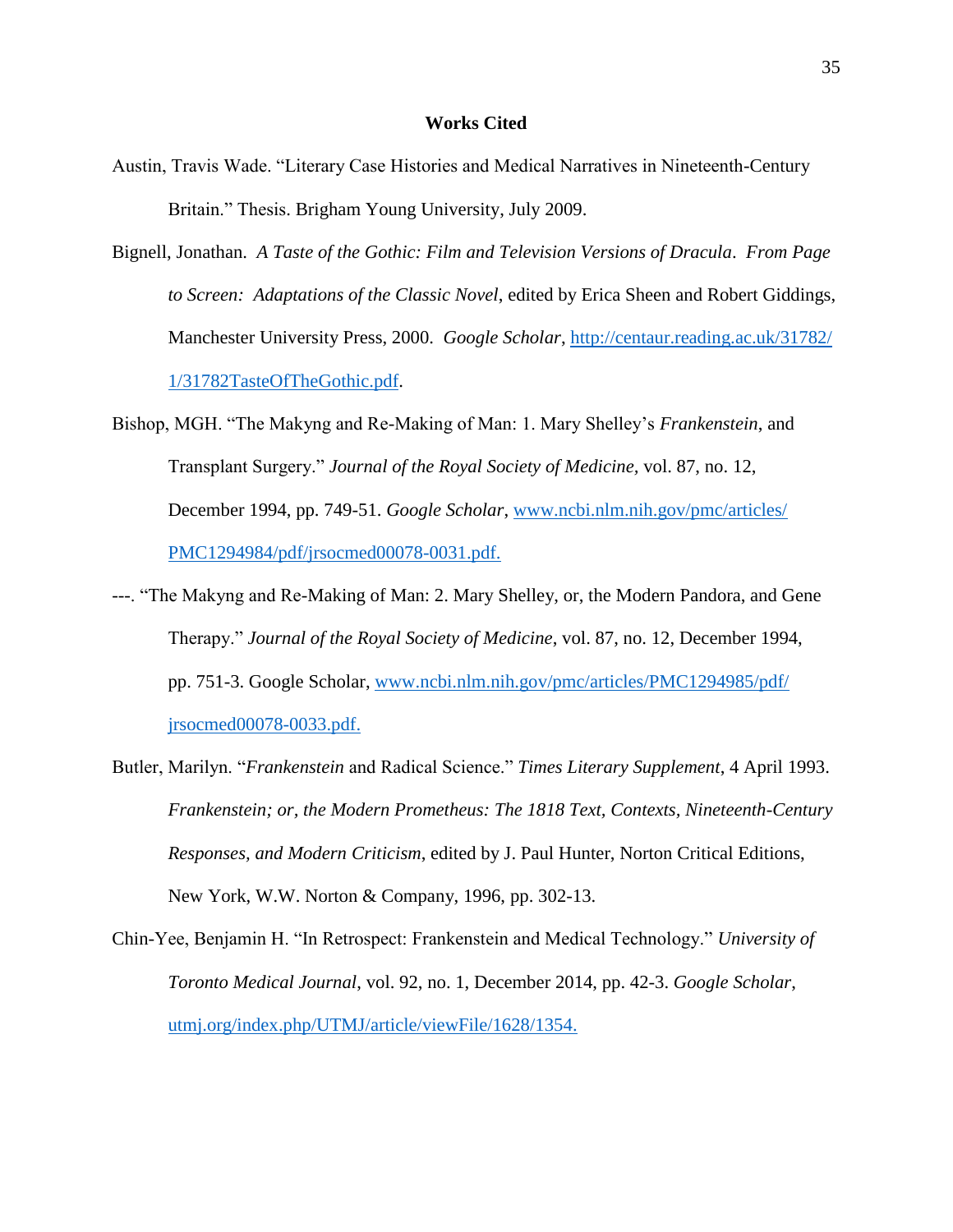### **Works Cited**

- Austin, Travis Wade. "Literary Case Histories and Medical Narratives in Nineteenth-Century Britain." Thesis. Brigham Young University, July 2009.
- Bignell, Jonathan. *A Taste of the Gothic: Film and Television Versions of Dracula*. *From Page to Screen: Adaptations of the Classic Novel*, edited by Erica Sheen and Robert Giddings, Manchester University Press, 2000. *Google Scholar*, [http://centaur.reading.ac.uk/31782/](http://centaur.reading.ac.uk/31782/1/31782TasteOfTheGothic.pdf) [1/31782TasteOfTheGothic.pdf.](http://centaur.reading.ac.uk/31782/1/31782TasteOfTheGothic.pdf)
- Bishop, MGH. "The Makyng and Re-Making of Man: 1. Mary Shelley's *Frankenstein*, and Transplant Surgery." *Journal of the Royal Society of Medicine,* vol. 87, no. 12, December 1994, pp. 749-51. *Google Scholar*, [www.ncbi.nlm.nih.gov/pmc/articles/](http://www.ncbi.nlm.nih.gov/pmc/articles/PMC1294984/pdf/jrsocmed00078-0031.pdf) [PMC1294984/pdf/jrsocmed00078-0031.pdf.](http://www.ncbi.nlm.nih.gov/pmc/articles/PMC1294984/pdf/jrsocmed00078-0031.pdf)
- ---. "The Makyng and Re-Making of Man: 2. Mary Shelley, or, the Modern Pandora, and Gene Therapy." *Journal of the Royal Society of Medicine*, vol. 87, no. 12, December 1994, pp. 751-3. Google Scholar, [www.ncbi.nlm.nih.gov/pmc/articles/PMC1294985/pdf/](http://www.ncbi.nlm.nih.gov/pmc/articles/PMC1294985/pdf/jrsocmed00078-0033.pdf) [jrsocmed00078-0033.pdf.](http://www.ncbi.nlm.nih.gov/pmc/articles/PMC1294985/pdf/jrsocmed00078-0033.pdf)
- Butler, Marilyn. "*Frankenstein* and Radical Science." *Times Literary Supplement*, 4 April 1993. *Frankenstein; or, the Modern Prometheus: The 1818 Text, Contexts, Nineteenth-Century Responses, and Modern Criticism*, edited by J. Paul Hunter, Norton Critical Editions, New York, W.W. Norton & Company, 1996, pp. 302-13.
- Chin-Yee, Benjamin H. "In Retrospect: Frankenstein and Medical Technology." *University of Toronto Medical Journal*, vol. 92, no. 1, December 2014, pp. 42-3. *Google Scholar*, [utmj.org/index.php/UTMJ/article/viewFile/1628/1354.](http://utmj.org/index.php/UTMJ/article/viewFile/1628/1354)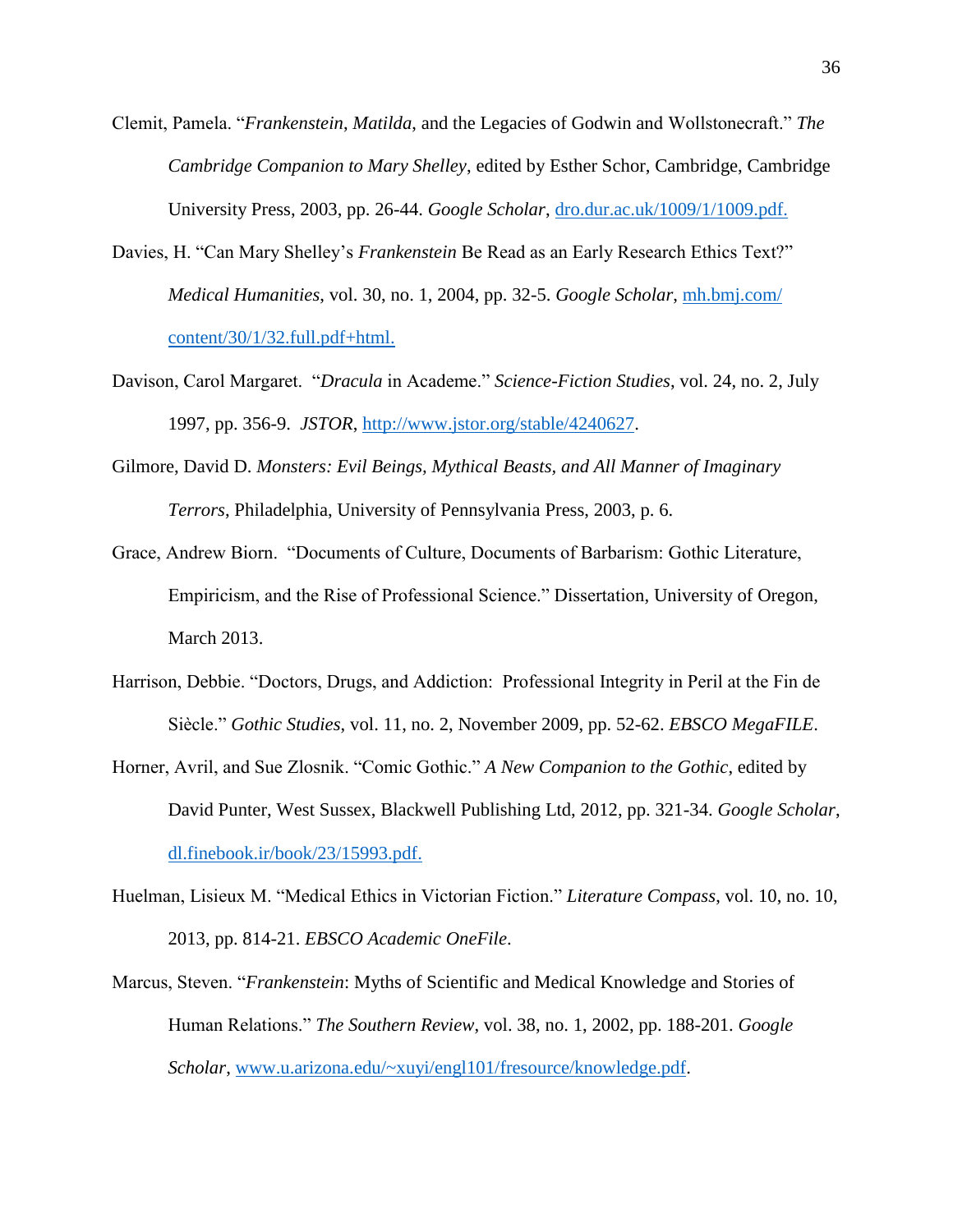- Clemit, Pamela. "*Frankenstein*, *Matilda*, and the Legacies of Godwin and Wollstonecraft." *The Cambridge Companion to Mary Shelley*, edited by Esther Schor, Cambridge, Cambridge University Press, 2003, pp. 26-44. *Google Scholar*, [dro.dur.ac.uk/1009/1/1009.pdf.](http://dro.dur.ac.uk/1009/1/1009.pdf)
- Davies, H. "Can Mary Shelley's *Frankenstein* Be Read as an Early Research Ethics Text?" *Medical Humanities*, vol. 30, no. 1, 2004, pp. 32-5. *Google Scholar*, [mh.bmj.com/](http://mh.bmj.com/content/30/1/32.full.pdf+html) [content/30/1/32.full.pdf+html.](http://mh.bmj.com/content/30/1/32.full.pdf+html)
- Davison, Carol Margaret. "*Dracula* in Academe." *Science-Fiction Studies*, vol. 24, no. 2, July 1997, pp. 356-9. *JSTOR*, [http://www.jstor.org/stable/4240627.](http://www.jstor.org/stable/4240627)
- Gilmore, David D. *Monsters: Evil Beings, Mythical Beasts, and All Manner of Imaginary Terrors*, Philadelphia, University of Pennsylvania Press, 2003, p. 6.
- Grace, Andrew Biorn. "Documents of Culture, Documents of Barbarism: Gothic Literature, Empiricism, and the Rise of Professional Science." Dissertation, University of Oregon, March 2013.
- Harrison, Debbie. "Doctors, Drugs, and Addiction: Professional Integrity in Peril at the Fin de Siècle." *Gothic Studies*, vol. 11, no. 2, November 2009, pp. 52-62. *EBSCO MegaFILE*.
- Horner, Avril, and Sue Zlosnik. "Comic Gothic." *A New Companion to the Gothic*, edited by David Punter, West Sussex, Blackwell Publishing Ltd, 2012, pp. 321-34. *Google Scholar*, [dl.finebook.ir/book/23/15993.pdf.](http://dl.finebook.ir/book/23/15993.pdf)
- Huelman, Lisieux M. "Medical Ethics in Victorian Fiction." *Literature Compass*, vol. 10, no. 10, 2013, pp. 814-21. *EBSCO Academic OneFile*.
- Marcus, Steven. "*Frankenstein*: Myths of Scientific and Medical Knowledge and Stories of Human Relations." *The Southern Review*, vol. 38, no. 1, 2002, pp. 188-201. *Google Scholar*, [www.u.arizona.edu/~xuyi/engl101/fresource/knowledge.pdf.](http://www.u.arizona.edu/~xuyi/engl101/fresource/knowledge.pdf)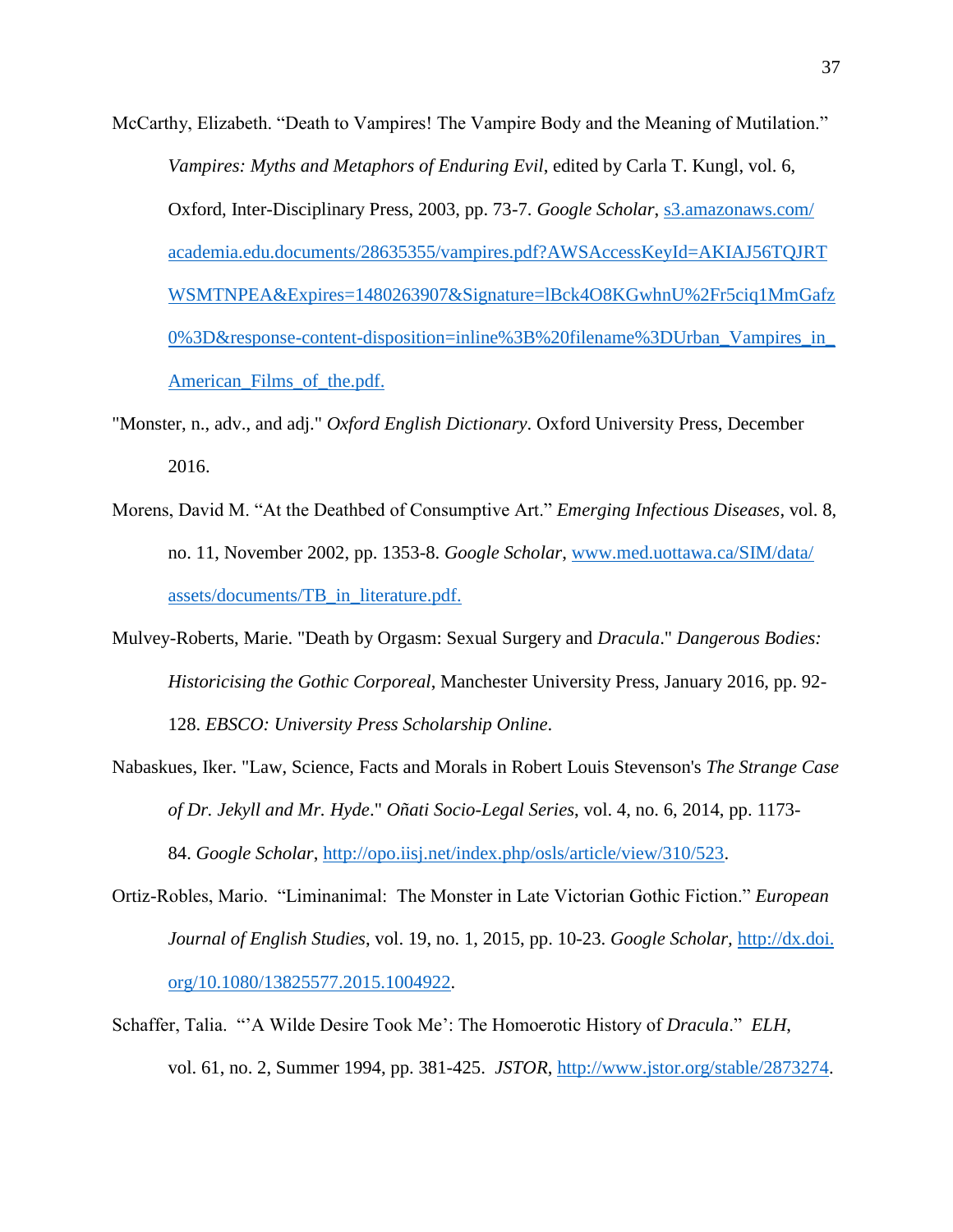- McCarthy, Elizabeth. "Death to Vampires! The Vampire Body and the Meaning of Mutilation." *Vampires: Myths and Metaphors of Enduring Evil*, edited by Carla T. Kungl, vol. 6, Oxford, Inter-Disciplinary Press, 2003, pp. 73-7. *Google Scholar*, [s3.amazonaws.com/](http://s3.amazonaws.com/academia.edu.documents/28635355/vampires.pdf?AWSAccessKeyId=AKIAJ56TQJRTWSMTNPEA&Expires=1480263907&Signature=lBck4O8KGwhnU%2Fr5ciq1MmGafz0%3D&response-content-disposition=inline%3B%20filename%3DUrban_Vampires_in_American_Films_of_the.pdf) [academia.edu.documents/28635355/vampires.pdf?AWSAccessKeyId=AKIAJ56TQJRT](http://s3.amazonaws.com/academia.edu.documents/28635355/vampires.pdf?AWSAccessKeyId=AKIAJ56TQJRTWSMTNPEA&Expires=1480263907&Signature=lBck4O8KGwhnU%2Fr5ciq1MmGafz0%3D&response-content-disposition=inline%3B%20filename%3DUrban_Vampires_in_American_Films_of_the.pdf) [WSMTNPEA&Expires=1480263907&Signature=lBck4O8KGwhnU%2Fr5ciq1MmGafz](http://s3.amazonaws.com/academia.edu.documents/28635355/vampires.pdf?AWSAccessKeyId=AKIAJ56TQJRTWSMTNPEA&Expires=1480263907&Signature=lBck4O8KGwhnU%2Fr5ciq1MmGafz0%3D&response-content-disposition=inline%3B%20filename%3DUrban_Vampires_in_American_Films_of_the.pdf) [0%3D&response-content-disposition=inline%3B%20filename%3DUrban\\_Vampires\\_in\\_](http://s3.amazonaws.com/academia.edu.documents/28635355/vampires.pdf?AWSAccessKeyId=AKIAJ56TQJRTWSMTNPEA&Expires=1480263907&Signature=lBck4O8KGwhnU%2Fr5ciq1MmGafz0%3D&response-content-disposition=inline%3B%20filename%3DUrban_Vampires_in_American_Films_of_the.pdf) [American\\_Films\\_of\\_the.pdf.](http://s3.amazonaws.com/academia.edu.documents/28635355/vampires.pdf?AWSAccessKeyId=AKIAJ56TQJRTWSMTNPEA&Expires=1480263907&Signature=lBck4O8KGwhnU%2Fr5ciq1MmGafz0%3D&response-content-disposition=inline%3B%20filename%3DUrban_Vampires_in_American_Films_of_the.pdf)
- "Monster, n., adv., and adj." *Oxford English Dictionary*. Oxford University Press, December 2016.
- Morens, David M. "At the Deathbed of Consumptive Art." *Emerging Infectious Diseases*, vol. 8, no. 11, November 2002, pp. 1353-8. *Google Scholar*, [www.med.uottawa.ca/SIM/data/](http://www.med.uottawa.ca/SIM/data/assets/documents/TB_in_literature.pdf) [assets/documents/TB\\_in\\_literature.pdf.](http://www.med.uottawa.ca/SIM/data/assets/documents/TB_in_literature.pdf)
- Mulvey-Roberts, Marie. "Death by Orgasm: Sexual Surgery and *Dracula*." *Dangerous Bodies: Historicising the Gothic Corporeal*, Manchester University Press, January 2016, pp. 92- 128. *EBSCO: University Press Scholarship Online*.
- Nabaskues, Iker. "Law, Science, Facts and Morals in Robert Louis Stevenson's *The Strange Case of Dr. Jekyll and Mr. Hyde*." *Oñati Socio-Legal Series*, vol. 4, no. 6, 2014, pp. 1173- 84. *Google Scholar*, [http://opo.iisj.net/index.php/osls/article/view/310/523.](http://opo.iisj.net/index.php/osls/article/view/310/523)
- Ortiz-Robles, Mario. "Liminanimal: The Monster in Late Victorian Gothic Fiction." *European Journal of English Studies*, vol. 19, no. 1, 2015, pp. 10-23. *Google Scholar,* [http://dx.doi.](http://dx.doi.org/10.1080/13825577.2015.1004922) [org/10.1080/13825577.2015.1004922.](http://dx.doi.org/10.1080/13825577.2015.1004922)
- Schaffer, Talia. "'A Wilde Desire Took Me': The Homoerotic History of *Dracula*." *ELH*, vol. 61, no. 2, Summer 1994, pp. 381-425. *JSTOR*, [http://www.jstor.org/stable/2873274.](http://www.jstor.org/stable/2873274)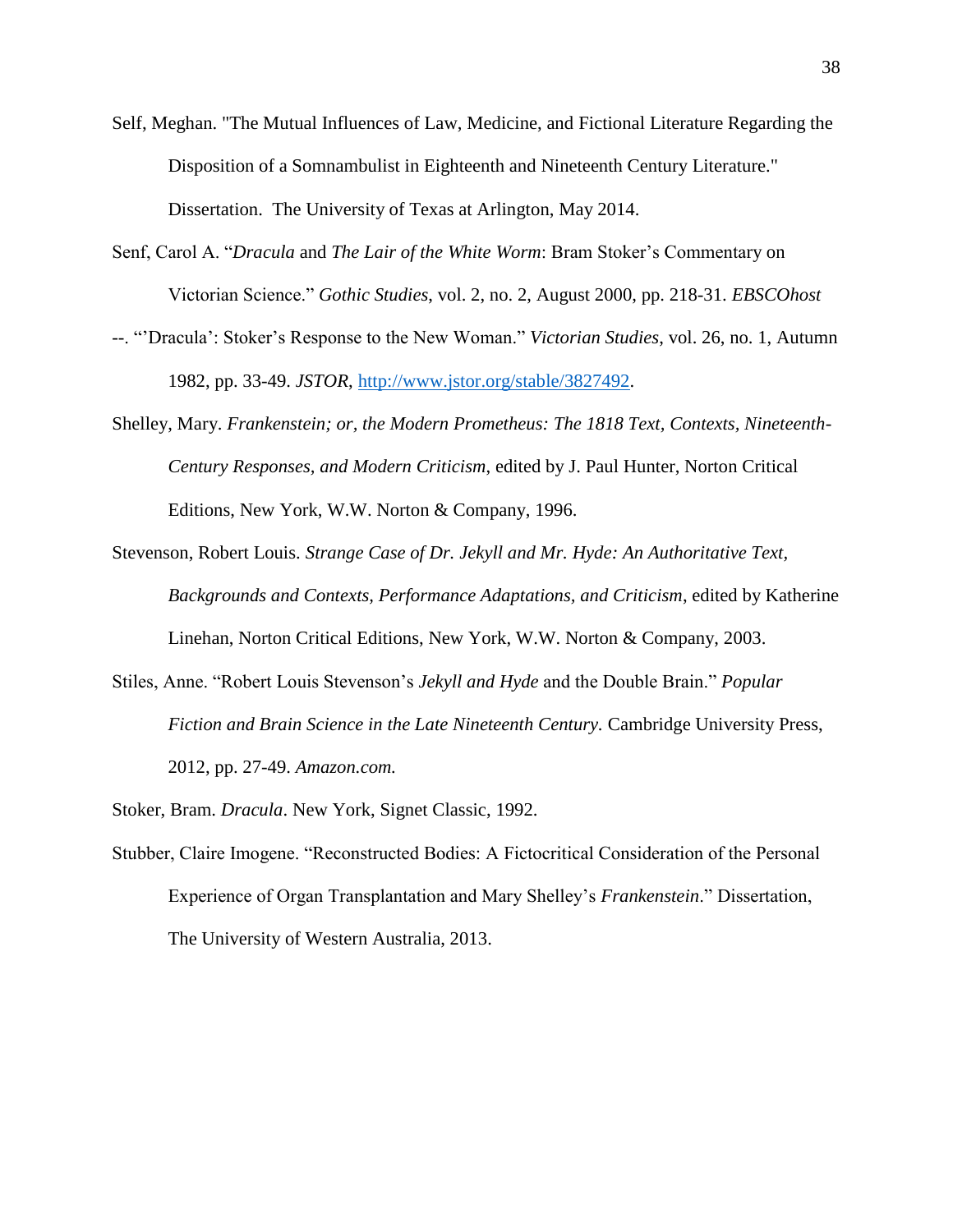- Self, Meghan. "The Mutual Influences of Law, Medicine, and Fictional Literature Regarding the Disposition of a Somnambulist in Eighteenth and Nineteenth Century Literature." Dissertation. The University of Texas at Arlington, May 2014.
- Senf, Carol A. "*Dracula* and *The Lair of the White Worm*: Bram Stoker's Commentary on Victorian Science." *Gothic Studies*, vol. 2, no. 2, August 2000, pp. 218-31. *EBSCOhost*
- --. "'Dracula': Stoker's Response to the New Woman." *Victorian Studies*, vol. 26, no. 1, Autumn 1982, pp. 33-49. *JSTOR*, [http://www.jstor.org/stable/3827492.](http://www.jstor.org/stable/3827492)
- Shelley, Mary. *Frankenstein; or, the Modern Prometheus: The 1818 Text, Contexts, Nineteenth-Century Responses, and Modern Criticism*, edited by J. Paul Hunter, Norton Critical Editions, New York, W.W. Norton & Company, 1996.
- Stevenson, Robert Louis. *Strange Case of Dr. Jekyll and Mr. Hyde: An Authoritative Text, Backgrounds and Contexts, Performance Adaptations, and Criticism*, edited by Katherine Linehan, Norton Critical Editions, New York, W.W. Norton & Company, 2003.
- Stiles, Anne. "Robert Louis Stevenson's *Jekyll and Hyde* and the Double Brain." *Popular Fiction and Brain Science in the Late Nineteenth Century.* Cambridge University Press, 2012, pp. 27-49. *Amazon.com.*
- Stoker, Bram. *Dracula*. New York, Signet Classic, 1992.
- Stubber, Claire Imogene. "Reconstructed Bodies: A Fictocritical Consideration of the Personal Experience of Organ Transplantation and Mary Shelley's *Frankenstein*." Dissertation, The University of Western Australia, 2013.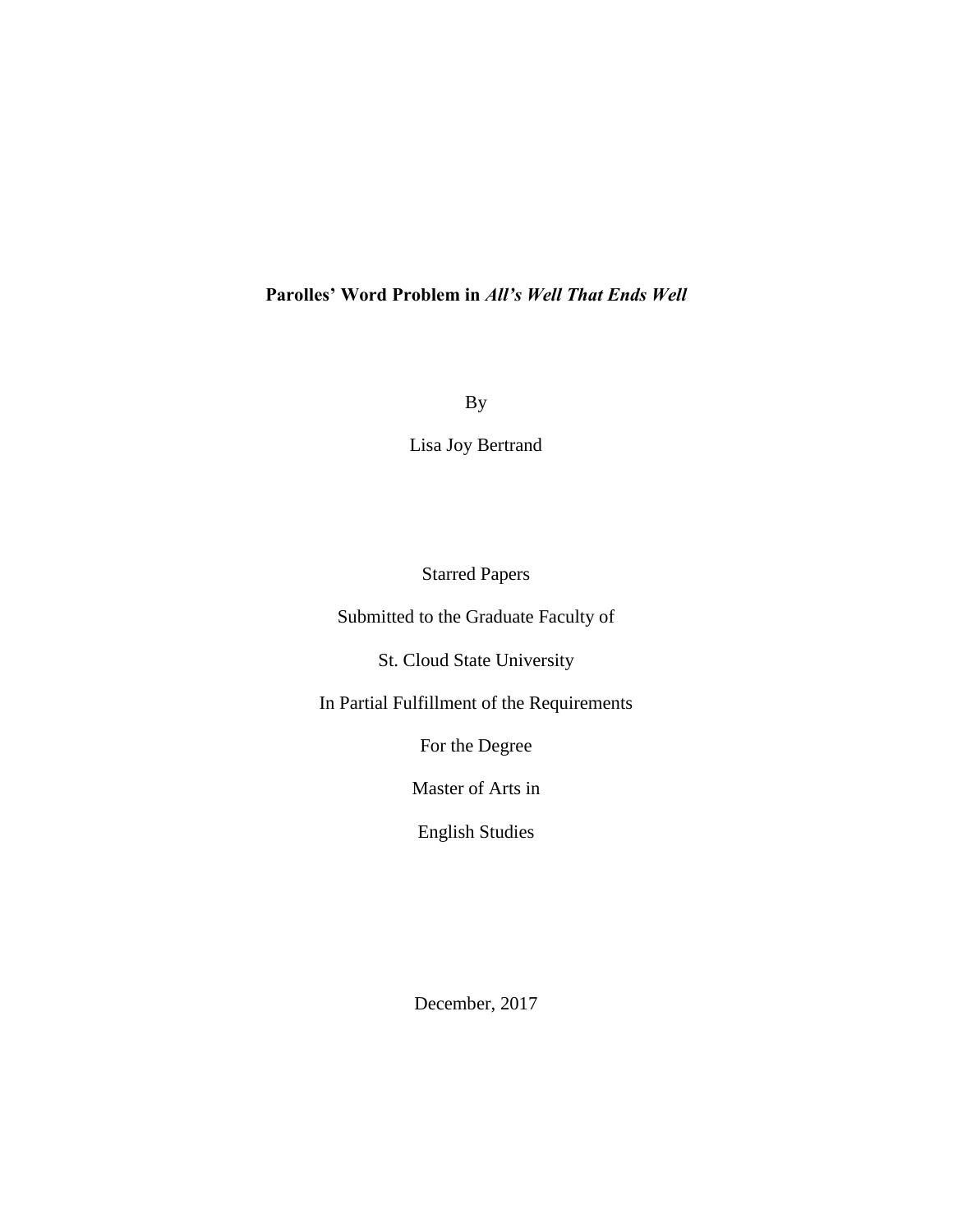# **Parolles' Word Problem in** *All's Well That Ends Well*

By

Lisa Joy Bertrand

Starred Papers

Submitted to the Graduate Faculty of

St. Cloud State University

In Partial Fulfillment of the Requirements

For the Degree

Master of Arts in

English Studies

December, 2017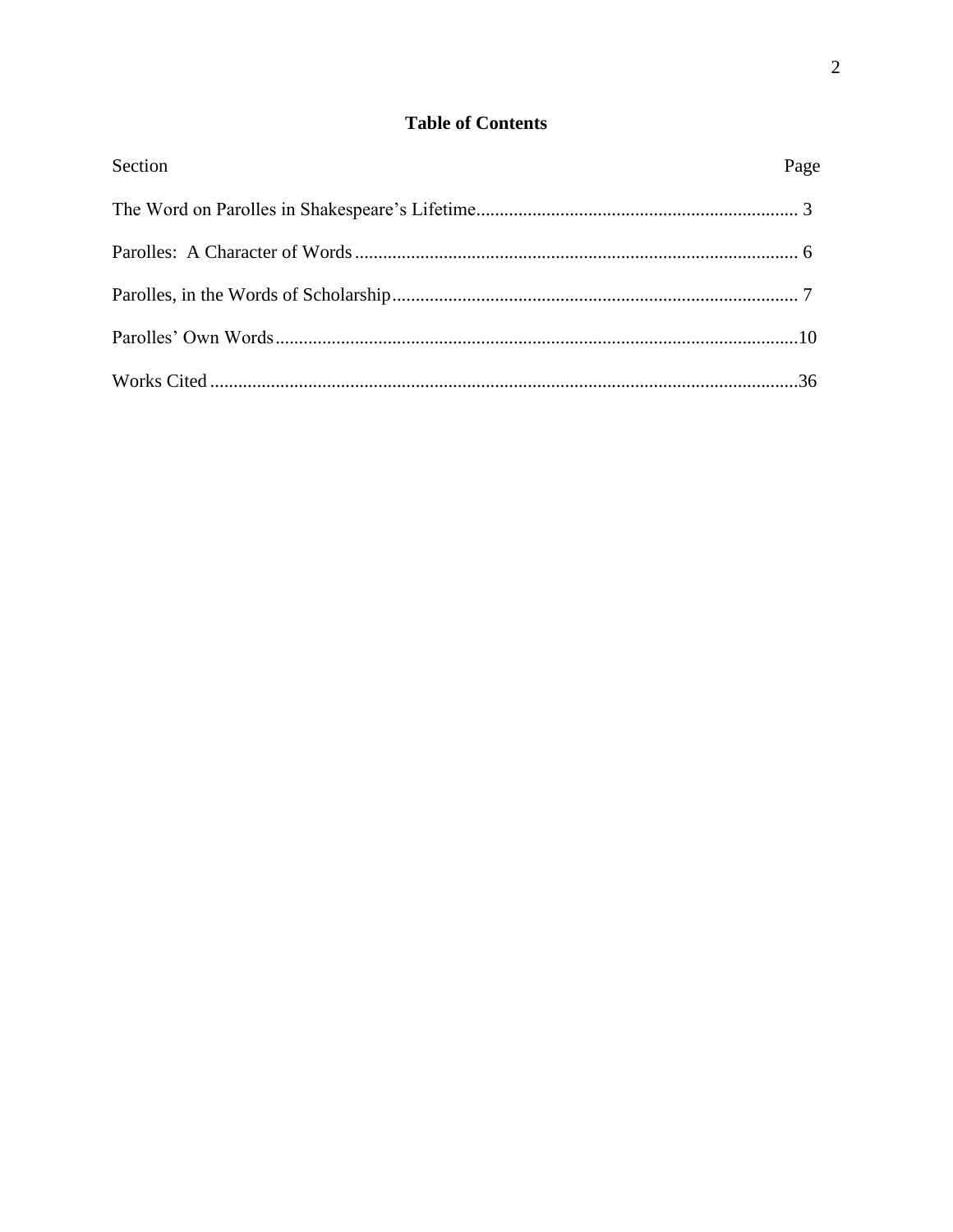## **Table of Contents**

| Section | Page |
|---------|------|
|         |      |
|         |      |
|         |      |
|         |      |
|         |      |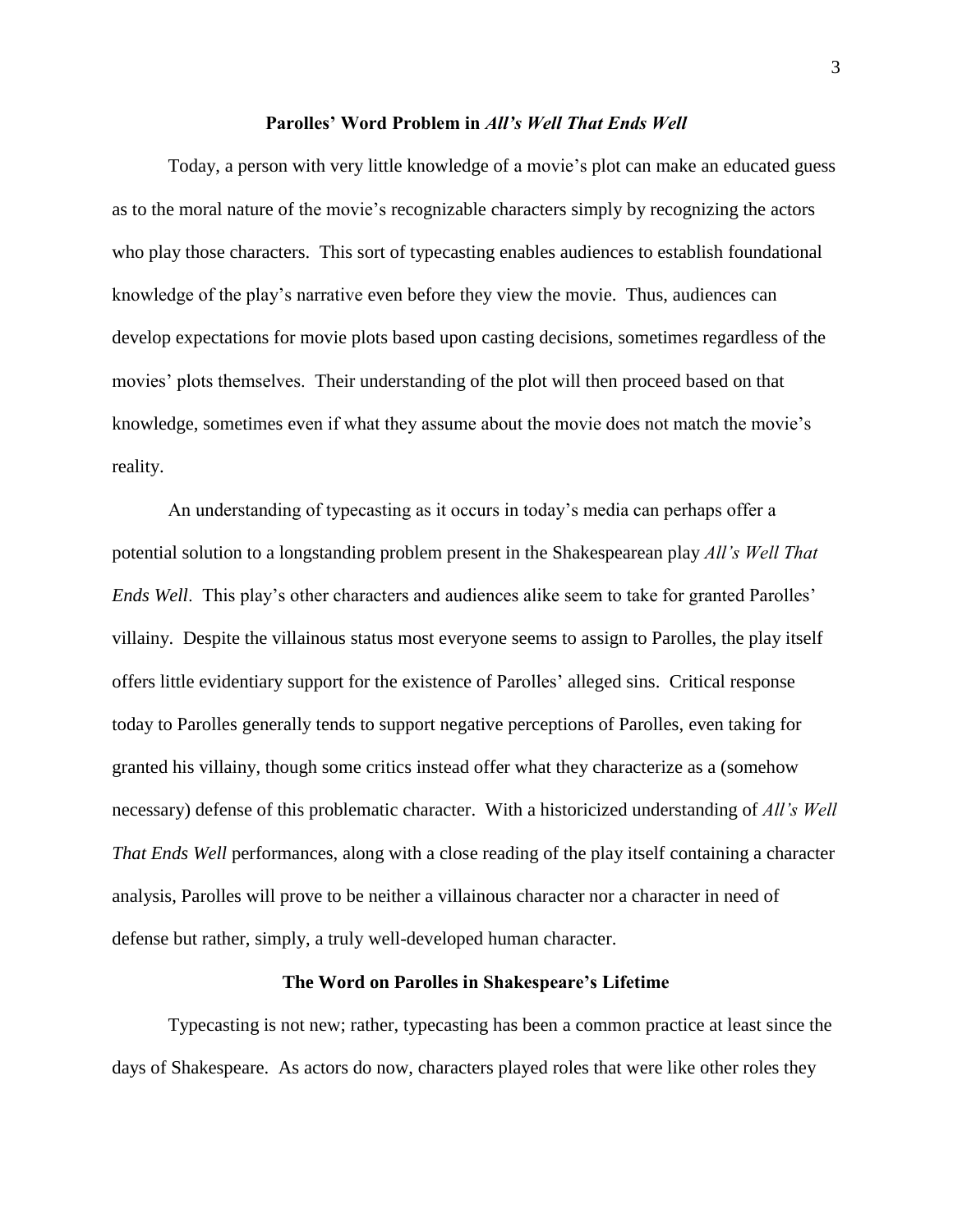#### **Parolles' Word Problem in** *All's Well That Ends Well*

Today, a person with very little knowledge of a movie's plot can make an educated guess as to the moral nature of the movie's recognizable characters simply by recognizing the actors who play those characters. This sort of typecasting enables audiences to establish foundational knowledge of the play's narrative even before they view the movie. Thus, audiences can develop expectations for movie plots based upon casting decisions, sometimes regardless of the movies' plots themselves. Their understanding of the plot will then proceed based on that knowledge, sometimes even if what they assume about the movie does not match the movie's reality.

An understanding of typecasting as it occurs in today's media can perhaps offer a potential solution to a longstanding problem present in the Shakespearean play *All's Well That Ends Well*. This play's other characters and audiences alike seem to take for granted Parolles' villainy. Despite the villainous status most everyone seems to assign to Parolles, the play itself offers little evidentiary support for the existence of Parolles' alleged sins. Critical response today to Parolles generally tends to support negative perceptions of Parolles, even taking for granted his villainy, though some critics instead offer what they characterize as a (somehow necessary) defense of this problematic character. With a historicized understanding of *All's Well That Ends Well* performances, along with a close reading of the play itself containing a character analysis, Parolles will prove to be neither a villainous character nor a character in need of defense but rather, simply, a truly well-developed human character.

#### **The Word on Parolles in Shakespeare's Lifetime**

Typecasting is not new; rather, typecasting has been a common practice at least since the days of Shakespeare. As actors do now, characters played roles that were like other roles they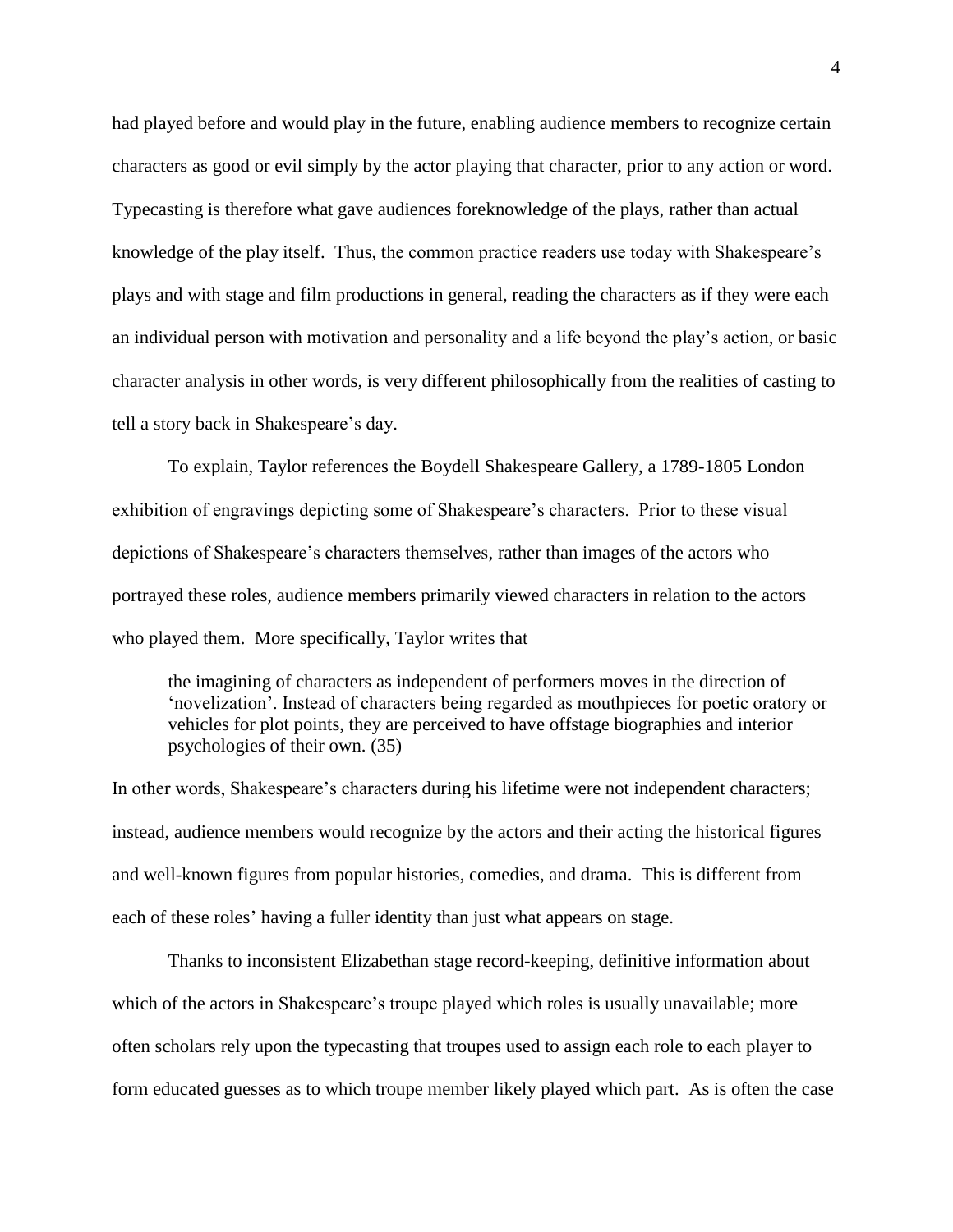had played before and would play in the future, enabling audience members to recognize certain characters as good or evil simply by the actor playing that character, prior to any action or word. Typecasting is therefore what gave audiences foreknowledge of the plays, rather than actual knowledge of the play itself. Thus, the common practice readers use today with Shakespeare's plays and with stage and film productions in general, reading the characters as if they were each an individual person with motivation and personality and a life beyond the play's action, or basic character analysis in other words, is very different philosophically from the realities of casting to tell a story back in Shakespeare's day.

To explain, Taylor references the Boydell Shakespeare Gallery, a 1789-1805 London exhibition of engravings depicting some of Shakespeare's characters. Prior to these visual depictions of Shakespeare's characters themselves, rather than images of the actors who portrayed these roles, audience members primarily viewed characters in relation to the actors who played them. More specifically, Taylor writes that

the imagining of characters as independent of performers moves in the direction of 'novelization'. Instead of characters being regarded as mouthpieces for poetic oratory or vehicles for plot points, they are perceived to have offstage biographies and interior psychologies of their own. (35)

In other words, Shakespeare's characters during his lifetime were not independent characters; instead, audience members would recognize by the actors and their acting the historical figures and well-known figures from popular histories, comedies, and drama. This is different from each of these roles' having a fuller identity than just what appears on stage.

Thanks to inconsistent Elizabethan stage record-keeping, definitive information about which of the actors in Shakespeare's troupe played which roles is usually unavailable; more often scholars rely upon the typecasting that troupes used to assign each role to each player to form educated guesses as to which troupe member likely played which part. As is often the case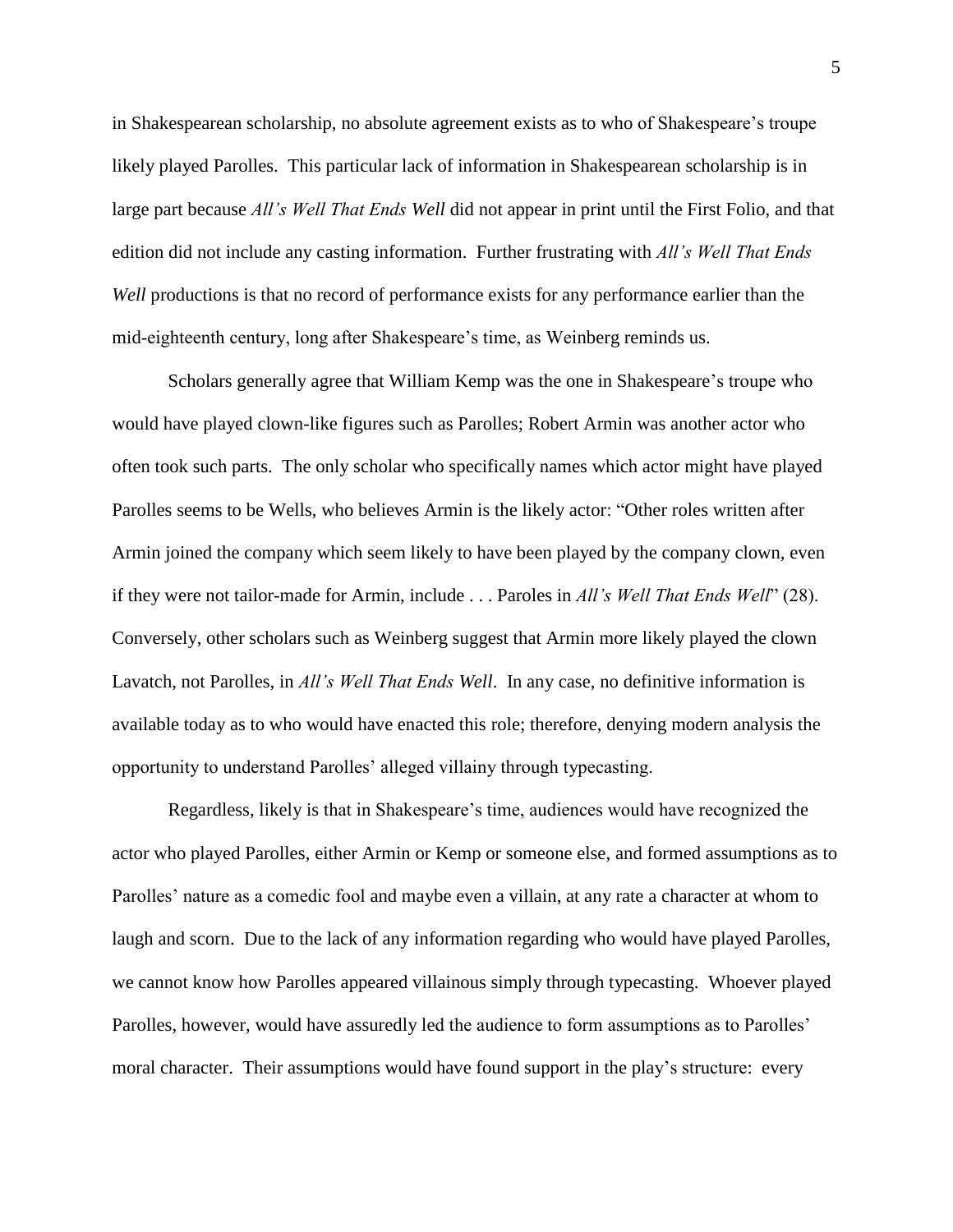in Shakespearean scholarship, no absolute agreement exists as to who of Shakespeare's troupe likely played Parolles. This particular lack of information in Shakespearean scholarship is in large part because *All's Well That Ends Well* did not appear in print until the First Folio, and that edition did not include any casting information. Further frustrating with *All's Well That Ends Well* productions is that no record of performance exists for any performance earlier than the mid-eighteenth century, long after Shakespeare's time, as Weinberg reminds us.

Scholars generally agree that William Kemp was the one in Shakespeare's troupe who would have played clown-like figures such as Parolles; Robert Armin was another actor who often took such parts. The only scholar who specifically names which actor might have played Parolles seems to be Wells, who believes Armin is the likely actor: "Other roles written after Armin joined the company which seem likely to have been played by the company clown, even if they were not tailor-made for Armin, include . . . Paroles in *All's Well That Ends Well*" (28). Conversely, other scholars such as Weinberg suggest that Armin more likely played the clown Lavatch, not Parolles, in *All's Well That Ends Well*. In any case, no definitive information is available today as to who would have enacted this role; therefore, denying modern analysis the opportunity to understand Parolles' alleged villainy through typecasting.

Regardless, likely is that in Shakespeare's time, audiences would have recognized the actor who played Parolles, either Armin or Kemp or someone else, and formed assumptions as to Parolles' nature as a comedic fool and maybe even a villain, at any rate a character at whom to laugh and scorn. Due to the lack of any information regarding who would have played Parolles, we cannot know how Parolles appeared villainous simply through typecasting. Whoever played Parolles, however, would have assuredly led the audience to form assumptions as to Parolles' moral character. Their assumptions would have found support in the play's structure: every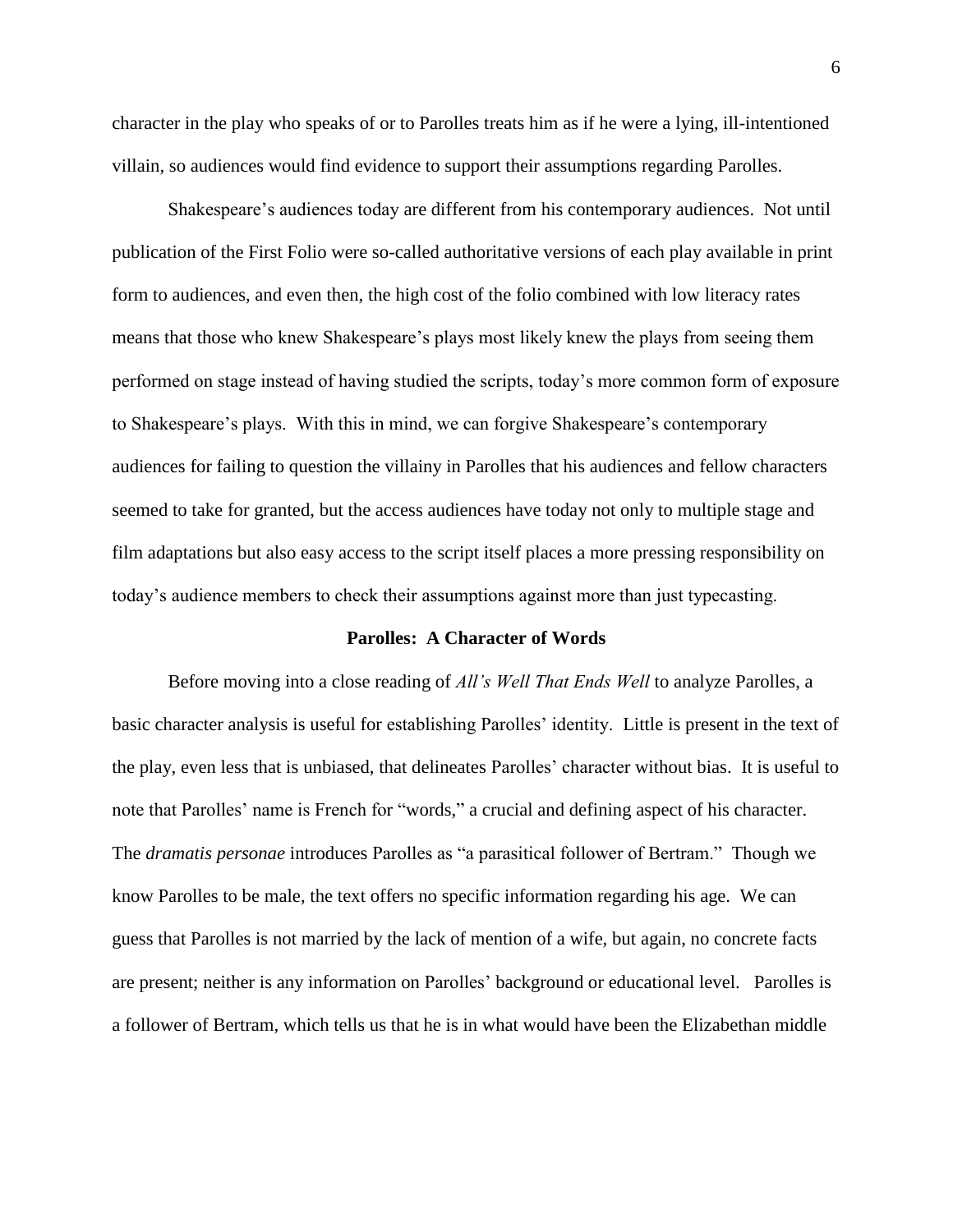character in the play who speaks of or to Parolles treats him as if he were a lying, ill-intentioned villain, so audiences would find evidence to support their assumptions regarding Parolles.

Shakespeare's audiences today are different from his contemporary audiences. Not until publication of the First Folio were so-called authoritative versions of each play available in print form to audiences, and even then, the high cost of the folio combined with low literacy rates means that those who knew Shakespeare's plays most likely knew the plays from seeing them performed on stage instead of having studied the scripts, today's more common form of exposure to Shakespeare's plays. With this in mind, we can forgive Shakespeare's contemporary audiences for failing to question the villainy in Parolles that his audiences and fellow characters seemed to take for granted, but the access audiences have today not only to multiple stage and film adaptations but also easy access to the script itself places a more pressing responsibility on today's audience members to check their assumptions against more than just typecasting.

#### **Parolles: A Character of Words**

Before moving into a close reading of *All's Well That Ends Well* to analyze Parolles, a basic character analysis is useful for establishing Parolles' identity. Little is present in the text of the play, even less that is unbiased, that delineates Parolles' character without bias. It is useful to note that Parolles' name is French for "words," a crucial and defining aspect of his character. The *dramatis personae* introduces Parolles as "a parasitical follower of Bertram." Though we know Parolles to be male, the text offers no specific information regarding his age. We can guess that Parolles is not married by the lack of mention of a wife, but again, no concrete facts are present; neither is any information on Parolles' background or educational level. Parolles is a follower of Bertram, which tells us that he is in what would have been the Elizabethan middle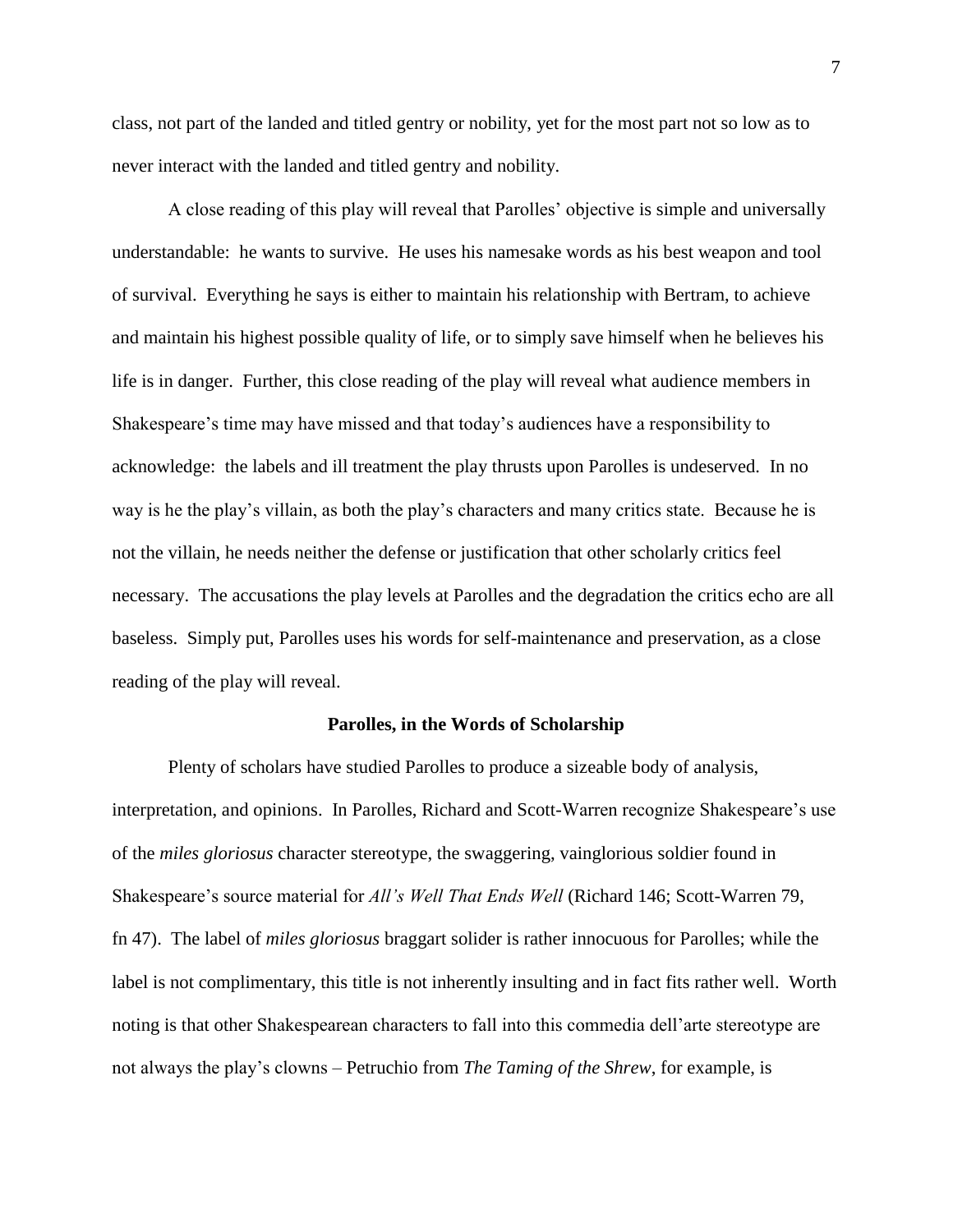class, not part of the landed and titled gentry or nobility, yet for the most part not so low as to never interact with the landed and titled gentry and nobility.

A close reading of this play will reveal that Parolles' objective is simple and universally understandable: he wants to survive. He uses his namesake words as his best weapon and tool of survival. Everything he says is either to maintain his relationship with Bertram, to achieve and maintain his highest possible quality of life, or to simply save himself when he believes his life is in danger. Further, this close reading of the play will reveal what audience members in Shakespeare's time may have missed and that today's audiences have a responsibility to acknowledge: the labels and ill treatment the play thrusts upon Parolles is undeserved. In no way is he the play's villain, as both the play's characters and many critics state. Because he is not the villain, he needs neither the defense or justification that other scholarly critics feel necessary. The accusations the play levels at Parolles and the degradation the critics echo are all baseless. Simply put, Parolles uses his words for self-maintenance and preservation, as a close reading of the play will reveal.

#### **Parolles, in the Words of Scholarship**

Plenty of scholars have studied Parolles to produce a sizeable body of analysis, interpretation, and opinions. In Parolles, Richard and Scott-Warren recognize Shakespeare's use of the *miles gloriosus* character stereotype, the swaggering, vainglorious soldier found in Shakespeare's source material for *All's Well That Ends Well* (Richard 146; Scott-Warren 79, fn 47). The label of *miles gloriosus* braggart solider is rather innocuous for Parolles; while the label is not complimentary, this title is not inherently insulting and in fact fits rather well. Worth noting is that other Shakespearean characters to fall into this commedia dell'arte stereotype are not always the play's clowns – Petruchio from *The Taming of the Shrew*, for example, is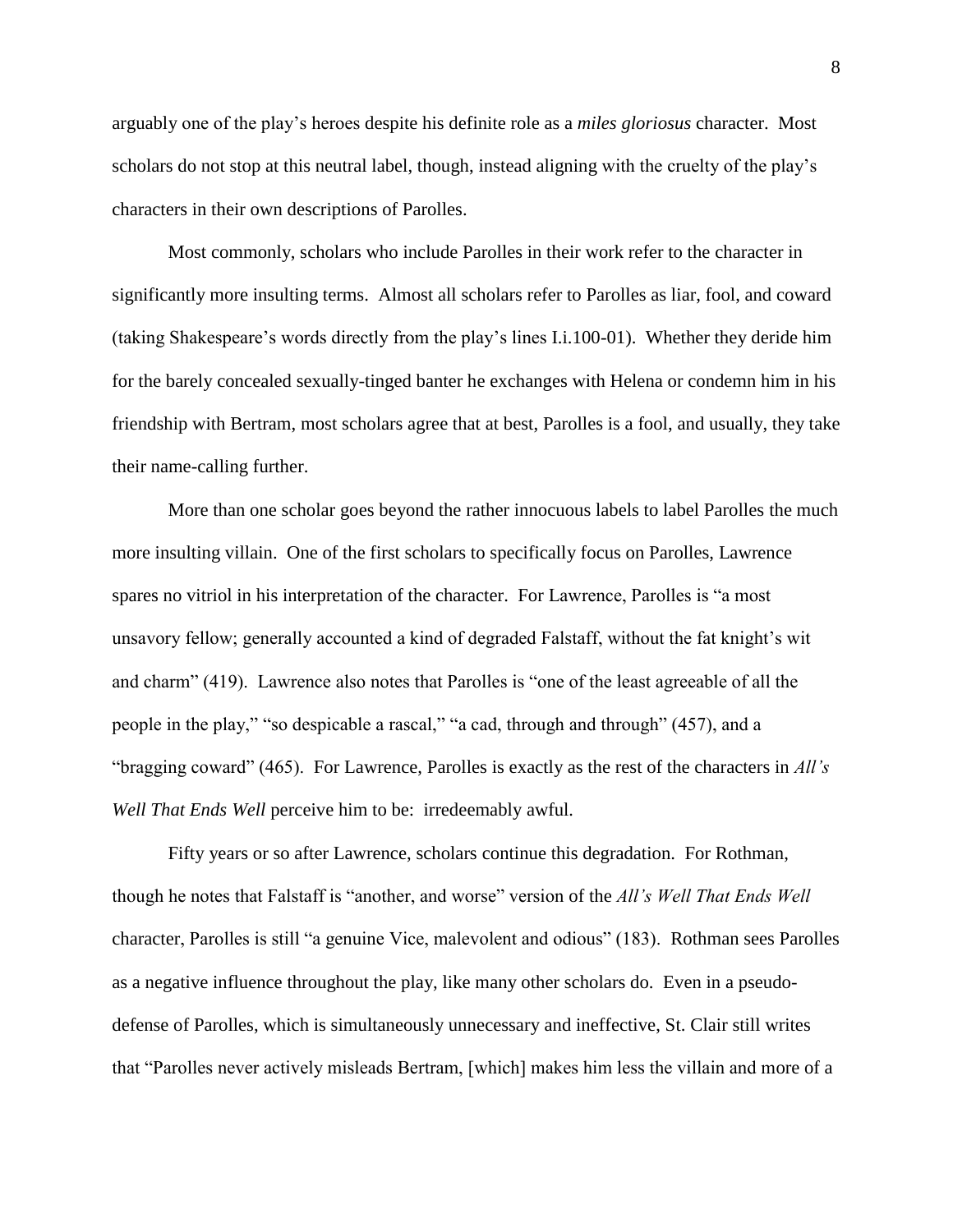arguably one of the play's heroes despite his definite role as a *miles gloriosus* character. Most scholars do not stop at this neutral label, though, instead aligning with the cruelty of the play's characters in their own descriptions of Parolles.

Most commonly, scholars who include Parolles in their work refer to the character in significantly more insulting terms. Almost all scholars refer to Parolles as liar, fool, and coward (taking Shakespeare's words directly from the play's lines I.i.100-01). Whether they deride him for the barely concealed sexually-tinged banter he exchanges with Helena or condemn him in his friendship with Bertram, most scholars agree that at best, Parolles is a fool, and usually, they take their name-calling further.

More than one scholar goes beyond the rather innocuous labels to label Parolles the much more insulting villain. One of the first scholars to specifically focus on Parolles, Lawrence spares no vitriol in his interpretation of the character. For Lawrence, Parolles is "a most unsavory fellow; generally accounted a kind of degraded Falstaff, without the fat knight's wit and charm" (419). Lawrence also notes that Parolles is "one of the least agreeable of all the people in the play," "so despicable a rascal," "a cad, through and through" (457), and a "bragging coward" (465). For Lawrence, Parolles is exactly as the rest of the characters in *All's Well That Ends Well* perceive him to be: irredeemably awful*.*

Fifty years or so after Lawrence, scholars continue this degradation. For Rothman, though he notes that Falstaff is "another, and worse" version of the *All's Well That Ends Well* character, Parolles is still "a genuine Vice, malevolent and odious" (183). Rothman sees Parolles as a negative influence throughout the play, like many other scholars do. Even in a pseudodefense of Parolles, which is simultaneously unnecessary and ineffective, St. Clair still writes that "Parolles never actively misleads Bertram, [which] makes him less the villain and more of a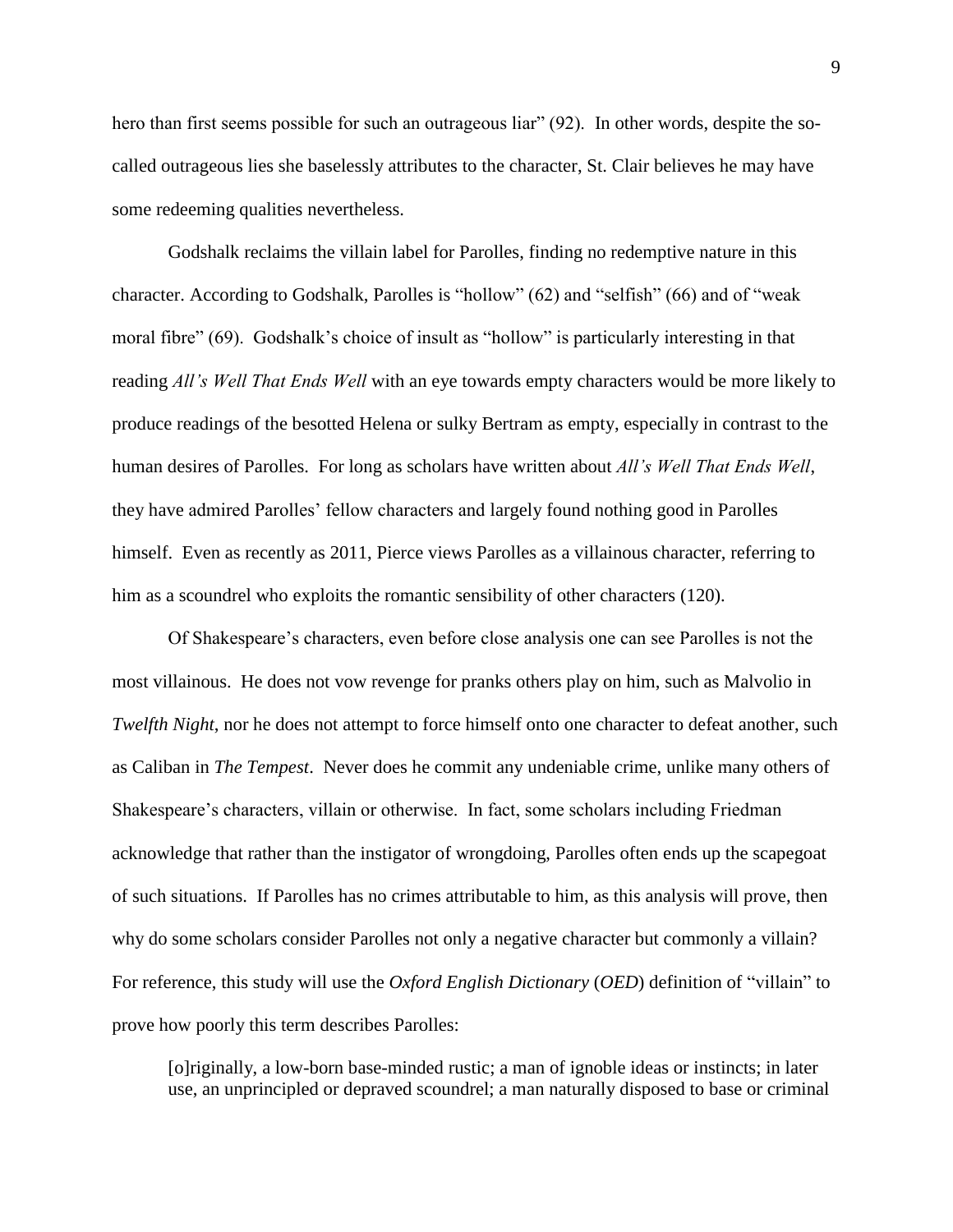hero than first seems possible for such an outrageous liar" (92). In other words, despite the socalled outrageous lies she baselessly attributes to the character, St. Clair believes he may have some redeeming qualities nevertheless.

Godshalk reclaims the villain label for Parolles, finding no redemptive nature in this character. According to Godshalk, Parolles is "hollow" (62) and "selfish" (66) and of "weak moral fibre" (69). Godshalk's choice of insult as "hollow" is particularly interesting in that reading *All's Well That Ends Well* with an eye towards empty characters would be more likely to produce readings of the besotted Helena or sulky Bertram as empty, especially in contrast to the human desires of Parolles. For long as scholars have written about *All's Well That Ends Well*, they have admired Parolles' fellow characters and largely found nothing good in Parolles himself. Even as recently as 2011, Pierce views Parolles as a villainous character, referring to him as a scoundrel who exploits the romantic sensibility of other characters (120).

Of Shakespeare's characters, even before close analysis one can see Parolles is not the most villainous. He does not vow revenge for pranks others play on him, such as Malvolio in *Twelfth Night*, nor he does not attempt to force himself onto one character to defeat another, such as Caliban in *The Tempest*. Never does he commit any undeniable crime, unlike many others of Shakespeare's characters, villain or otherwise. In fact, some scholars including Friedman acknowledge that rather than the instigator of wrongdoing, Parolles often ends up the scapegoat of such situations. If Parolles has no crimes attributable to him, as this analysis will prove, then why do some scholars consider Parolles not only a negative character but commonly a villain? For reference, this study will use the *Oxford English Dictionary* (*OED*) definition of "villain" to prove how poorly this term describes Parolles:

[o]riginally, a low-born base-minded rustic; a man of ignoble ideas or instincts; in later use, an unprincipled or depraved scoundrel; a man naturally disposed to base or criminal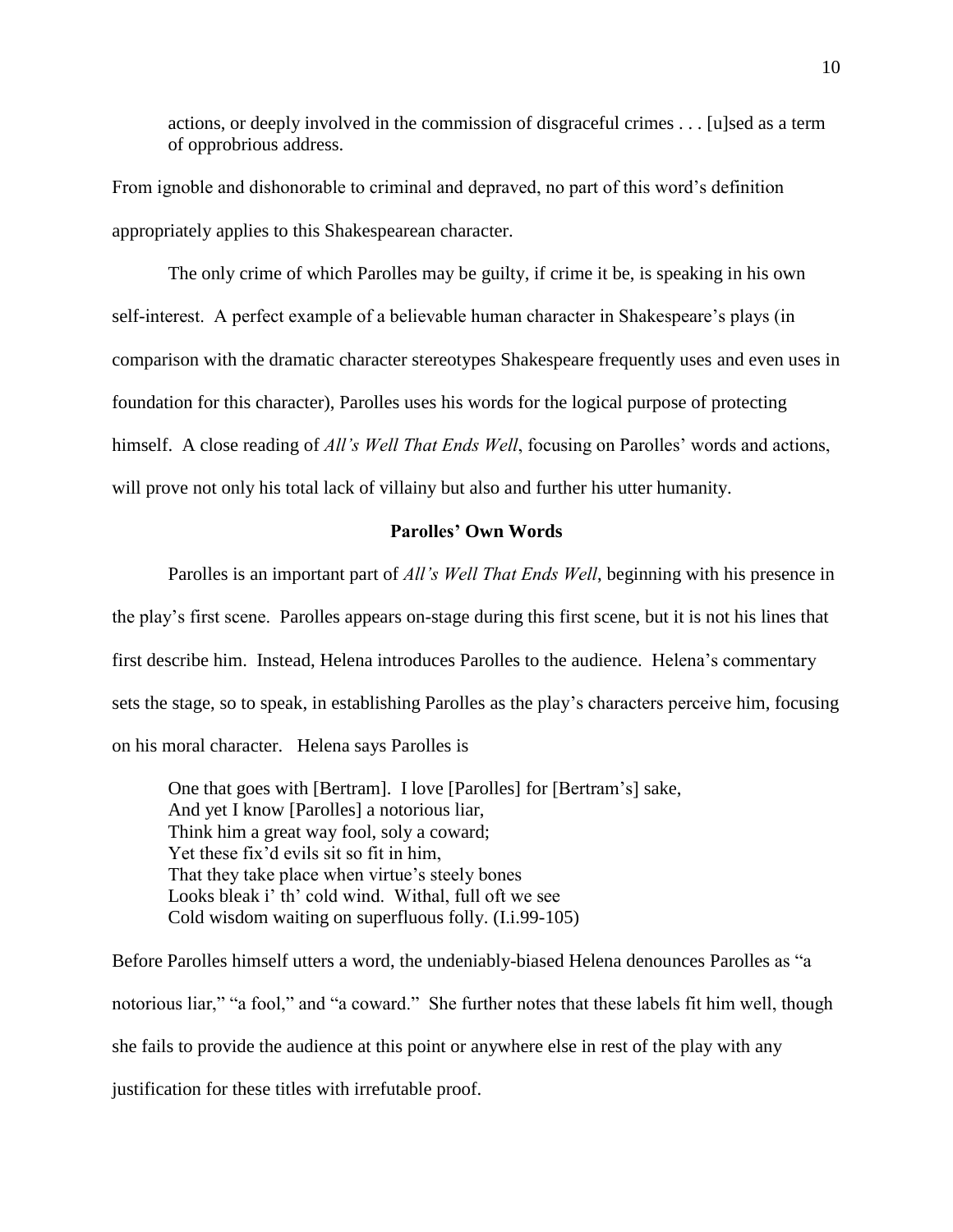actions, or deeply involved in the commission of disgraceful crimes . . . [u]sed as a term of opprobrious address.

From ignoble and dishonorable to criminal and depraved, no part of this word's definition appropriately applies to this Shakespearean character.

The only crime of which Parolles may be guilty, if crime it be, is speaking in his own self-interest. A perfect example of a believable human character in Shakespeare's plays (in comparison with the dramatic character stereotypes Shakespeare frequently uses and even uses in foundation for this character), Parolles uses his words for the logical purpose of protecting himself. A close reading of *All's Well That Ends Well*, focusing on Parolles' words and actions, will prove not only his total lack of villainy but also and further his utter humanity.

### **Parolles' Own Words**

Parolles is an important part of *All's Well That Ends Well*, beginning with his presence in the play's first scene. Parolles appears on-stage during this first scene, but it is not his lines that first describe him. Instead, Helena introduces Parolles to the audience. Helena's commentary sets the stage, so to speak, in establishing Parolles as the play's characters perceive him, focusing on his moral character. Helena says Parolles is

One that goes with [Bertram]. I love [Parolles] for [Bertram's] sake, And yet I know [Parolles] a notorious liar, Think him a great way fool, soly a coward; Yet these fix'd evils sit so fit in him, That they take place when virtue's steely bones Looks bleak i' th' cold wind. Withal, full oft we see Cold wisdom waiting on superfluous folly. (I.i.99-105)

Before Parolles himself utters a word, the undeniably-biased Helena denounces Parolles as "a notorious liar," "a fool," and "a coward." She further notes that these labels fit him well, though she fails to provide the audience at this point or anywhere else in rest of the play with any justification for these titles with irrefutable proof.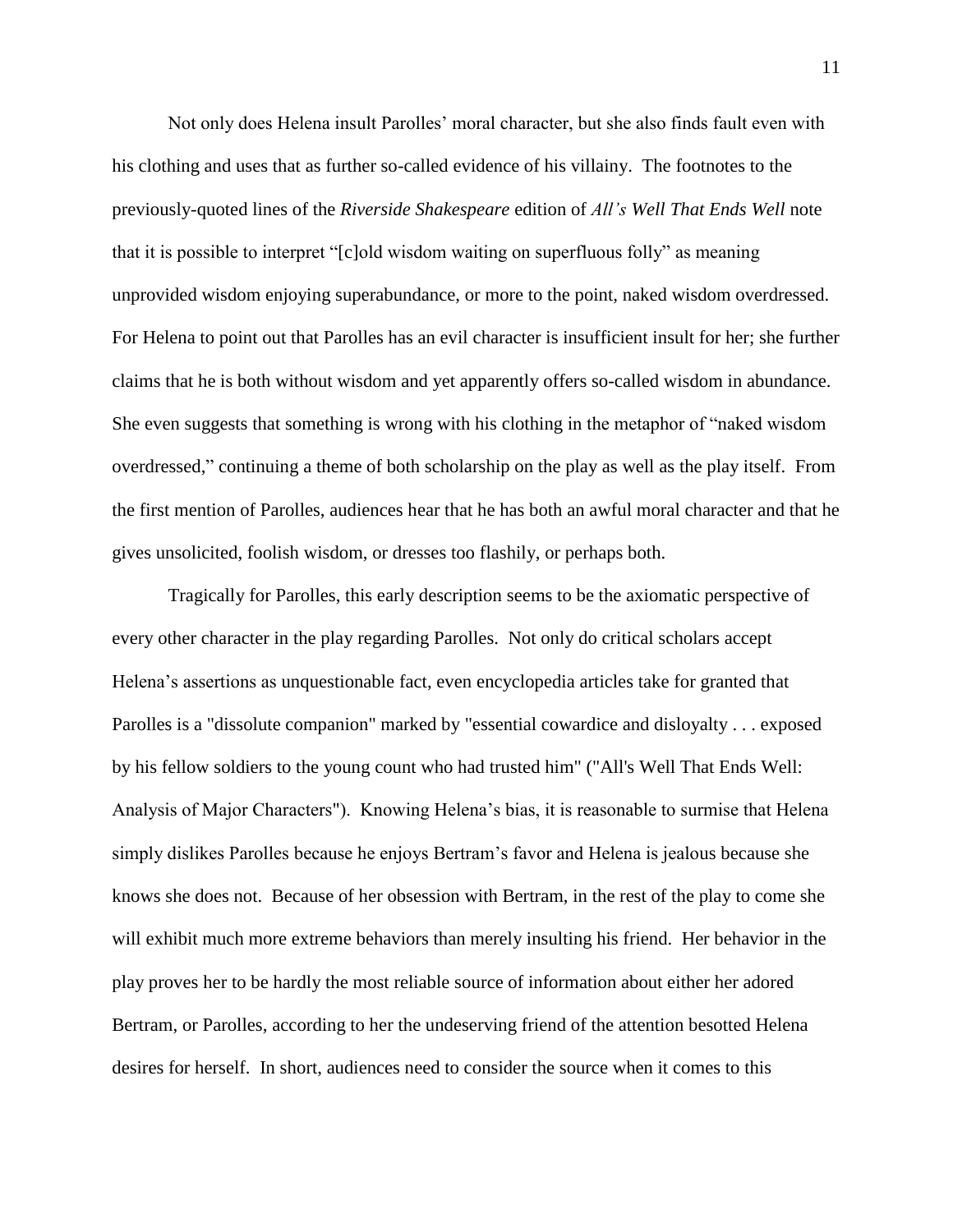Not only does Helena insult Parolles' moral character, but she also finds fault even with his clothing and uses that as further so-called evidence of his villainy. The footnotes to the previously-quoted lines of the *Riverside Shakespeare* edition of *All's Well That Ends Well* note that it is possible to interpret "[c]old wisdom waiting on superfluous folly" as meaning unprovided wisdom enjoying superabundance, or more to the point, naked wisdom overdressed. For Helena to point out that Parolles has an evil character is insufficient insult for her; she further claims that he is both without wisdom and yet apparently offers so-called wisdom in abundance. She even suggests that something is wrong with his clothing in the metaphor of "naked wisdom overdressed," continuing a theme of both scholarship on the play as well as the play itself. From the first mention of Parolles, audiences hear that he has both an awful moral character and that he gives unsolicited, foolish wisdom, or dresses too flashily, or perhaps both.

Tragically for Parolles, this early description seems to be the axiomatic perspective of every other character in the play regarding Parolles. Not only do critical scholars accept Helena's assertions as unquestionable fact, even encyclopedia articles take for granted that Parolles is a "dissolute companion" marked by "essential cowardice and disloyalty . . . exposed by his fellow soldiers to the young count who had trusted him" ("All's Well That Ends Well: Analysis of Major Characters"). Knowing Helena's bias, it is reasonable to surmise that Helena simply dislikes Parolles because he enjoys Bertram's favor and Helena is jealous because she knows she does not. Because of her obsession with Bertram, in the rest of the play to come she will exhibit much more extreme behaviors than merely insulting his friend. Her behavior in the play proves her to be hardly the most reliable source of information about either her adored Bertram, or Parolles, according to her the undeserving friend of the attention besotted Helena desires for herself. In short, audiences need to consider the source when it comes to this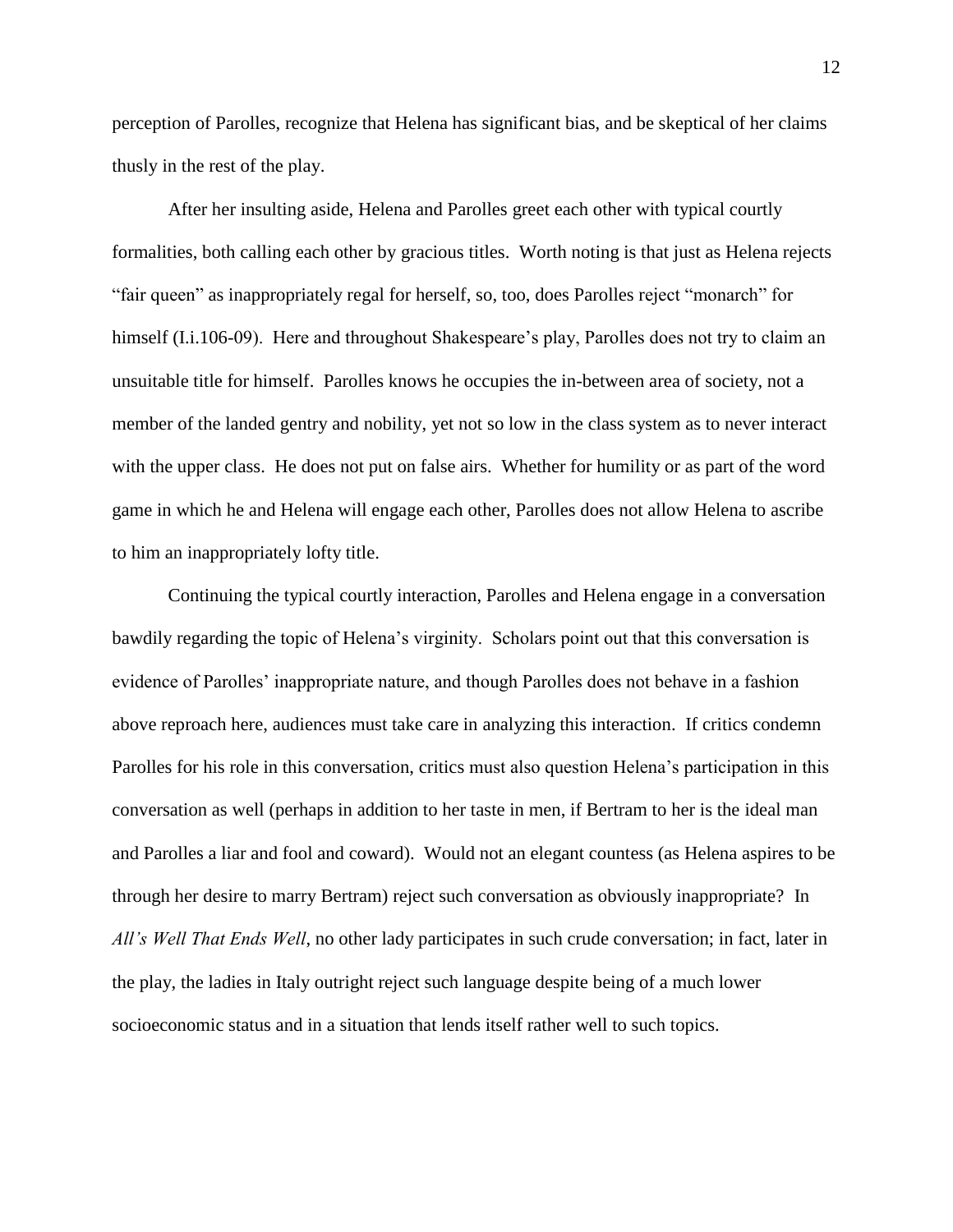perception of Parolles, recognize that Helena has significant bias, and be skeptical of her claims thusly in the rest of the play.

After her insulting aside, Helena and Parolles greet each other with typical courtly formalities, both calling each other by gracious titles. Worth noting is that just as Helena rejects "fair queen" as inappropriately regal for herself, so, too, does Parolles reject "monarch" for himself (I.i.106-09). Here and throughout Shakespeare's play, Parolles does not try to claim an unsuitable title for himself. Parolles knows he occupies the in-between area of society, not a member of the landed gentry and nobility, yet not so low in the class system as to never interact with the upper class. He does not put on false airs. Whether for humility or as part of the word game in which he and Helena will engage each other, Parolles does not allow Helena to ascribe to him an inappropriately lofty title.

Continuing the typical courtly interaction, Parolles and Helena engage in a conversation bawdily regarding the topic of Helena's virginity. Scholars point out that this conversation is evidence of Parolles' inappropriate nature, and though Parolles does not behave in a fashion above reproach here, audiences must take care in analyzing this interaction. If critics condemn Parolles for his role in this conversation, critics must also question Helena's participation in this conversation as well (perhaps in addition to her taste in men, if Bertram to her is the ideal man and Parolles a liar and fool and coward). Would not an elegant countess (as Helena aspires to be through her desire to marry Bertram) reject such conversation as obviously inappropriate? In *All's Well That Ends Well*, no other lady participates in such crude conversation; in fact, later in the play, the ladies in Italy outright reject such language despite being of a much lower socioeconomic status and in a situation that lends itself rather well to such topics.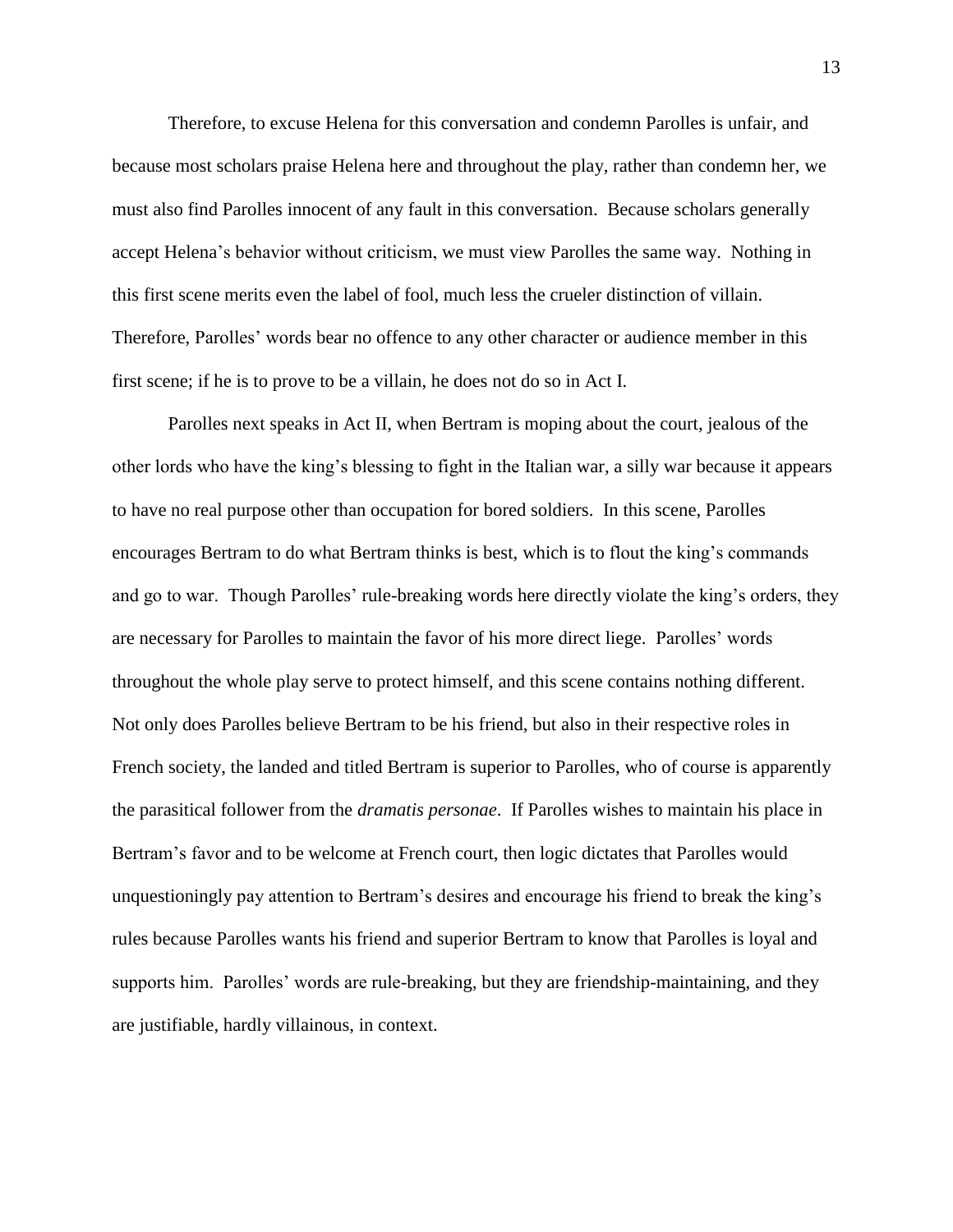Therefore, to excuse Helena for this conversation and condemn Parolles is unfair, and because most scholars praise Helena here and throughout the play, rather than condemn her, we must also find Parolles innocent of any fault in this conversation. Because scholars generally accept Helena's behavior without criticism, we must view Parolles the same way. Nothing in this first scene merits even the label of fool, much less the crueler distinction of villain. Therefore, Parolles' words bear no offence to any other character or audience member in this first scene; if he is to prove to be a villain, he does not do so in Act I.

Parolles next speaks in Act II, when Bertram is moping about the court, jealous of the other lords who have the king's blessing to fight in the Italian war, a silly war because it appears to have no real purpose other than occupation for bored soldiers. In this scene, Parolles encourages Bertram to do what Bertram thinks is best, which is to flout the king's commands and go to war. Though Parolles' rule-breaking words here directly violate the king's orders, they are necessary for Parolles to maintain the favor of his more direct liege. Parolles' words throughout the whole play serve to protect himself, and this scene contains nothing different. Not only does Parolles believe Bertram to be his friend, but also in their respective roles in French society, the landed and titled Bertram is superior to Parolles, who of course is apparently the parasitical follower from the *dramatis personae*. If Parolles wishes to maintain his place in Bertram's favor and to be welcome at French court, then logic dictates that Parolles would unquestioningly pay attention to Bertram's desires and encourage his friend to break the king's rules because Parolles wants his friend and superior Bertram to know that Parolles is loyal and supports him. Parolles' words are rule-breaking, but they are friendship-maintaining, and they are justifiable, hardly villainous, in context.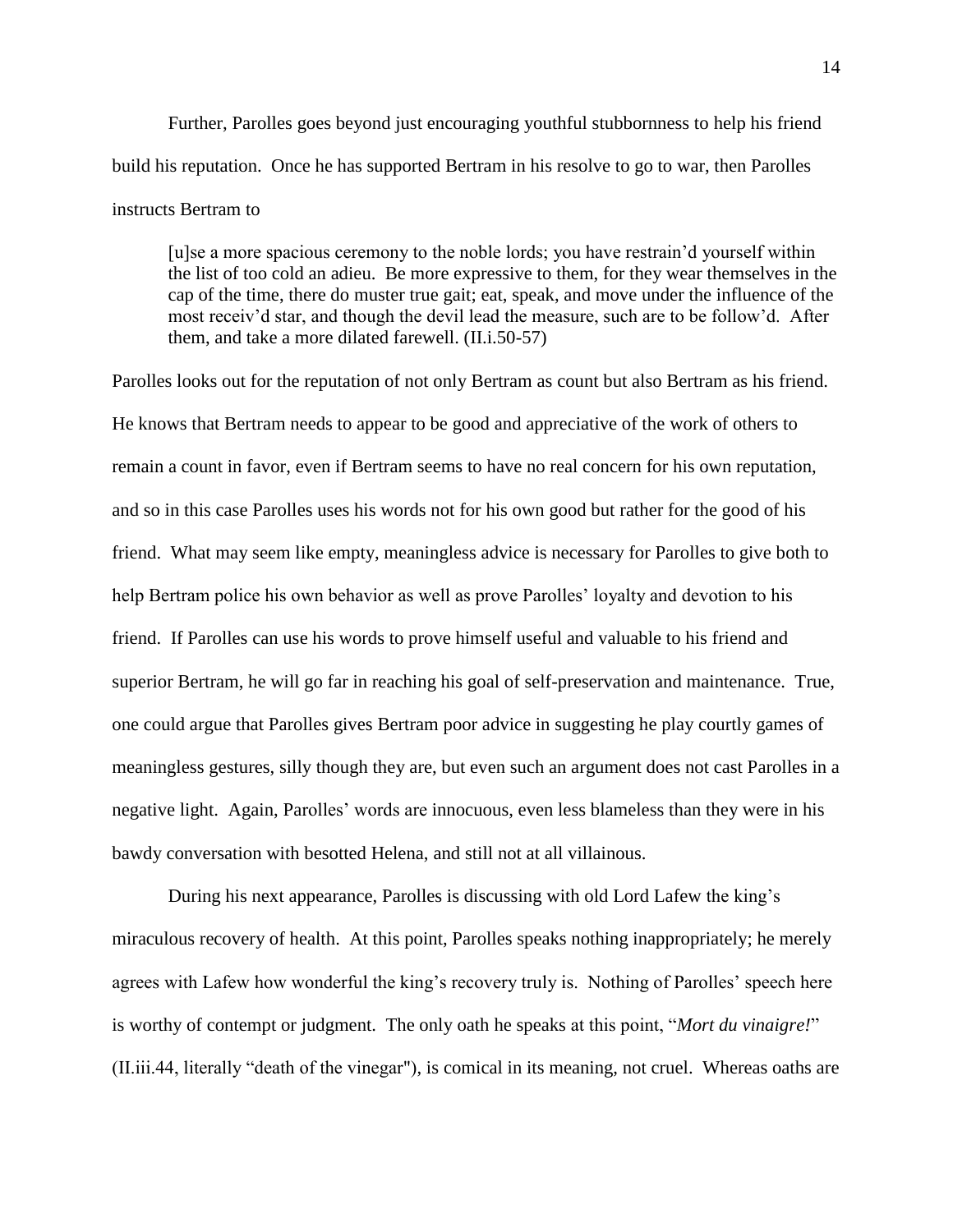Further, Parolles goes beyond just encouraging youthful stubbornness to help his friend build his reputation. Once he has supported Bertram in his resolve to go to war, then Parolles instructs Bertram to

[u]se a more spacious ceremony to the noble lords; you have restrain'd yourself within the list of too cold an adieu. Be more expressive to them, for they wear themselves in the cap of the time, there do muster true gait; eat, speak, and move under the influence of the most receiv'd star, and though the devil lead the measure, such are to be follow'd. After them, and take a more dilated farewell. (II.i.50-57)

Parolles looks out for the reputation of not only Bertram as count but also Bertram as his friend. He knows that Bertram needs to appear to be good and appreciative of the work of others to remain a count in favor, even if Bertram seems to have no real concern for his own reputation, and so in this case Parolles uses his words not for his own good but rather for the good of his friend. What may seem like empty, meaningless advice is necessary for Parolles to give both to help Bertram police his own behavior as well as prove Parolles' loyalty and devotion to his friend. If Parolles can use his words to prove himself useful and valuable to his friend and superior Bertram, he will go far in reaching his goal of self-preservation and maintenance. True, one could argue that Parolles gives Bertram poor advice in suggesting he play courtly games of meaningless gestures, silly though they are, but even such an argument does not cast Parolles in a negative light. Again, Parolles' words are innocuous, even less blameless than they were in his bawdy conversation with besotted Helena, and still not at all villainous.

During his next appearance, Parolles is discussing with old Lord Lafew the king's miraculous recovery of health. At this point, Parolles speaks nothing inappropriately; he merely agrees with Lafew how wonderful the king's recovery truly is. Nothing of Parolles' speech here is worthy of contempt or judgment. The only oath he speaks at this point, "*Mort du vinaigre!*" (II.iii.44, literally "death of the vinegar"), is comical in its meaning, not cruel. Whereas oaths are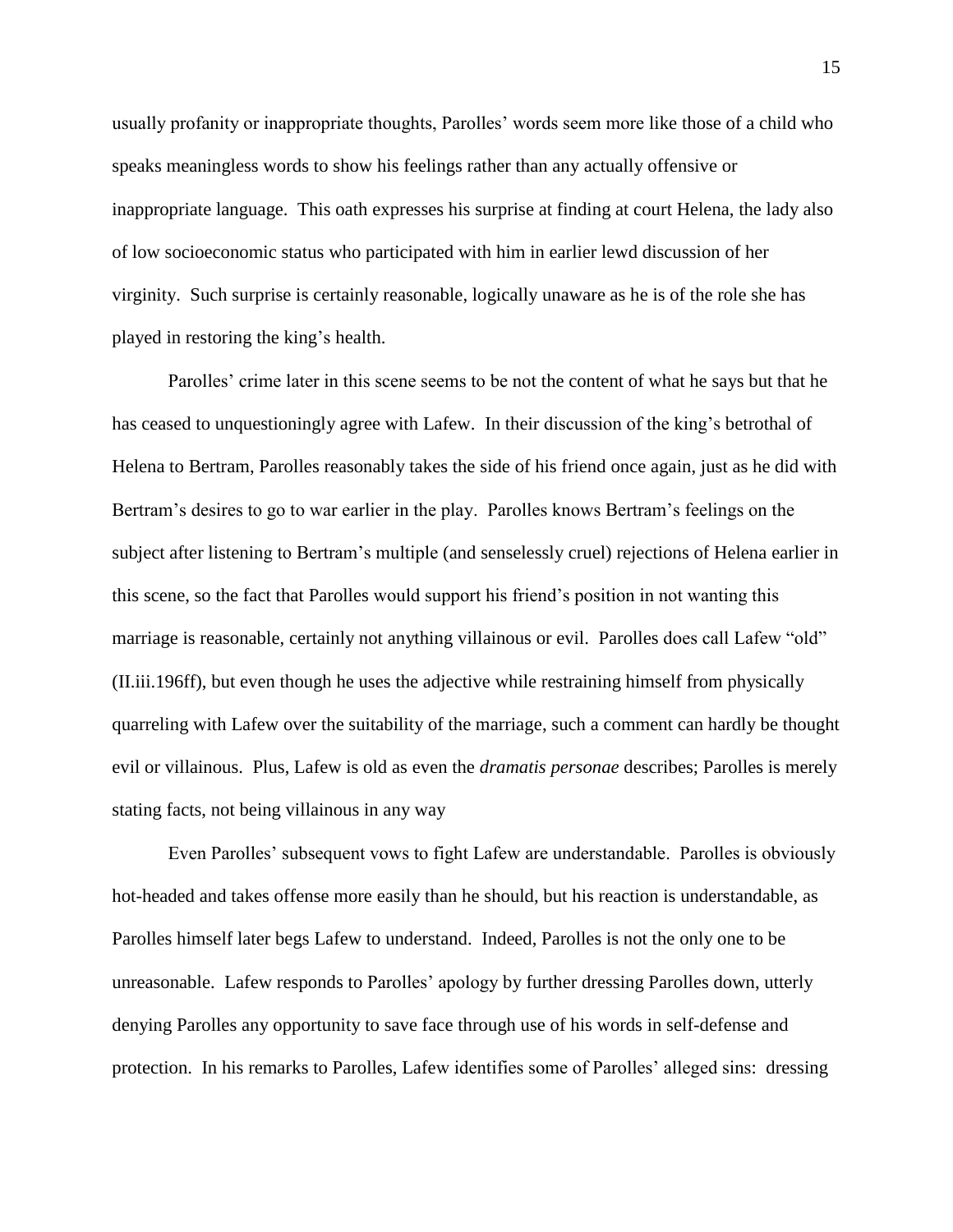usually profanity or inappropriate thoughts, Parolles' words seem more like those of a child who speaks meaningless words to show his feelings rather than any actually offensive or inappropriate language. This oath expresses his surprise at finding at court Helena, the lady also of low socioeconomic status who participated with him in earlier lewd discussion of her virginity. Such surprise is certainly reasonable, logically unaware as he is of the role she has played in restoring the king's health.

Parolles' crime later in this scene seems to be not the content of what he says but that he has ceased to unquestioningly agree with Lafew. In their discussion of the king's betrothal of Helena to Bertram, Parolles reasonably takes the side of his friend once again, just as he did with Bertram's desires to go to war earlier in the play. Parolles knows Bertram's feelings on the subject after listening to Bertram's multiple (and senselessly cruel) rejections of Helena earlier in this scene, so the fact that Parolles would support his friend's position in not wanting this marriage is reasonable, certainly not anything villainous or evil. Parolles does call Lafew "old" (II.iii.196ff), but even though he uses the adjective while restraining himself from physically quarreling with Lafew over the suitability of the marriage, such a comment can hardly be thought evil or villainous. Plus, Lafew is old as even the *dramatis personae* describes; Parolles is merely stating facts, not being villainous in any way

Even Parolles' subsequent vows to fight Lafew are understandable. Parolles is obviously hot-headed and takes offense more easily than he should, but his reaction is understandable, as Parolles himself later begs Lafew to understand. Indeed, Parolles is not the only one to be unreasonable. Lafew responds to Parolles' apology by further dressing Parolles down, utterly denying Parolles any opportunity to save face through use of his words in self-defense and protection. In his remarks to Parolles, Lafew identifies some of Parolles' alleged sins: dressing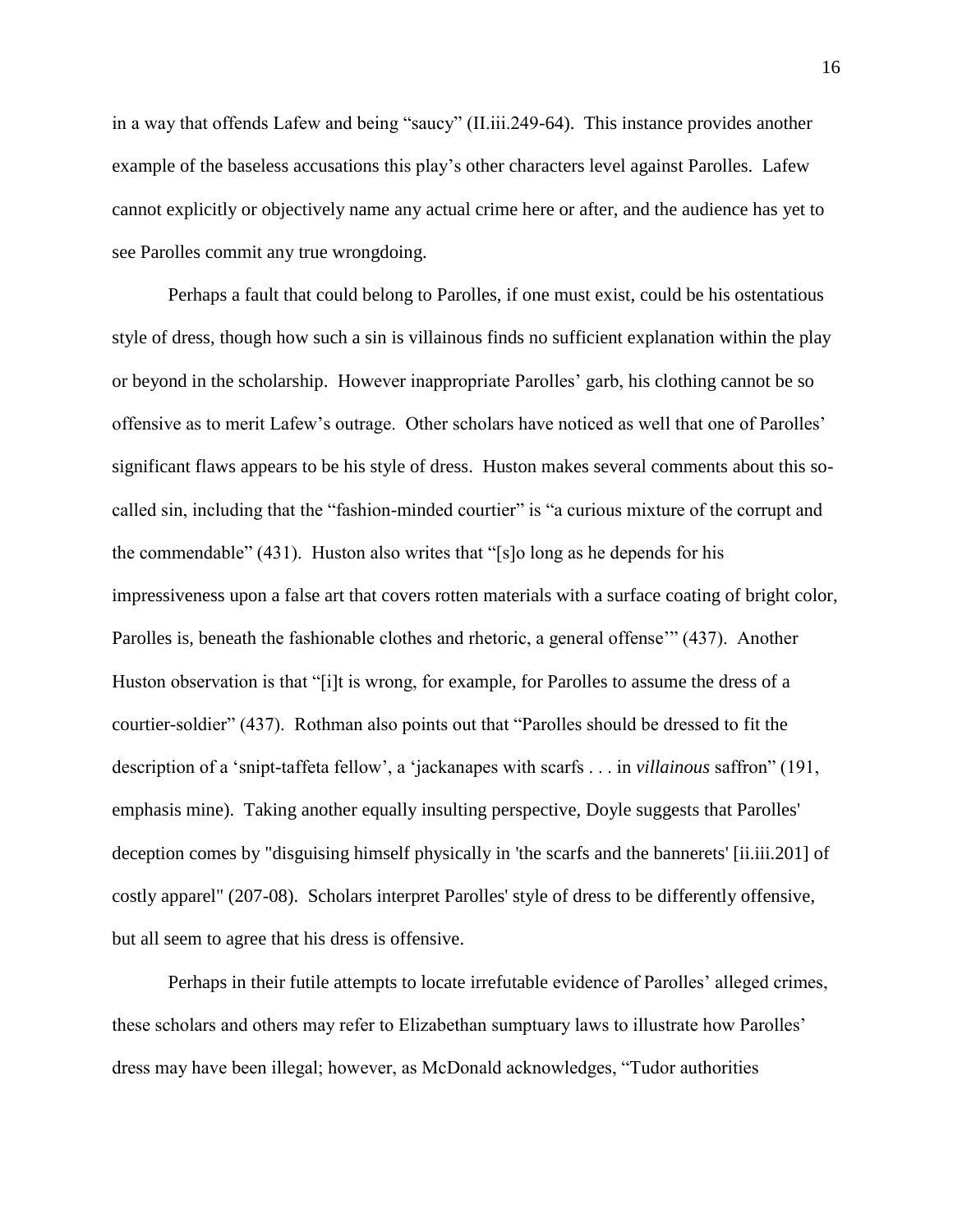in a way that offends Lafew and being "saucy" (II.iii.249-64). This instance provides another example of the baseless accusations this play's other characters level against Parolles. Lafew cannot explicitly or objectively name any actual crime here or after, and the audience has yet to see Parolles commit any true wrongdoing.

Perhaps a fault that could belong to Parolles, if one must exist, could be his ostentatious style of dress, though how such a sin is villainous finds no sufficient explanation within the play or beyond in the scholarship. However inappropriate Parolles' garb, his clothing cannot be so offensive as to merit Lafew's outrage. Other scholars have noticed as well that one of Parolles' significant flaws appears to be his style of dress. Huston makes several comments about this socalled sin, including that the "fashion-minded courtier" is "a curious mixture of the corrupt and the commendable" (431). Huston also writes that "[s]o long as he depends for his impressiveness upon a false art that covers rotten materials with a surface coating of bright color, Parolles is, beneath the fashionable clothes and rhetoric, a general offense'" (437). Another Huston observation is that "[i]t is wrong, for example, for Parolles to assume the dress of a courtier-soldier" (437). Rothman also points out that "Parolles should be dressed to fit the description of a 'snipt-taffeta fellow', a 'jackanapes with scarfs . . . in *villainous* saffron" (191, emphasis mine). Taking another equally insulting perspective, Doyle suggests that Parolles' deception comes by "disguising himself physically in 'the scarfs and the bannerets' [ii.iii.201] of costly apparel" (207-08). Scholars interpret Parolles' style of dress to be differently offensive, but all seem to agree that his dress is offensive.

Perhaps in their futile attempts to locate irrefutable evidence of Parolles' alleged crimes, these scholars and others may refer to Elizabethan sumptuary laws to illustrate how Parolles' dress may have been illegal; however, as McDonald acknowledges, "Tudor authorities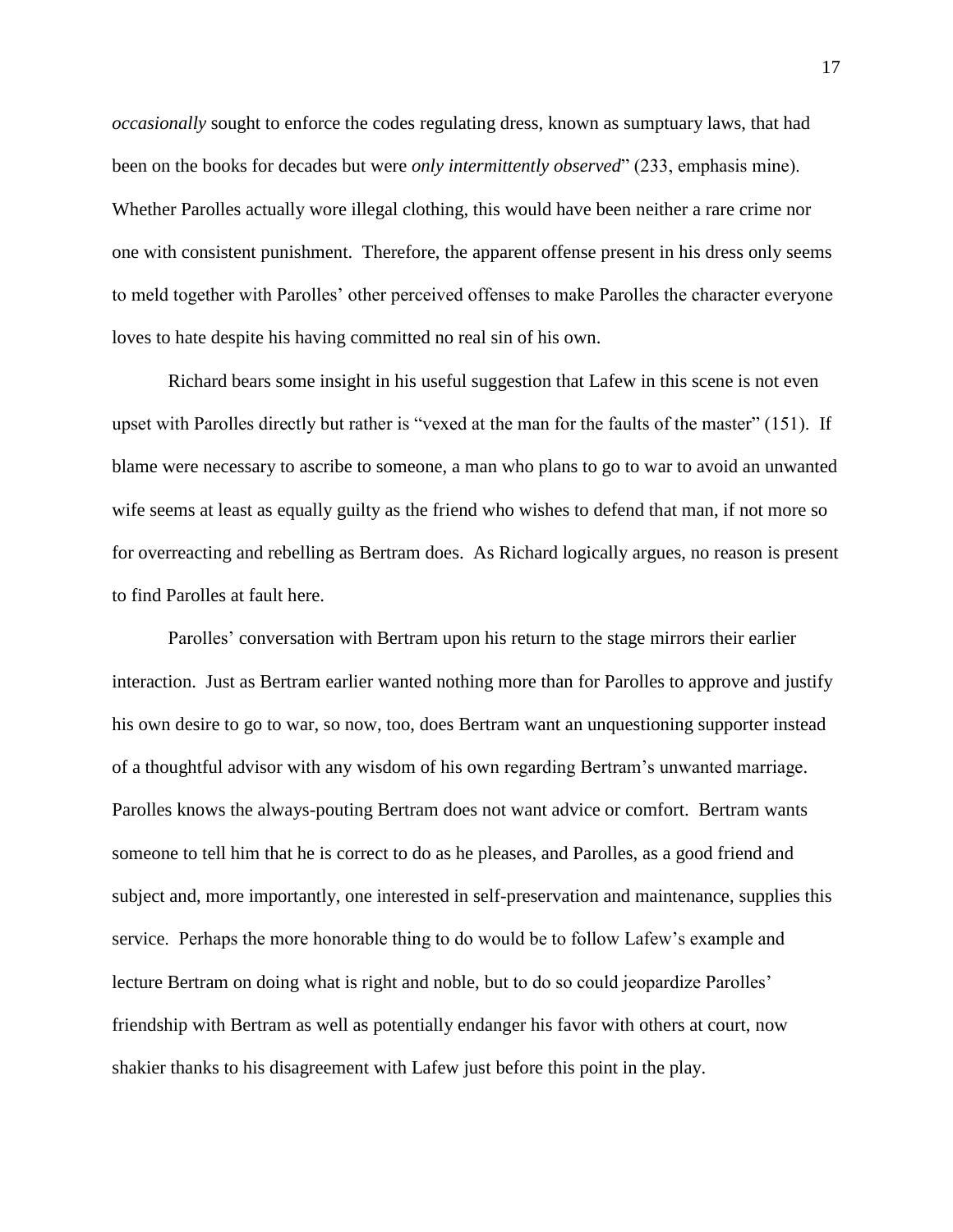*occasionally* sought to enforce the codes regulating dress, known as sumptuary laws, that had been on the books for decades but were *only intermittently observed*" (233, emphasis mine). Whether Parolles actually wore illegal clothing, this would have been neither a rare crime nor one with consistent punishment. Therefore, the apparent offense present in his dress only seems to meld together with Parolles' other perceived offenses to make Parolles the character everyone loves to hate despite his having committed no real sin of his own.

Richard bears some insight in his useful suggestion that Lafew in this scene is not even upset with Parolles directly but rather is "vexed at the man for the faults of the master" (151). If blame were necessary to ascribe to someone, a man who plans to go to war to avoid an unwanted wife seems at least as equally guilty as the friend who wishes to defend that man, if not more so for overreacting and rebelling as Bertram does. As Richard logically argues, no reason is present to find Parolles at fault here.

Parolles' conversation with Bertram upon his return to the stage mirrors their earlier interaction. Just as Bertram earlier wanted nothing more than for Parolles to approve and justify his own desire to go to war, so now, too, does Bertram want an unquestioning supporter instead of a thoughtful advisor with any wisdom of his own regarding Bertram's unwanted marriage. Parolles knows the always-pouting Bertram does not want advice or comfort. Bertram wants someone to tell him that he is correct to do as he pleases, and Parolles, as a good friend and subject and, more importantly, one interested in self-preservation and maintenance, supplies this service. Perhaps the more honorable thing to do would be to follow Lafew's example and lecture Bertram on doing what is right and noble, but to do so could jeopardize Parolles' friendship with Bertram as well as potentially endanger his favor with others at court, now shakier thanks to his disagreement with Lafew just before this point in the play.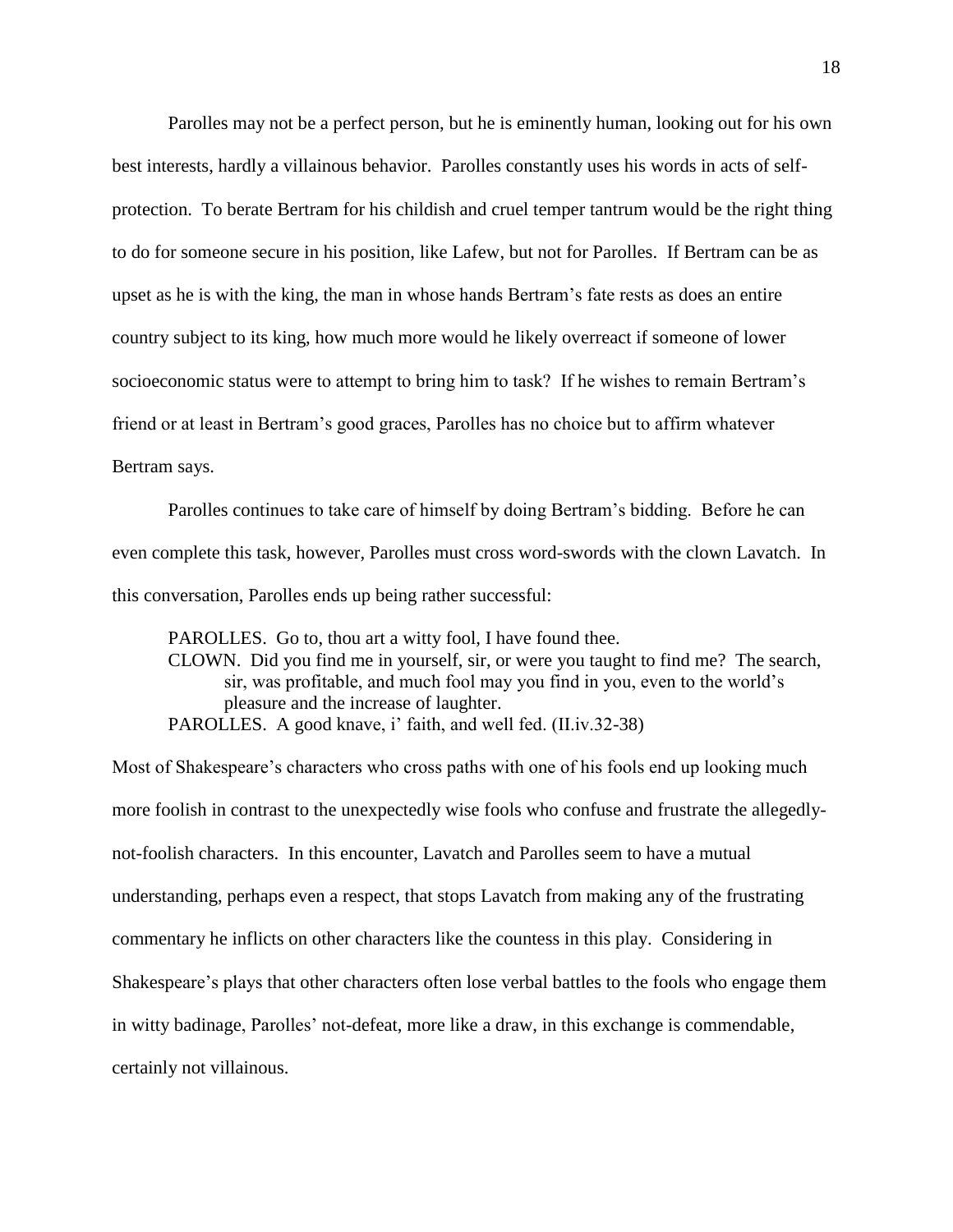Parolles may not be a perfect person, but he is eminently human, looking out for his own best interests, hardly a villainous behavior. Parolles constantly uses his words in acts of selfprotection. To berate Bertram for his childish and cruel temper tantrum would be the right thing to do for someone secure in his position, like Lafew, but not for Parolles. If Bertram can be as upset as he is with the king, the man in whose hands Bertram's fate rests as does an entire country subject to its king, how much more would he likely overreact if someone of lower socioeconomic status were to attempt to bring him to task? If he wishes to remain Bertram's friend or at least in Bertram's good graces, Parolles has no choice but to affirm whatever Bertram says.

Parolles continues to take care of himself by doing Bertram's bidding. Before he can even complete this task, however, Parolles must cross word-swords with the clown Lavatch. In this conversation, Parolles ends up being rather successful:

PAROLLES. Go to, thou art a witty fool, I have found thee. CLOWN. Did you find me in yourself, sir, or were you taught to find me? The search, sir, was profitable, and much fool may you find in you, even to the world's pleasure and the increase of laughter. PAROLLES. A good knave, i' faith, and well fed. (II.iv.32-38)

Most of Shakespeare's characters who cross paths with one of his fools end up looking much more foolish in contrast to the unexpectedly wise fools who confuse and frustrate the allegedlynot-foolish characters. In this encounter, Lavatch and Parolles seem to have a mutual understanding, perhaps even a respect, that stops Lavatch from making any of the frustrating commentary he inflicts on other characters like the countess in this play. Considering in Shakespeare's plays that other characters often lose verbal battles to the fools who engage them in witty badinage, Parolles' not-defeat, more like a draw, in this exchange is commendable, certainly not villainous.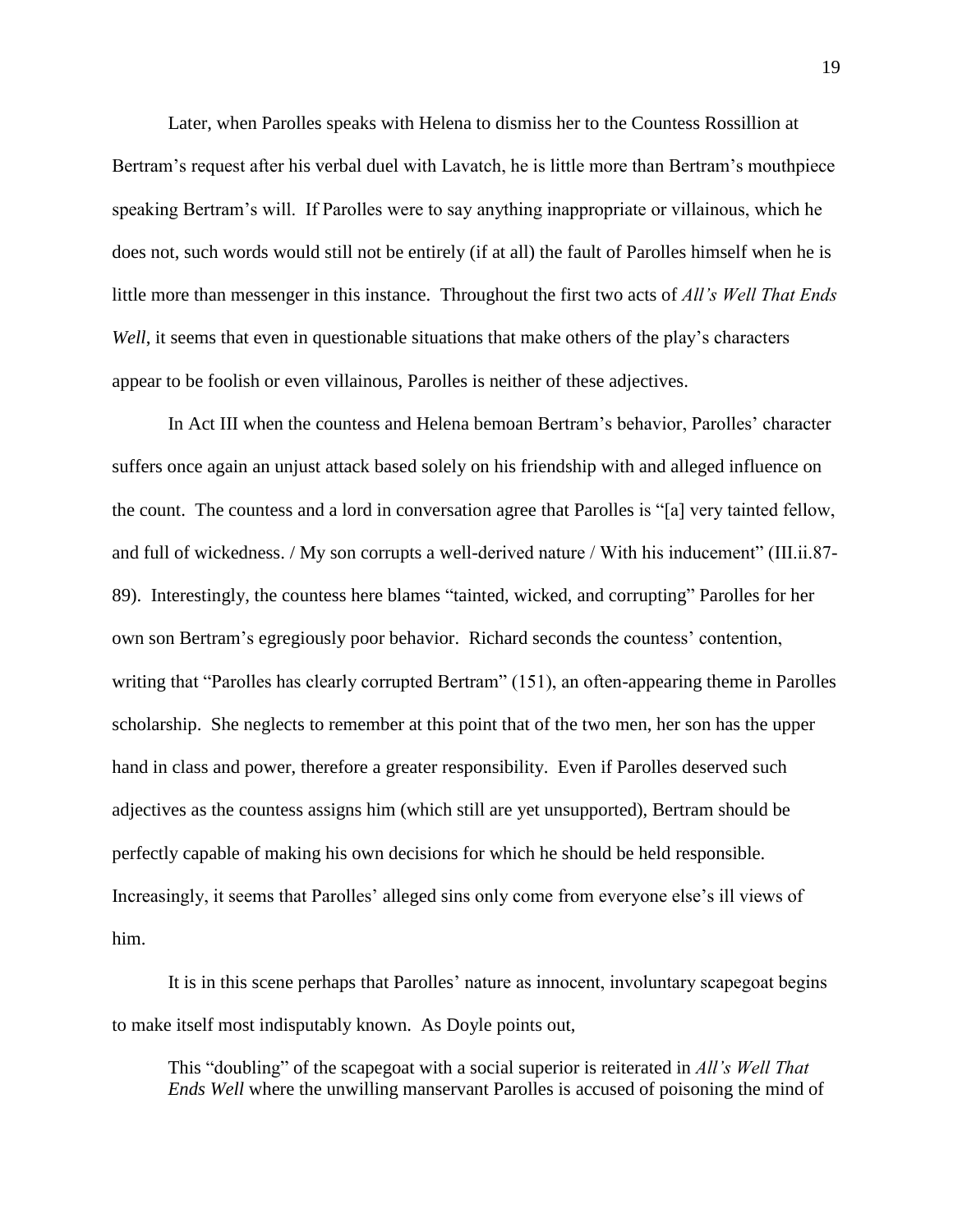Later, when Parolles speaks with Helena to dismiss her to the Countess Rossillion at Bertram's request after his verbal duel with Lavatch, he is little more than Bertram's mouthpiece speaking Bertram's will. If Parolles were to say anything inappropriate or villainous, which he does not, such words would still not be entirely (if at all) the fault of Parolles himself when he is little more than messenger in this instance. Throughout the first two acts of *All's Well That Ends Well*, it seems that even in questionable situations that make others of the play's characters appear to be foolish or even villainous, Parolles is neither of these adjectives.

In Act III when the countess and Helena bemoan Bertram's behavior, Parolles' character suffers once again an unjust attack based solely on his friendship with and alleged influence on the count. The countess and a lord in conversation agree that Parolles is "[a] very tainted fellow, and full of wickedness. / My son corrupts a well-derived nature / With his inducement" (III.ii.87- 89). Interestingly, the countess here blames "tainted, wicked, and corrupting" Parolles for her own son Bertram's egregiously poor behavior. Richard seconds the countess' contention, writing that "Parolles has clearly corrupted Bertram" (151), an often-appearing theme in Parolles scholarship. She neglects to remember at this point that of the two men, her son has the upper hand in class and power, therefore a greater responsibility. Even if Parolles deserved such adjectives as the countess assigns him (which still are yet unsupported), Bertram should be perfectly capable of making his own decisions for which he should be held responsible. Increasingly, it seems that Parolles' alleged sins only come from everyone else's ill views of him.

It is in this scene perhaps that Parolles' nature as innocent, involuntary scapegoat begins to make itself most indisputably known. As Doyle points out,

This "doubling" of the scapegoat with a social superior is reiterated in *All's Well That Ends Well* where the unwilling manservant Parolles is accused of poisoning the mind of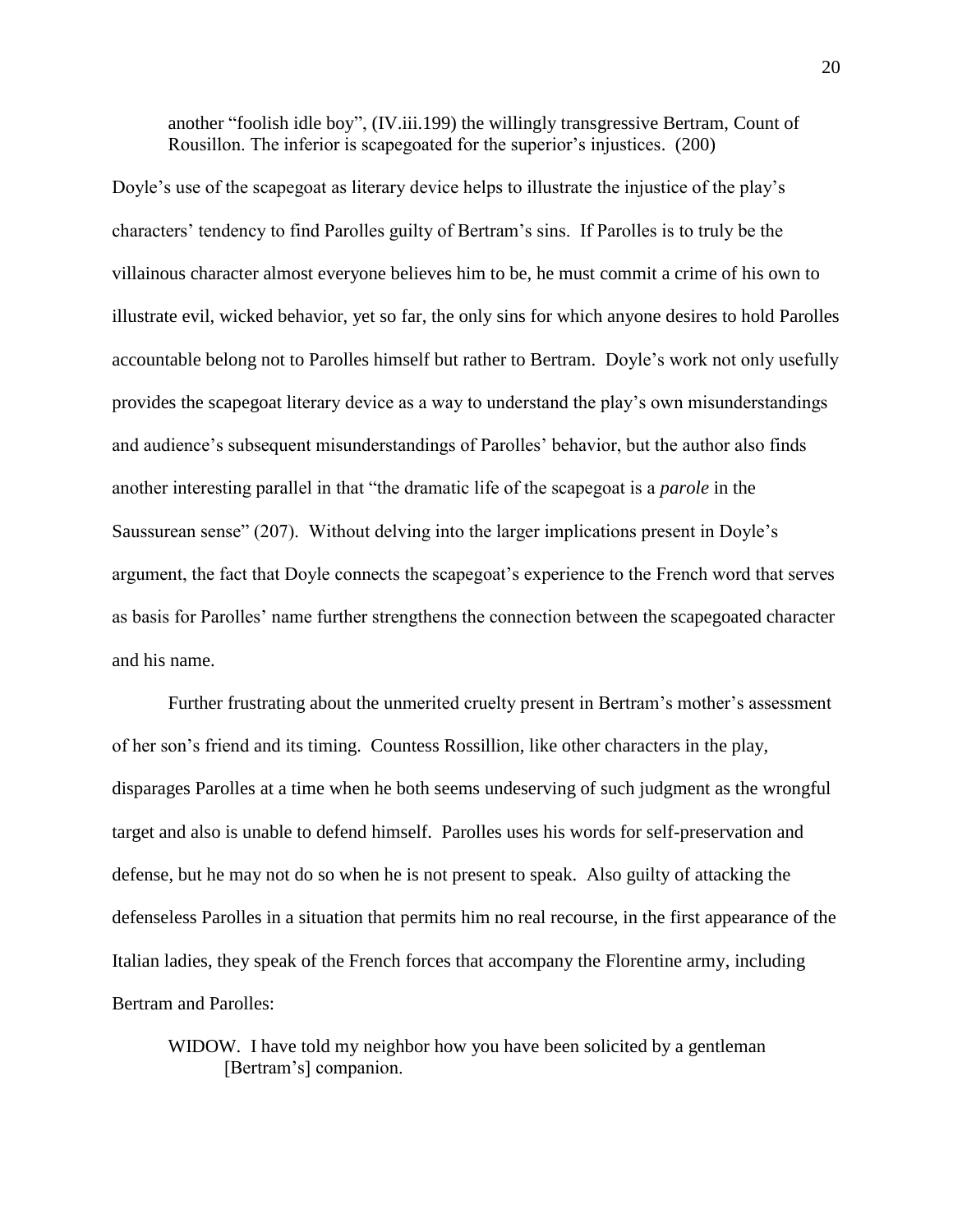another "foolish idle boy", (IV.iii.199) the willingly transgressive Bertram, Count of Rousillon. The inferior is scapegoated for the superior's injustices. (200)

Doyle's use of the scapegoat as literary device helps to illustrate the injustice of the play's characters' tendency to find Parolles guilty of Bertram's sins. If Parolles is to truly be the villainous character almost everyone believes him to be, he must commit a crime of his own to illustrate evil, wicked behavior, yet so far, the only sins for which anyone desires to hold Parolles accountable belong not to Parolles himself but rather to Bertram. Doyle's work not only usefully provides the scapegoat literary device as a way to understand the play's own misunderstandings and audience's subsequent misunderstandings of Parolles' behavior, but the author also finds another interesting parallel in that "the dramatic life of the scapegoat is a *parole* in the Saussurean sense" (207). Without delving into the larger implications present in Doyle's argument, the fact that Doyle connects the scapegoat's experience to the French word that serves as basis for Parolles' name further strengthens the connection between the scapegoated character and his name.

Further frustrating about the unmerited cruelty present in Bertram's mother's assessment of her son's friend and its timing. Countess Rossillion, like other characters in the play, disparages Parolles at a time when he both seems undeserving of such judgment as the wrongful target and also is unable to defend himself. Parolles uses his words for self-preservation and defense, but he may not do so when he is not present to speak. Also guilty of attacking the defenseless Parolles in a situation that permits him no real recourse, in the first appearance of the Italian ladies, they speak of the French forces that accompany the Florentine army, including Bertram and Parolles:

WIDOW. I have told my neighbor how you have been solicited by a gentleman [Bertram's] companion.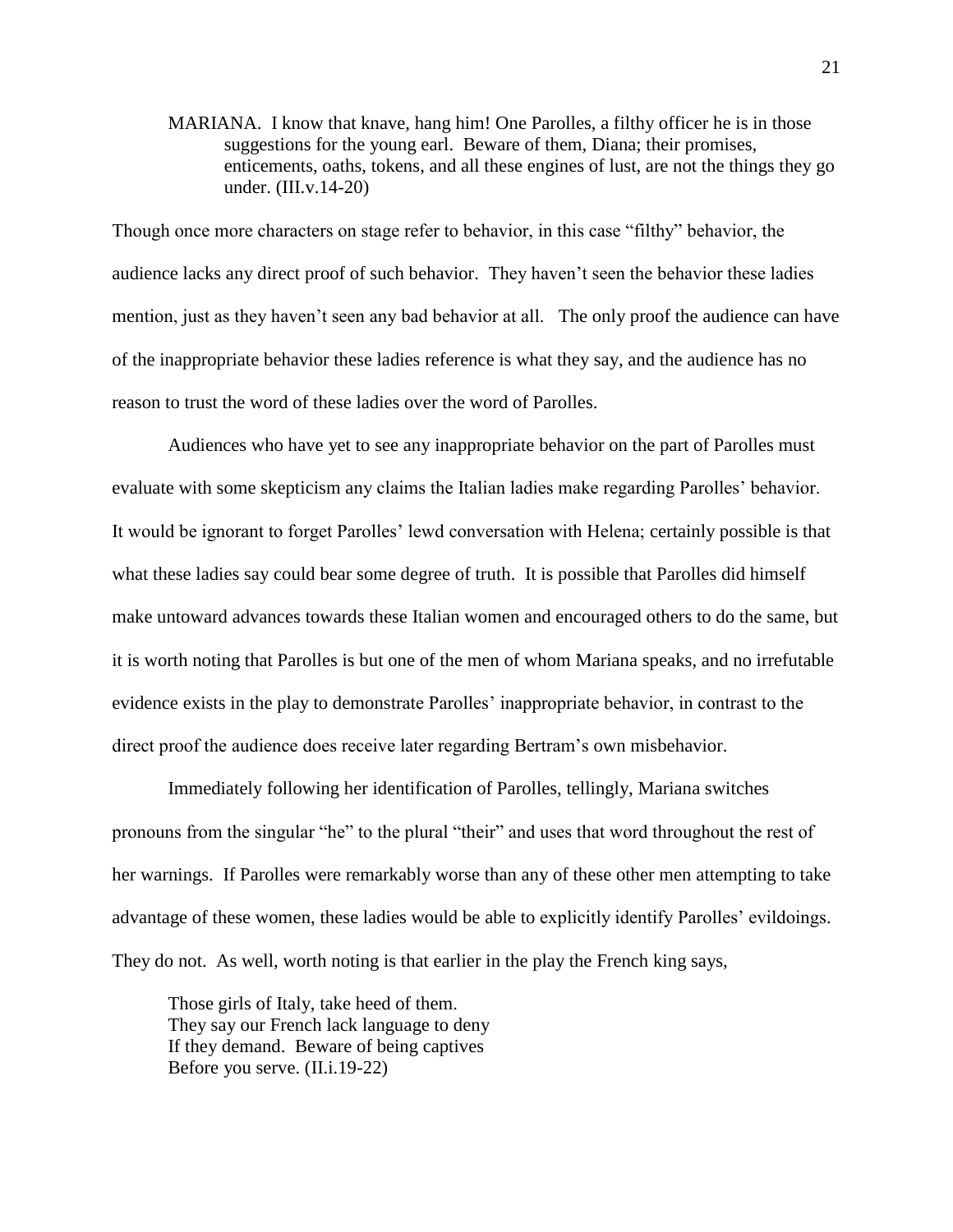MARIANA. I know that knave, hang him! One Parolles, a filthy officer he is in those suggestions for the young earl. Beware of them, Diana; their promises, enticements, oaths, tokens, and all these engines of lust, are not the things they go under. (III.v.14-20)

Though once more characters on stage refer to behavior, in this case "filthy" behavior, the audience lacks any direct proof of such behavior. They haven't seen the behavior these ladies mention, just as they haven't seen any bad behavior at all. The only proof the audience can have of the inappropriate behavior these ladies reference is what they say, and the audience has no reason to trust the word of these ladies over the word of Parolles.

Audiences who have yet to see any inappropriate behavior on the part of Parolles must evaluate with some skepticism any claims the Italian ladies make regarding Parolles' behavior. It would be ignorant to forget Parolles' lewd conversation with Helena; certainly possible is that what these ladies say could bear some degree of truth. It is possible that Parolles did himself make untoward advances towards these Italian women and encouraged others to do the same, but it is worth noting that Parolles is but one of the men of whom Mariana speaks, and no irrefutable evidence exists in the play to demonstrate Parolles' inappropriate behavior, in contrast to the direct proof the audience does receive later regarding Bertram's own misbehavior.

Immediately following her identification of Parolles, tellingly, Mariana switches pronouns from the singular "he" to the plural "their" and uses that word throughout the rest of her warnings. If Parolles were remarkably worse than any of these other men attempting to take advantage of these women, these ladies would be able to explicitly identify Parolles' evildoings. They do not. As well, worth noting is that earlier in the play the French king says,

Those girls of Italy, take heed of them. They say our French lack language to deny If they demand. Beware of being captives Before you serve. (II.i.19-22)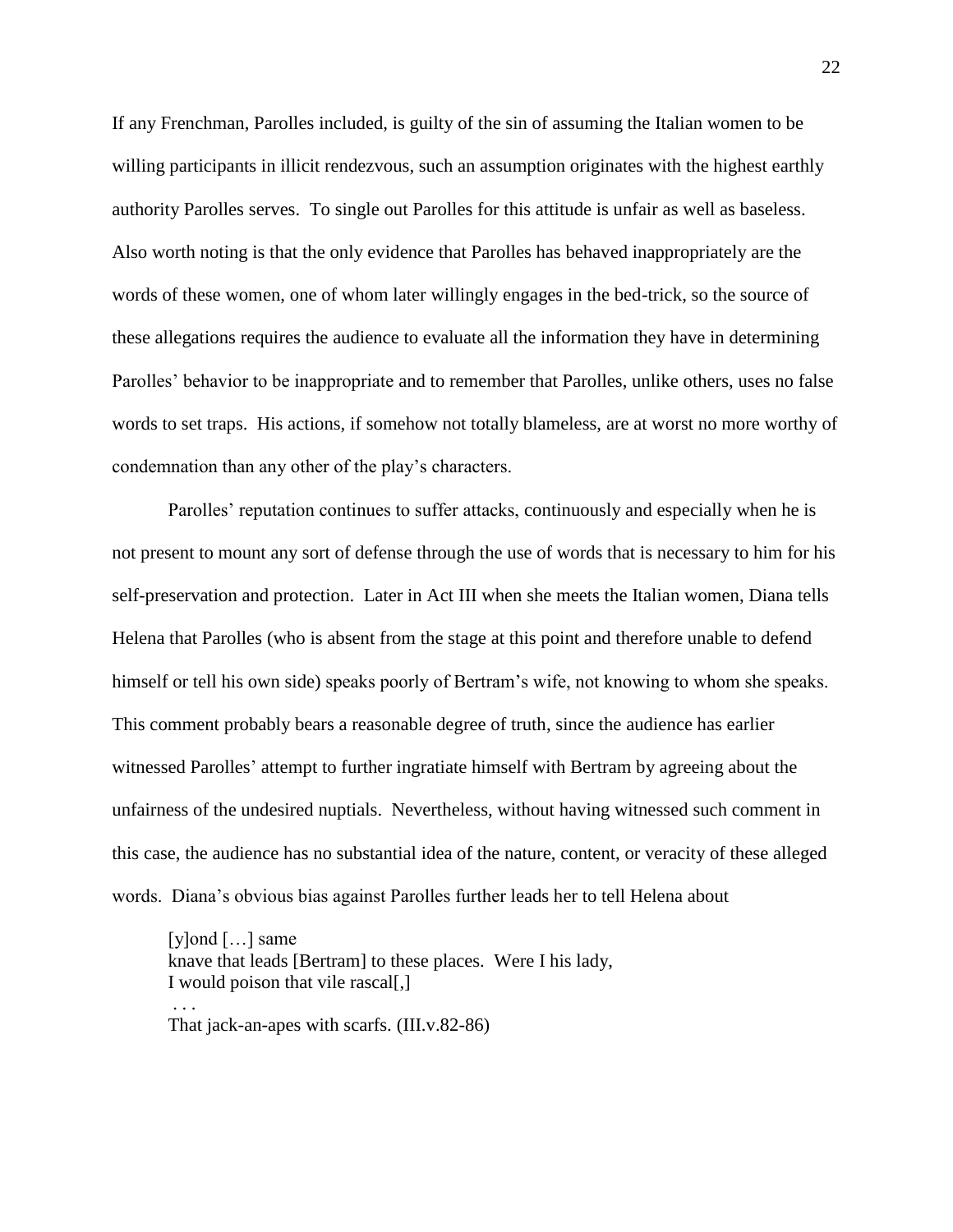If any Frenchman, Parolles included, is guilty of the sin of assuming the Italian women to be willing participants in illicit rendezvous, such an assumption originates with the highest earthly authority Parolles serves. To single out Parolles for this attitude is unfair as well as baseless. Also worth noting is that the only evidence that Parolles has behaved inappropriately are the words of these women, one of whom later willingly engages in the bed-trick, so the source of these allegations requires the audience to evaluate all the information they have in determining Parolles' behavior to be inappropriate and to remember that Parolles, unlike others, uses no false words to set traps. His actions, if somehow not totally blameless, are at worst no more worthy of condemnation than any other of the play's characters.

Parolles' reputation continues to suffer attacks, continuously and especially when he is not present to mount any sort of defense through the use of words that is necessary to him for his self-preservation and protection. Later in Act III when she meets the Italian women, Diana tells Helena that Parolles (who is absent from the stage at this point and therefore unable to defend himself or tell his own side) speaks poorly of Bertram's wife, not knowing to whom she speaks. This comment probably bears a reasonable degree of truth, since the audience has earlier witnessed Parolles' attempt to further ingratiate himself with Bertram by agreeing about the unfairness of the undesired nuptials. Nevertheless, without having witnessed such comment in this case, the audience has no substantial idea of the nature, content, or veracity of these alleged words. Diana's obvious bias against Parolles further leads her to tell Helena about

[y]ond […] same knave that leads [Bertram] to these places. Were I his lady, I would poison that vile rascal[,] . . . That jack-an-apes with scarfs. (III.v.82-86)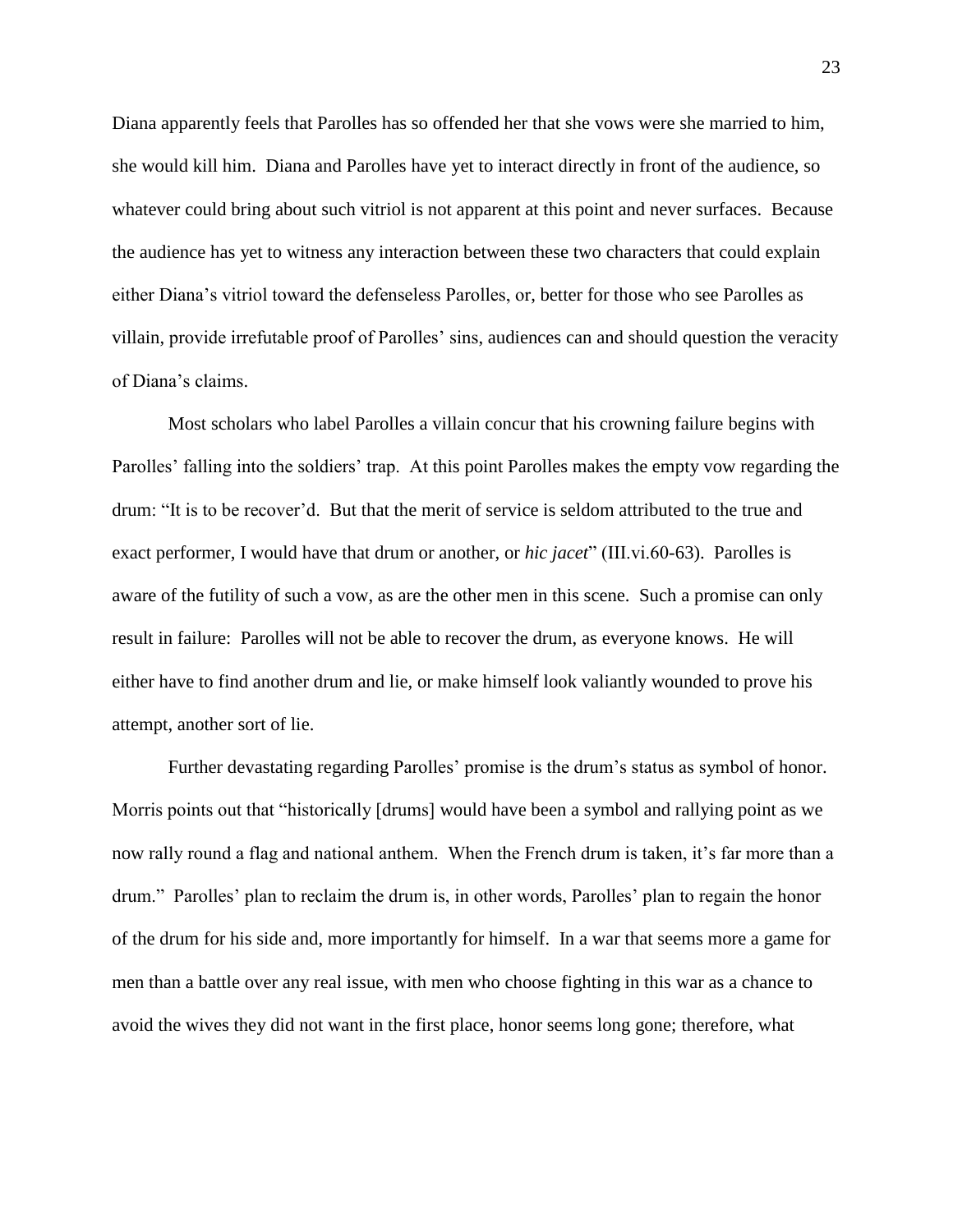Diana apparently feels that Parolles has so offended her that she vows were she married to him, she would kill him. Diana and Parolles have yet to interact directly in front of the audience, so whatever could bring about such vitriol is not apparent at this point and never surfaces. Because the audience has yet to witness any interaction between these two characters that could explain either Diana's vitriol toward the defenseless Parolles, or, better for those who see Parolles as villain, provide irrefutable proof of Parolles' sins, audiences can and should question the veracity of Diana's claims.

Most scholars who label Parolles a villain concur that his crowning failure begins with Parolles' falling into the soldiers' trap. At this point Parolles makes the empty vow regarding the drum: "It is to be recover'd. But that the merit of service is seldom attributed to the true and exact performer, I would have that drum or another, or *hic jacet*" (III.vi.60-63). Parolles is aware of the futility of such a vow, as are the other men in this scene. Such a promise can only result in failure: Parolles will not be able to recover the drum, as everyone knows. He will either have to find another drum and lie, or make himself look valiantly wounded to prove his attempt, another sort of lie.

Further devastating regarding Parolles' promise is the drum's status as symbol of honor. Morris points out that "historically [drums] would have been a symbol and rallying point as we now rally round a flag and national anthem. When the French drum is taken, it's far more than a drum." Parolles' plan to reclaim the drum is, in other words, Parolles' plan to regain the honor of the drum for his side and, more importantly for himself. In a war that seems more a game for men than a battle over any real issue, with men who choose fighting in this war as a chance to avoid the wives they did not want in the first place, honor seems long gone; therefore, what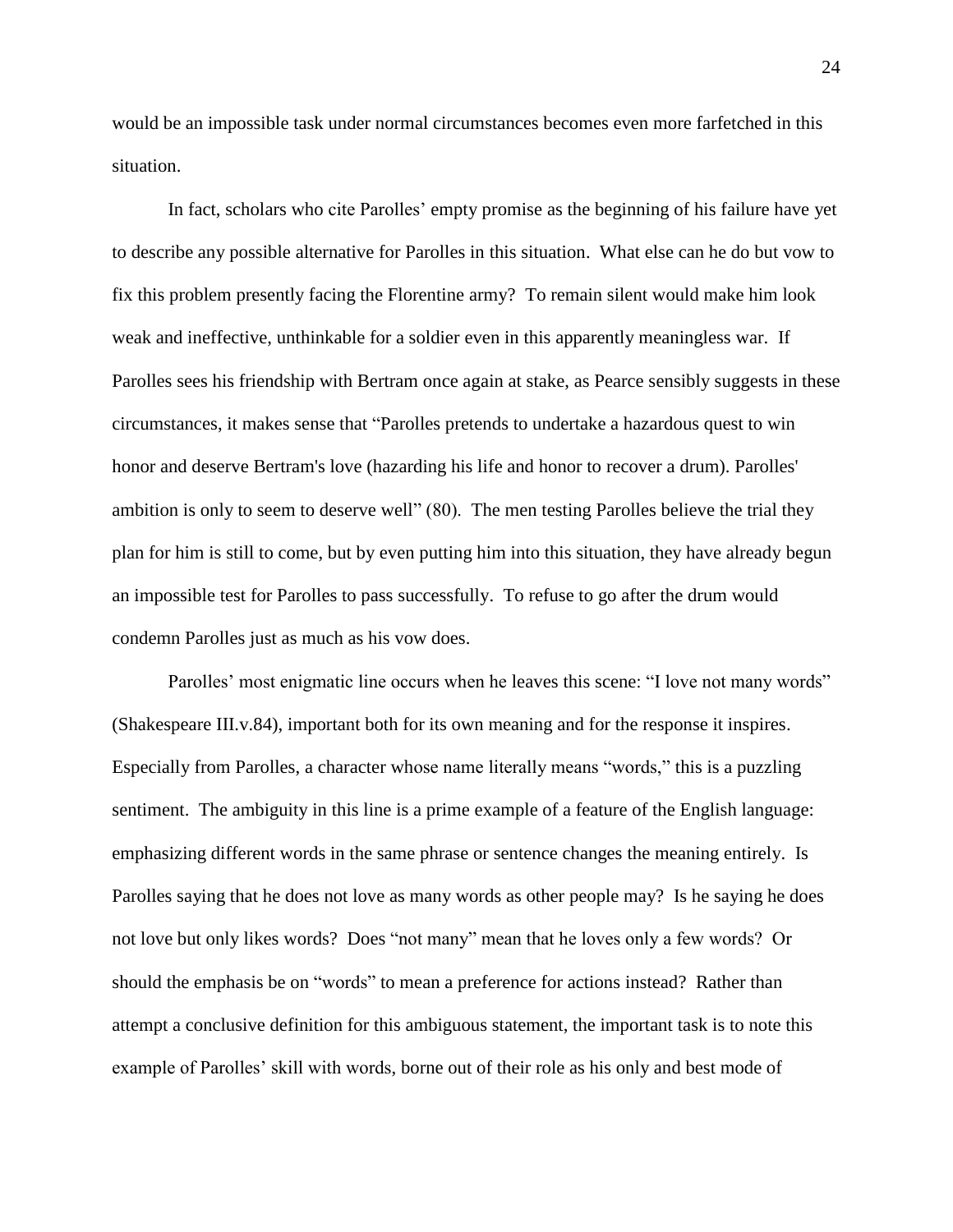would be an impossible task under normal circumstances becomes even more farfetched in this situation.

In fact, scholars who cite Parolles' empty promise as the beginning of his failure have yet to describe any possible alternative for Parolles in this situation. What else can he do but vow to fix this problem presently facing the Florentine army? To remain silent would make him look weak and ineffective, unthinkable for a soldier even in this apparently meaningless war. If Parolles sees his friendship with Bertram once again at stake, as Pearce sensibly suggests in these circumstances, it makes sense that "Parolles pretends to undertake a hazardous quest to win honor and deserve Bertram's love (hazarding his life and honor to recover a drum). Parolles' ambition is only to seem to deserve well" (80). The men testing Parolles believe the trial they plan for him is still to come, but by even putting him into this situation, they have already begun an impossible test for Parolles to pass successfully. To refuse to go after the drum would condemn Parolles just as much as his vow does.

Parolles' most enigmatic line occurs when he leaves this scene: "I love not many words" (Shakespeare III.v.84), important both for its own meaning and for the response it inspires. Especially from Parolles, a character whose name literally means "words," this is a puzzling sentiment. The ambiguity in this line is a prime example of a feature of the English language: emphasizing different words in the same phrase or sentence changes the meaning entirely. Is Parolles saying that he does not love as many words as other people may? Is he saying he does not love but only likes words? Does "not many" mean that he loves only a few words? Or should the emphasis be on "words" to mean a preference for actions instead? Rather than attempt a conclusive definition for this ambiguous statement, the important task is to note this example of Parolles' skill with words, borne out of their role as his only and best mode of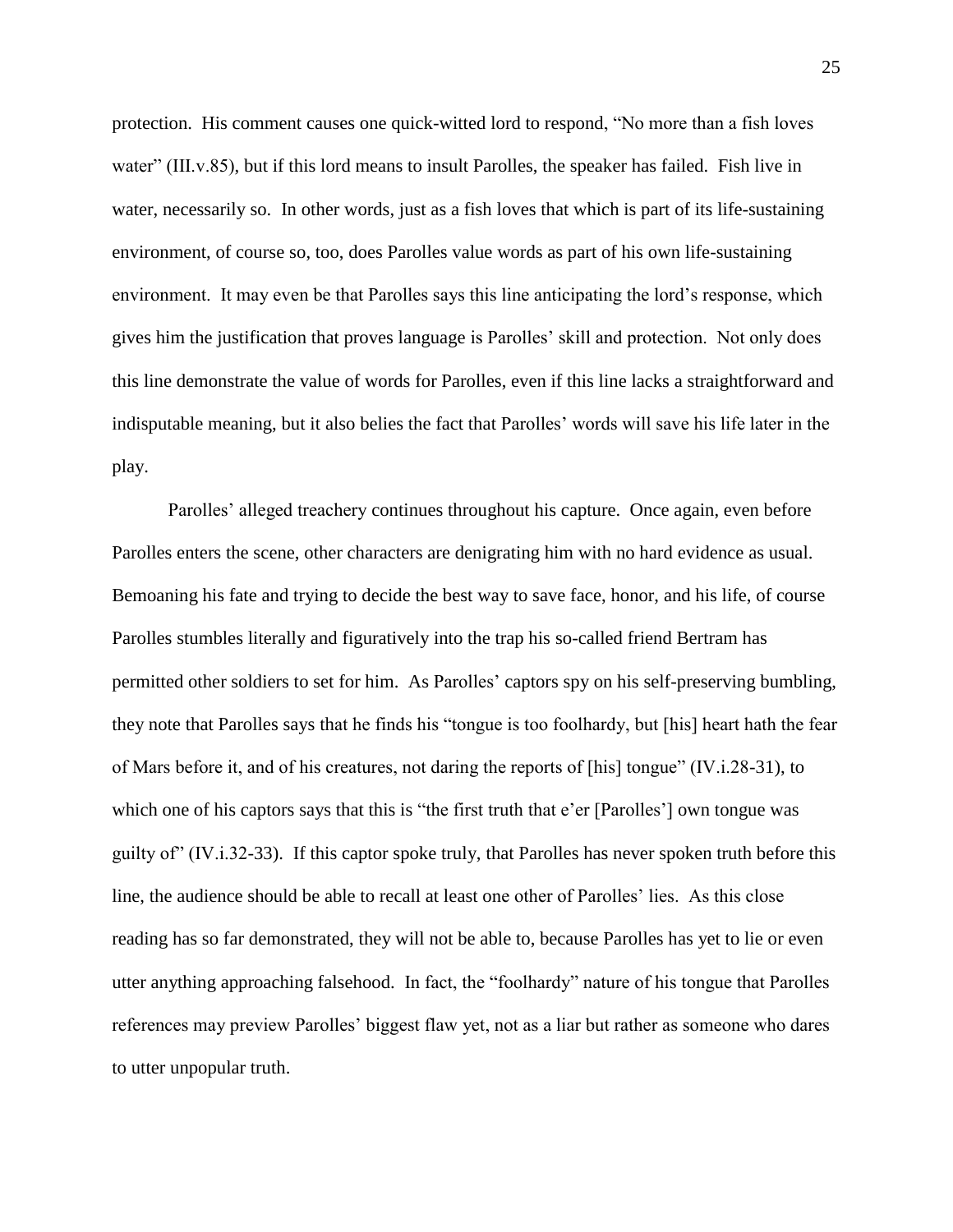protection. His comment causes one quick-witted lord to respond, "No more than a fish loves water" (III.v.85), but if this lord means to insult Parolles, the speaker has failed. Fish live in water, necessarily so. In other words, just as a fish loves that which is part of its life-sustaining environment, of course so, too, does Parolles value words as part of his own life-sustaining environment. It may even be that Parolles says this line anticipating the lord's response, which gives him the justification that proves language is Parolles' skill and protection. Not only does this line demonstrate the value of words for Parolles, even if this line lacks a straightforward and indisputable meaning, but it also belies the fact that Parolles' words will save his life later in the play.

Parolles' alleged treachery continues throughout his capture. Once again, even before Parolles enters the scene, other characters are denigrating him with no hard evidence as usual. Bemoaning his fate and trying to decide the best way to save face, honor, and his life, of course Parolles stumbles literally and figuratively into the trap his so-called friend Bertram has permitted other soldiers to set for him. As Parolles' captors spy on his self-preserving bumbling, they note that Parolles says that he finds his "tongue is too foolhardy, but [his] heart hath the fear of Mars before it, and of his creatures, not daring the reports of [his] tongue" (IV.i.28-31), to which one of his captors says that this is "the first truth that e'er [Parolles'] own tongue was guilty of" (IV.i.32-33). If this captor spoke truly, that Parolles has never spoken truth before this line, the audience should be able to recall at least one other of Parolles' lies. As this close reading has so far demonstrated, they will not be able to, because Parolles has yet to lie or even utter anything approaching falsehood. In fact, the "foolhardy" nature of his tongue that Parolles references may preview Parolles' biggest flaw yet, not as a liar but rather as someone who dares to utter unpopular truth.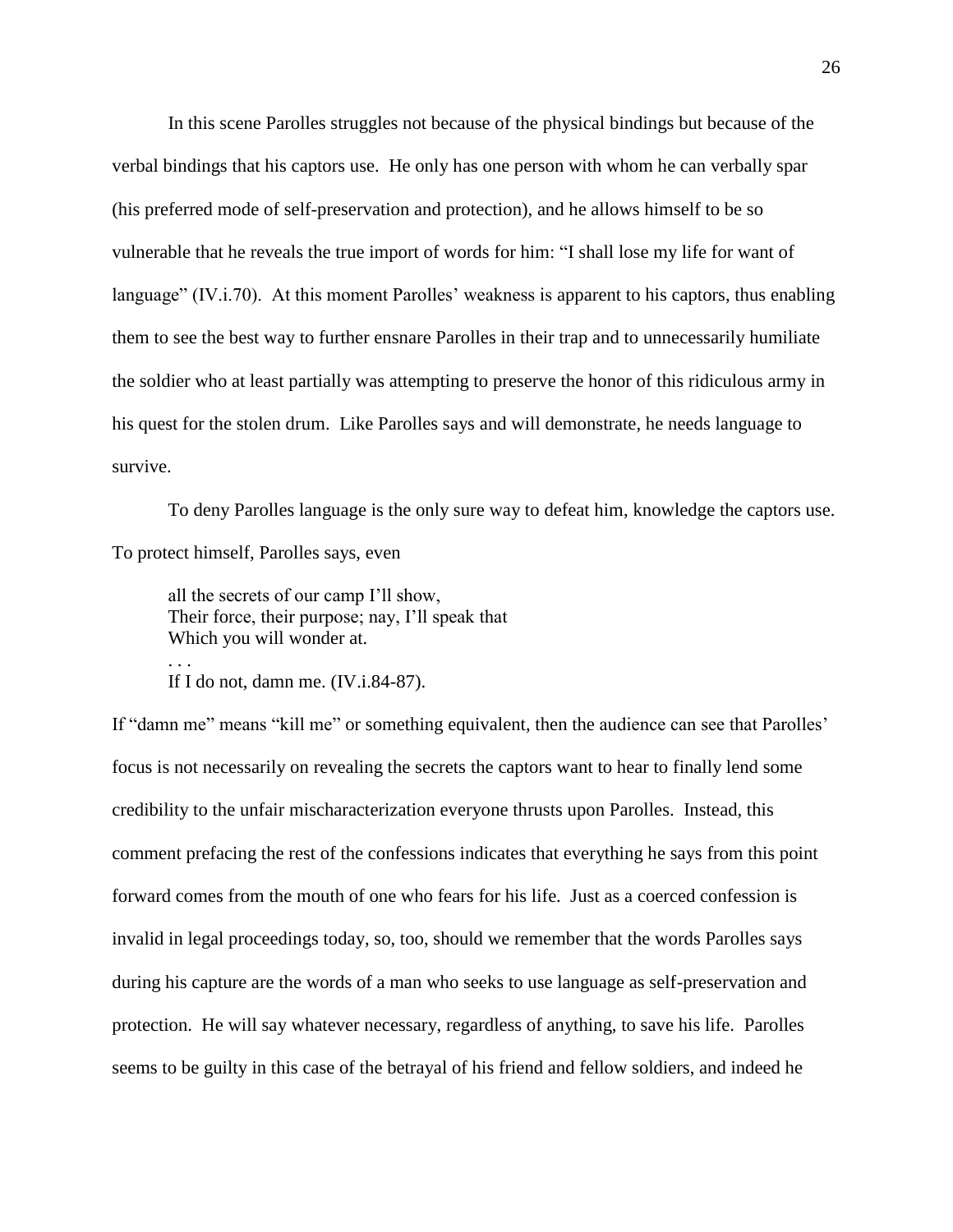In this scene Parolles struggles not because of the physical bindings but because of the verbal bindings that his captors use. He only has one person with whom he can verbally spar (his preferred mode of self-preservation and protection), and he allows himself to be so vulnerable that he reveals the true import of words for him: "I shall lose my life for want of language" (IV.i.70). At this moment Parolles' weakness is apparent to his captors, thus enabling them to see the best way to further ensnare Parolles in their trap and to unnecessarily humiliate the soldier who at least partially was attempting to preserve the honor of this ridiculous army in his quest for the stolen drum. Like Parolles says and will demonstrate, he needs language to survive.

To deny Parolles language is the only sure way to defeat him, knowledge the captors use. To protect himself, Parolles says, even

all the secrets of our camp I'll show, Their force, their purpose; nay, I'll speak that Which you will wonder at.

If I do not, damn me.  $(IV.i.84-87)$ .

. . .

If "damn me" means "kill me" or something equivalent, then the audience can see that Parolles' focus is not necessarily on revealing the secrets the captors want to hear to finally lend some credibility to the unfair mischaracterization everyone thrusts upon Parolles. Instead, this comment prefacing the rest of the confessions indicates that everything he says from this point forward comes from the mouth of one who fears for his life. Just as a coerced confession is invalid in legal proceedings today, so, too, should we remember that the words Parolles says during his capture are the words of a man who seeks to use language as self-preservation and protection. He will say whatever necessary, regardless of anything, to save his life. Parolles seems to be guilty in this case of the betrayal of his friend and fellow soldiers, and indeed he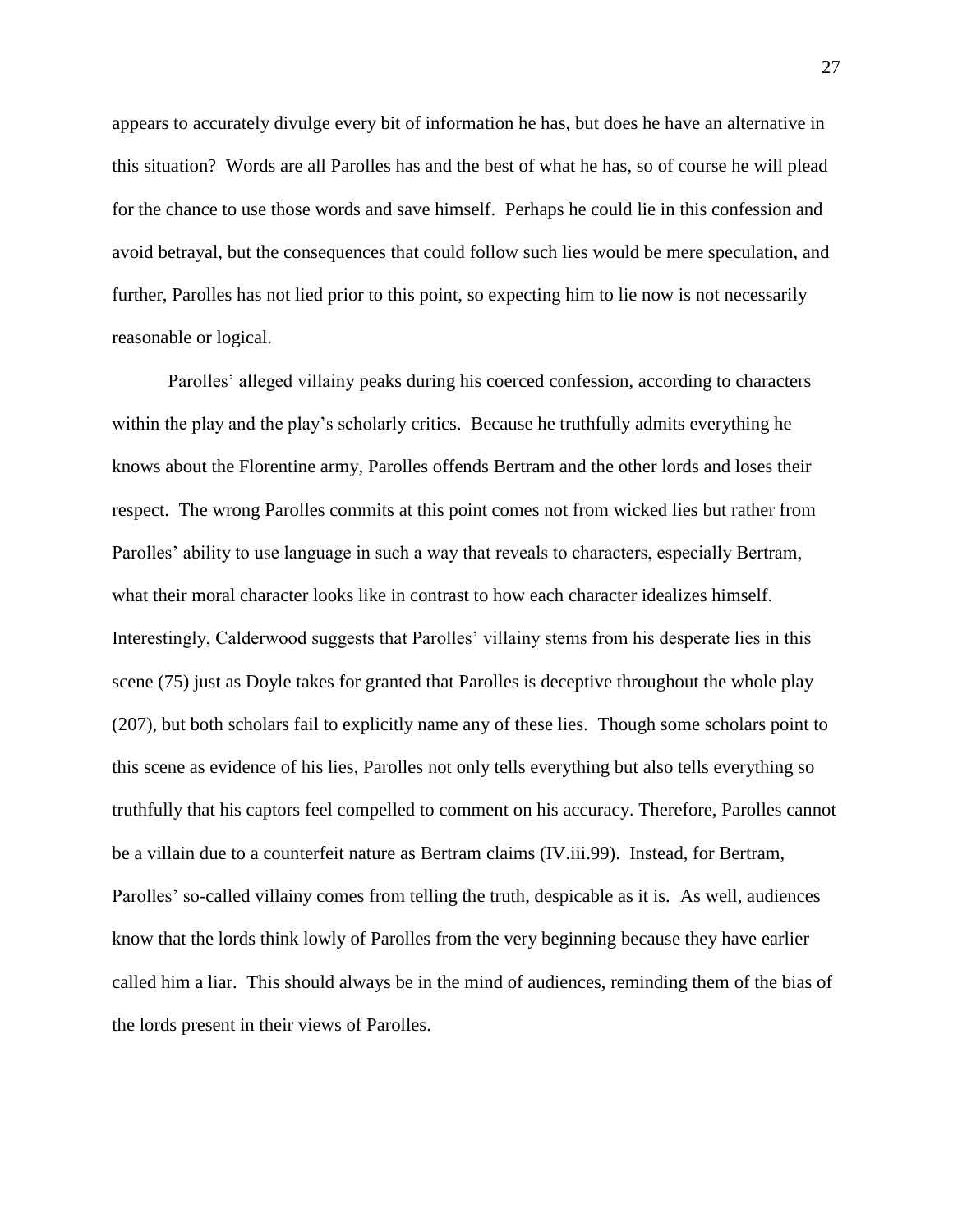appears to accurately divulge every bit of information he has, but does he have an alternative in this situation? Words are all Parolles has and the best of what he has, so of course he will plead for the chance to use those words and save himself. Perhaps he could lie in this confession and avoid betrayal, but the consequences that could follow such lies would be mere speculation, and further, Parolles has not lied prior to this point, so expecting him to lie now is not necessarily reasonable or logical.

Parolles' alleged villainy peaks during his coerced confession, according to characters within the play and the play's scholarly critics. Because he truthfully admits everything he knows about the Florentine army, Parolles offends Bertram and the other lords and loses their respect. The wrong Parolles commits at this point comes not from wicked lies but rather from Parolles' ability to use language in such a way that reveals to characters, especially Bertram, what their moral character looks like in contrast to how each character idealizes himself. Interestingly, Calderwood suggests that Parolles' villainy stems from his desperate lies in this scene (75) just as Doyle takes for granted that Parolles is deceptive throughout the whole play (207), but both scholars fail to explicitly name any of these lies. Though some scholars point to this scene as evidence of his lies, Parolles not only tells everything but also tells everything so truthfully that his captors feel compelled to comment on his accuracy. Therefore, Parolles cannot be a villain due to a counterfeit nature as Bertram claims (IV.iii.99). Instead, for Bertram, Parolles' so-called villainy comes from telling the truth, despicable as it is. As well, audiences know that the lords think lowly of Parolles from the very beginning because they have earlier called him a liar. This should always be in the mind of audiences, reminding them of the bias of the lords present in their views of Parolles.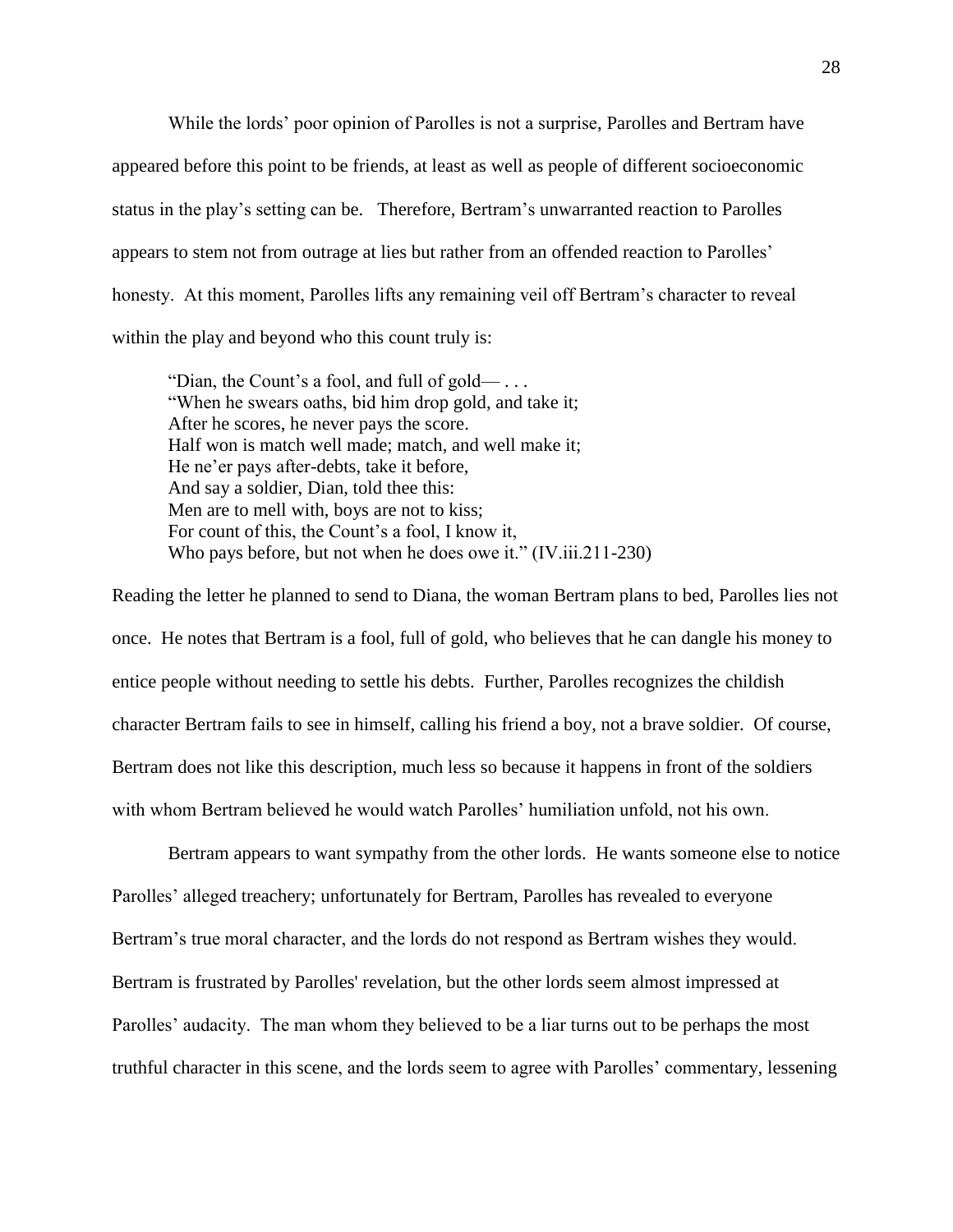While the lords' poor opinion of Parolles is not a surprise, Parolles and Bertram have appeared before this point to be friends, at least as well as people of different socioeconomic status in the play's setting can be. Therefore, Bertram's unwarranted reaction to Parolles appears to stem not from outrage at lies but rather from an offended reaction to Parolles' honesty. At this moment, Parolles lifts any remaining veil off Bertram's character to reveal within the play and beyond who this count truly is:

"Dian, the Count's a fool, and full of gold— $\ldots$ "When he swears oaths, bid him drop gold, and take it; After he scores, he never pays the score. Half won is match well made; match, and well make it; He ne'er pays after-debts, take it before, And say a soldier, Dian, told thee this: Men are to mell with, boys are not to kiss; For count of this, the Count's a fool, I know it, Who pays before, but not when he does owe it." (IV.iii.211-230)

Reading the letter he planned to send to Diana, the woman Bertram plans to bed, Parolles lies not once. He notes that Bertram is a fool, full of gold, who believes that he can dangle his money to entice people without needing to settle his debts. Further, Parolles recognizes the childish character Bertram fails to see in himself, calling his friend a boy, not a brave soldier. Of course, Bertram does not like this description, much less so because it happens in front of the soldiers with whom Bertram believed he would watch Parolles' humiliation unfold, not his own.

Bertram appears to want sympathy from the other lords. He wants someone else to notice Parolles' alleged treachery; unfortunately for Bertram, Parolles has revealed to everyone Bertram's true moral character, and the lords do not respond as Bertram wishes they would. Bertram is frustrated by Parolles' revelation, but the other lords seem almost impressed at Parolles' audacity. The man whom they believed to be a liar turns out to be perhaps the most truthful character in this scene, and the lords seem to agree with Parolles' commentary, lessening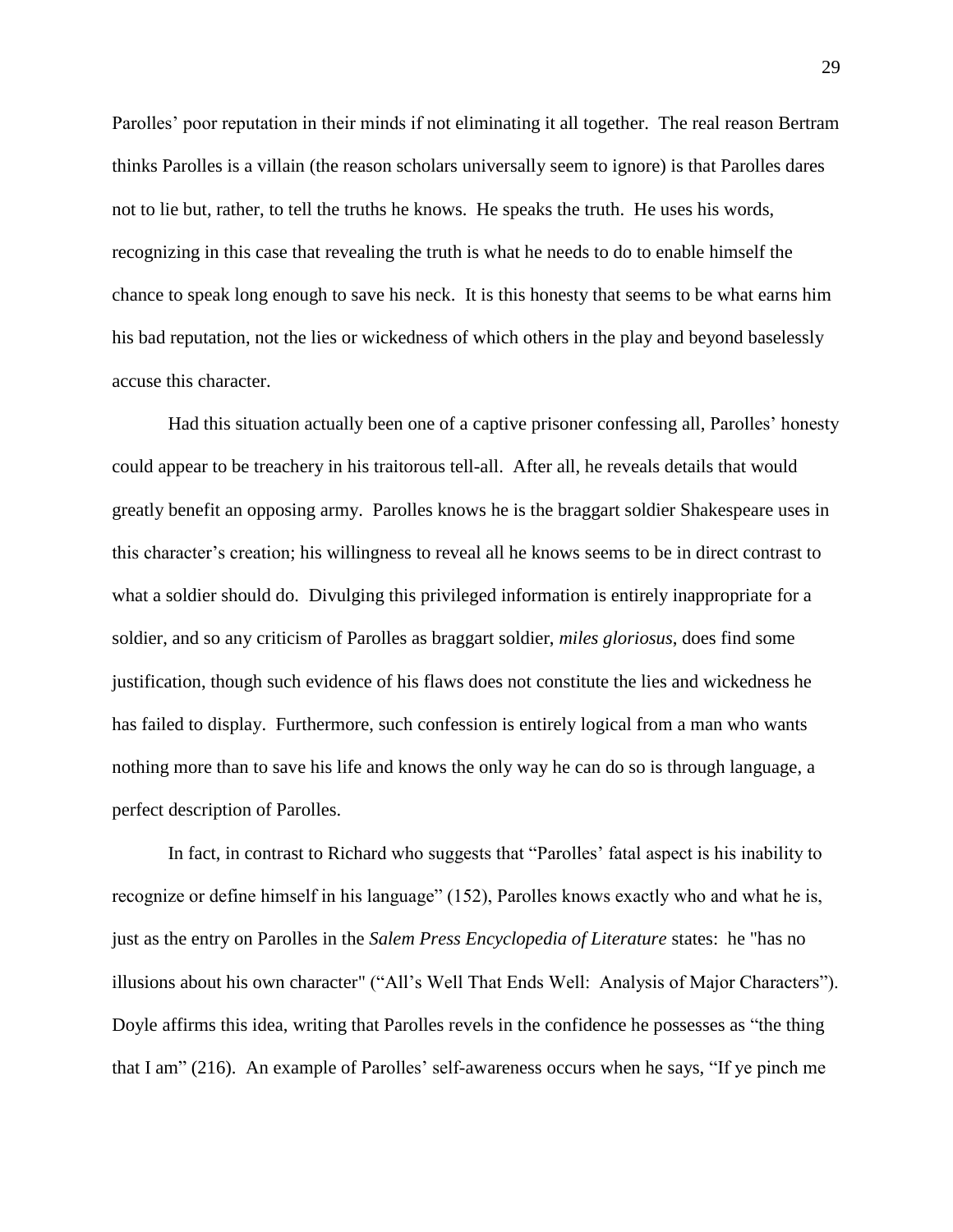Parolles' poor reputation in their minds if not eliminating it all together. The real reason Bertram thinks Parolles is a villain (the reason scholars universally seem to ignore) is that Parolles dares not to lie but, rather, to tell the truths he knows. He speaks the truth. He uses his words, recognizing in this case that revealing the truth is what he needs to do to enable himself the chance to speak long enough to save his neck. It is this honesty that seems to be what earns him his bad reputation, not the lies or wickedness of which others in the play and beyond baselessly accuse this character.

Had this situation actually been one of a captive prisoner confessing all, Parolles' honesty could appear to be treachery in his traitorous tell-all. After all, he reveals details that would greatly benefit an opposing army. Parolles knows he is the braggart soldier Shakespeare uses in this character's creation; his willingness to reveal all he knows seems to be in direct contrast to what a soldier should do. Divulging this privileged information is entirely inappropriate for a soldier, and so any criticism of Parolles as braggart soldier, *miles gloriosus*, does find some justification, though such evidence of his flaws does not constitute the lies and wickedness he has failed to display. Furthermore, such confession is entirely logical from a man who wants nothing more than to save his life and knows the only way he can do so is through language, a perfect description of Parolles.

In fact, in contrast to Richard who suggests that "Parolles' fatal aspect is his inability to recognize or define himself in his language" (152), Parolles knows exactly who and what he is, just as the entry on Parolles in the *Salem Press Encyclopedia of Literature* states: he "has no illusions about his own character" ("All's Well That Ends Well: Analysis of Major Characters"). Doyle affirms this idea, writing that Parolles revels in the confidence he possesses as "the thing that I am" (216). An example of Parolles' self-awareness occurs when he says, "If ye pinch me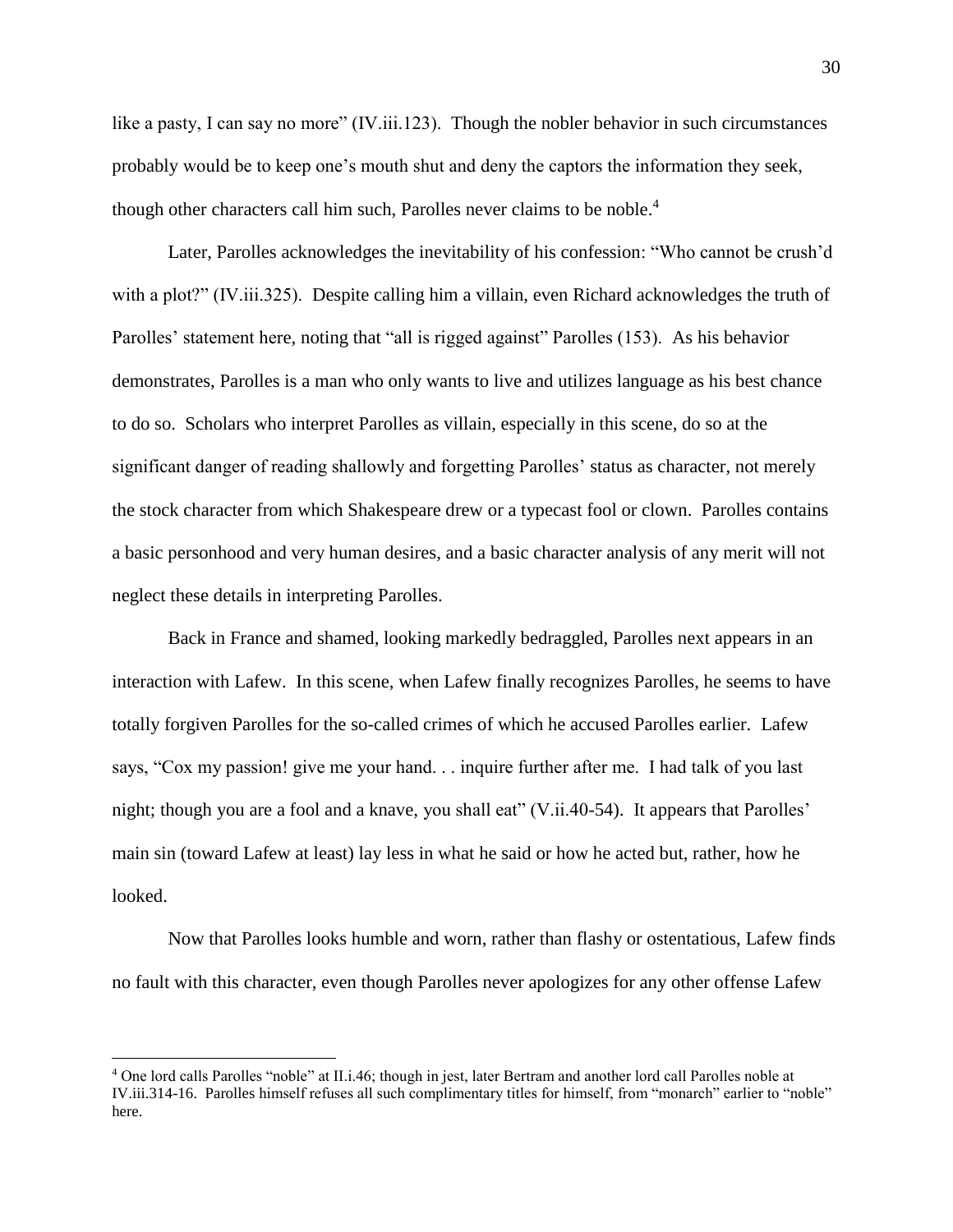like a pasty, I can say no more" (IV.iii.123). Though the nobler behavior in such circumstances probably would be to keep one's mouth shut and deny the captors the information they seek, though other characters call him such, Parolles never claims to be noble.<sup>4</sup>

Later, Parolles acknowledges the inevitability of his confession: "Who cannot be crush'd with a plot?" (IV.iii.325). Despite calling him a villain, even Richard acknowledges the truth of Parolles' statement here, noting that "all is rigged against" Parolles (153). As his behavior demonstrates, Parolles is a man who only wants to live and utilizes language as his best chance to do so. Scholars who interpret Parolles as villain, especially in this scene, do so at the significant danger of reading shallowly and forgetting Parolles' status as character, not merely the stock character from which Shakespeare drew or a typecast fool or clown. Parolles contains a basic personhood and very human desires, and a basic character analysis of any merit will not neglect these details in interpreting Parolles.

Back in France and shamed, looking markedly bedraggled, Parolles next appears in an interaction with Lafew. In this scene, when Lafew finally recognizes Parolles, he seems to have totally forgiven Parolles for the so-called crimes of which he accused Parolles earlier. Lafew says, "Cox my passion! give me your hand. . . inquire further after me. I had talk of you last night; though you are a fool and a knave, you shall eat" (V.ii.40-54). It appears that Parolles' main sin (toward Lafew at least) lay less in what he said or how he acted but, rather, how he looked.

Now that Parolles looks humble and worn, rather than flashy or ostentatious, Lafew finds no fault with this character, even though Parolles never apologizes for any other offense Lafew

 $\overline{a}$ 

<sup>4</sup> One lord calls Parolles "noble" at II.i.46; though in jest, later Bertram and another lord call Parolles noble at IV.iii.314-16. Parolles himself refuses all such complimentary titles for himself, from "monarch" earlier to "noble" here.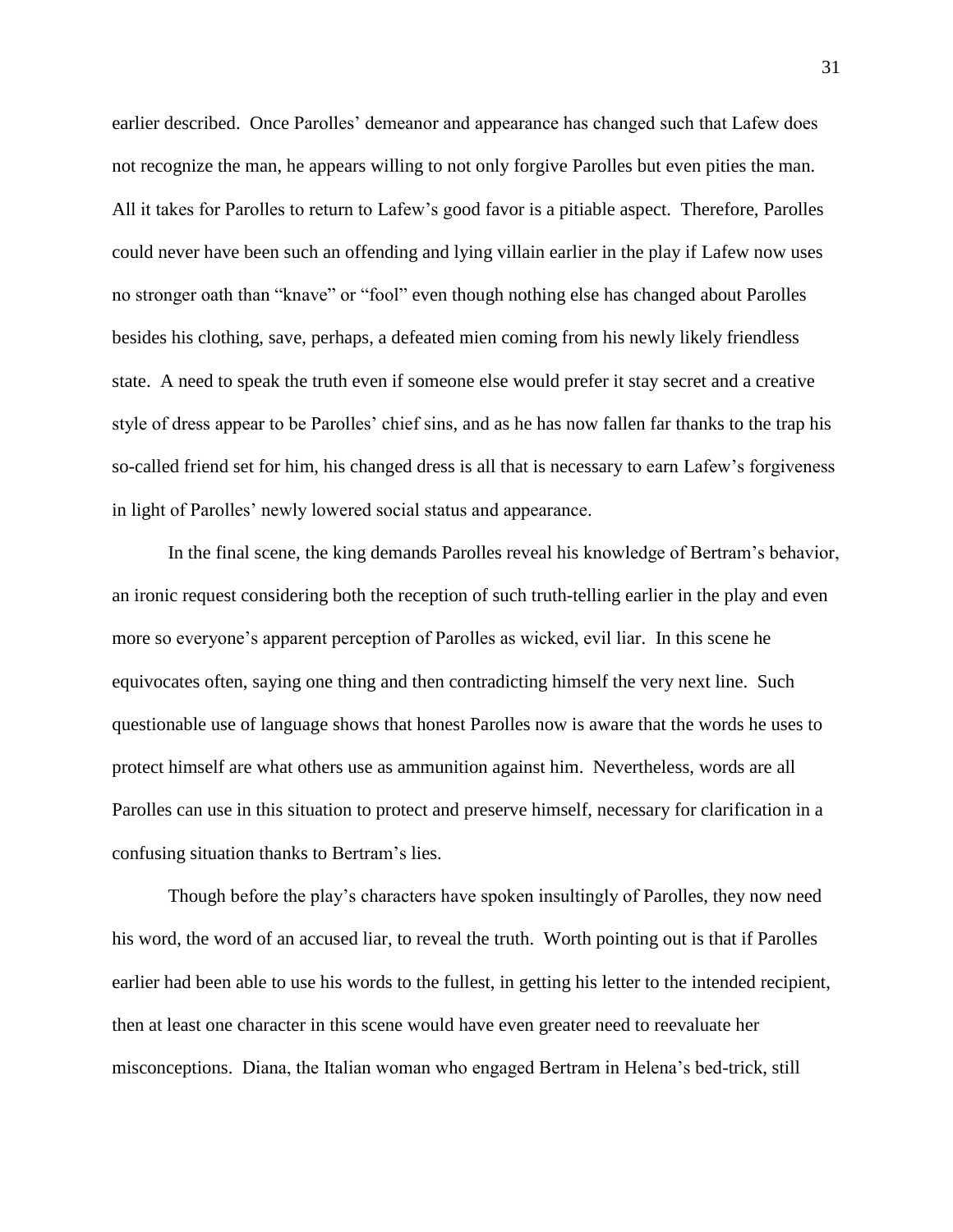earlier described. Once Parolles' demeanor and appearance has changed such that Lafew does not recognize the man, he appears willing to not only forgive Parolles but even pities the man. All it takes for Parolles to return to Lafew's good favor is a pitiable aspect. Therefore, Parolles could never have been such an offending and lying villain earlier in the play if Lafew now uses no stronger oath than "knave" or "fool" even though nothing else has changed about Parolles besides his clothing, save, perhaps, a defeated mien coming from his newly likely friendless state. A need to speak the truth even if someone else would prefer it stay secret and a creative style of dress appear to be Parolles' chief sins, and as he has now fallen far thanks to the trap his so-called friend set for him, his changed dress is all that is necessary to earn Lafew's forgiveness in light of Parolles' newly lowered social status and appearance.

In the final scene, the king demands Parolles reveal his knowledge of Bertram's behavior, an ironic request considering both the reception of such truth-telling earlier in the play and even more so everyone's apparent perception of Parolles as wicked, evil liar. In this scene he equivocates often, saying one thing and then contradicting himself the very next line. Such questionable use of language shows that honest Parolles now is aware that the words he uses to protect himself are what others use as ammunition against him. Nevertheless, words are all Parolles can use in this situation to protect and preserve himself, necessary for clarification in a confusing situation thanks to Bertram's lies.

Though before the play's characters have spoken insultingly of Parolles, they now need his word, the word of an accused liar, to reveal the truth. Worth pointing out is that if Parolles earlier had been able to use his words to the fullest, in getting his letter to the intended recipient, then at least one character in this scene would have even greater need to reevaluate her misconceptions. Diana, the Italian woman who engaged Bertram in Helena's bed-trick, still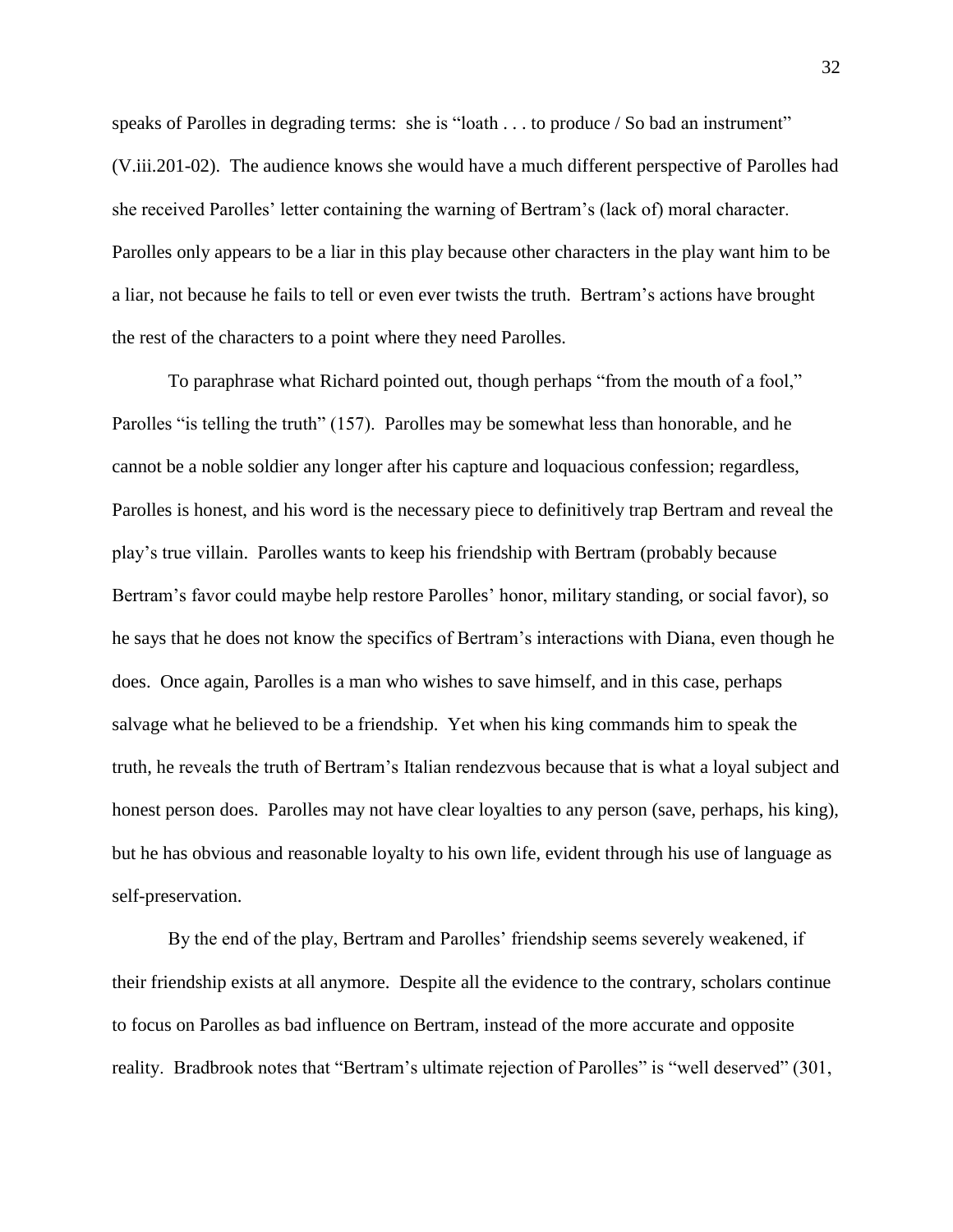speaks of Parolles in degrading terms: she is "loath . . . to produce / So bad an instrument" (V.iii.201-02). The audience knows she would have a much different perspective of Parolles had she received Parolles' letter containing the warning of Bertram's (lack of) moral character. Parolles only appears to be a liar in this play because other characters in the play want him to be a liar, not because he fails to tell or even ever twists the truth. Bertram's actions have brought the rest of the characters to a point where they need Parolles.

To paraphrase what Richard pointed out, though perhaps "from the mouth of a fool," Parolles "is telling the truth" (157). Parolles may be somewhat less than honorable, and he cannot be a noble soldier any longer after his capture and loquacious confession; regardless, Parolles is honest, and his word is the necessary piece to definitively trap Bertram and reveal the play's true villain. Parolles wants to keep his friendship with Bertram (probably because Bertram's favor could maybe help restore Parolles' honor, military standing, or social favor), so he says that he does not know the specifics of Bertram's interactions with Diana, even though he does. Once again, Parolles is a man who wishes to save himself, and in this case, perhaps salvage what he believed to be a friendship. Yet when his king commands him to speak the truth, he reveals the truth of Bertram's Italian rendezvous because that is what a loyal subject and honest person does. Parolles may not have clear loyalties to any person (save, perhaps, his king), but he has obvious and reasonable loyalty to his own life, evident through his use of language as self-preservation.

By the end of the play, Bertram and Parolles' friendship seems severely weakened, if their friendship exists at all anymore. Despite all the evidence to the contrary, scholars continue to focus on Parolles as bad influence on Bertram, instead of the more accurate and opposite reality. Bradbrook notes that "Bertram's ultimate rejection of Parolles" is "well deserved" (301,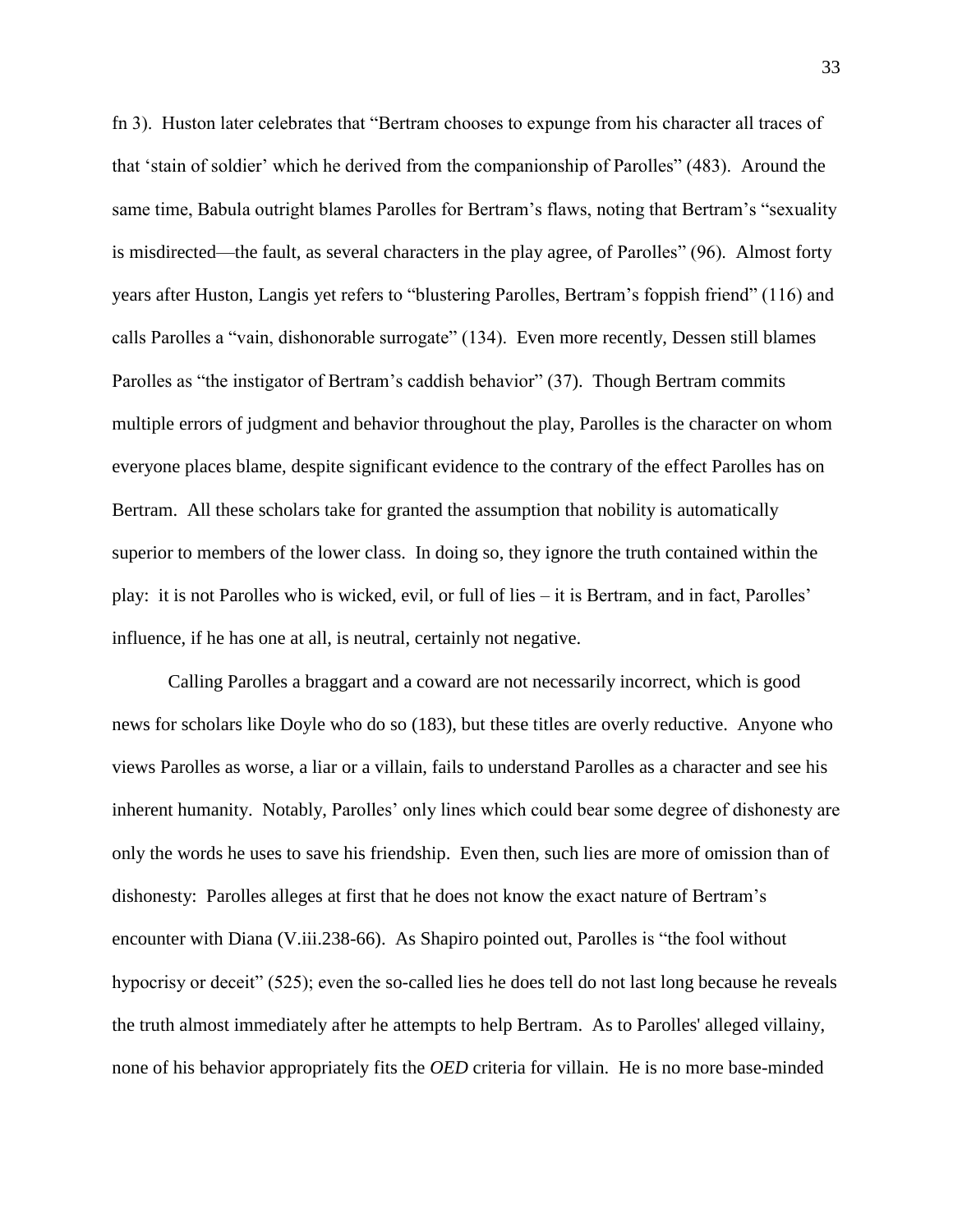fn 3). Huston later celebrates that "Bertram chooses to expunge from his character all traces of that 'stain of soldier' which he derived from the companionship of Parolles" (483). Around the same time, Babula outright blames Parolles for Bertram's flaws, noting that Bertram's "sexuality is misdirected—the fault, as several characters in the play agree, of Parolles" (96). Almost forty years after Huston, Langis yet refers to "blustering Parolles, Bertram's foppish friend" (116) and calls Parolles a "vain, dishonorable surrogate" (134). Even more recently, Dessen still blames Parolles as "the instigator of Bertram's caddish behavior" (37). Though Bertram commits multiple errors of judgment and behavior throughout the play, Parolles is the character on whom everyone places blame, despite significant evidence to the contrary of the effect Parolles has on Bertram. All these scholars take for granted the assumption that nobility is automatically superior to members of the lower class. In doing so, they ignore the truth contained within the play: it is not Parolles who is wicked, evil, or full of lies – it is Bertram, and in fact, Parolles' influence, if he has one at all, is neutral, certainly not negative.

Calling Parolles a braggart and a coward are not necessarily incorrect, which is good news for scholars like Doyle who do so (183), but these titles are overly reductive. Anyone who views Parolles as worse, a liar or a villain, fails to understand Parolles as a character and see his inherent humanity. Notably, Parolles' only lines which could bear some degree of dishonesty are only the words he uses to save his friendship. Even then, such lies are more of omission than of dishonesty: Parolles alleges at first that he does not know the exact nature of Bertram's encounter with Diana (V.iii.238-66). As Shapiro pointed out, Parolles is "the fool without hypocrisy or deceit" (525); even the so-called lies he does tell do not last long because he reveals the truth almost immediately after he attempts to help Bertram. As to Parolles' alleged villainy, none of his behavior appropriately fits the *OED* criteria for villain. He is no more base-minded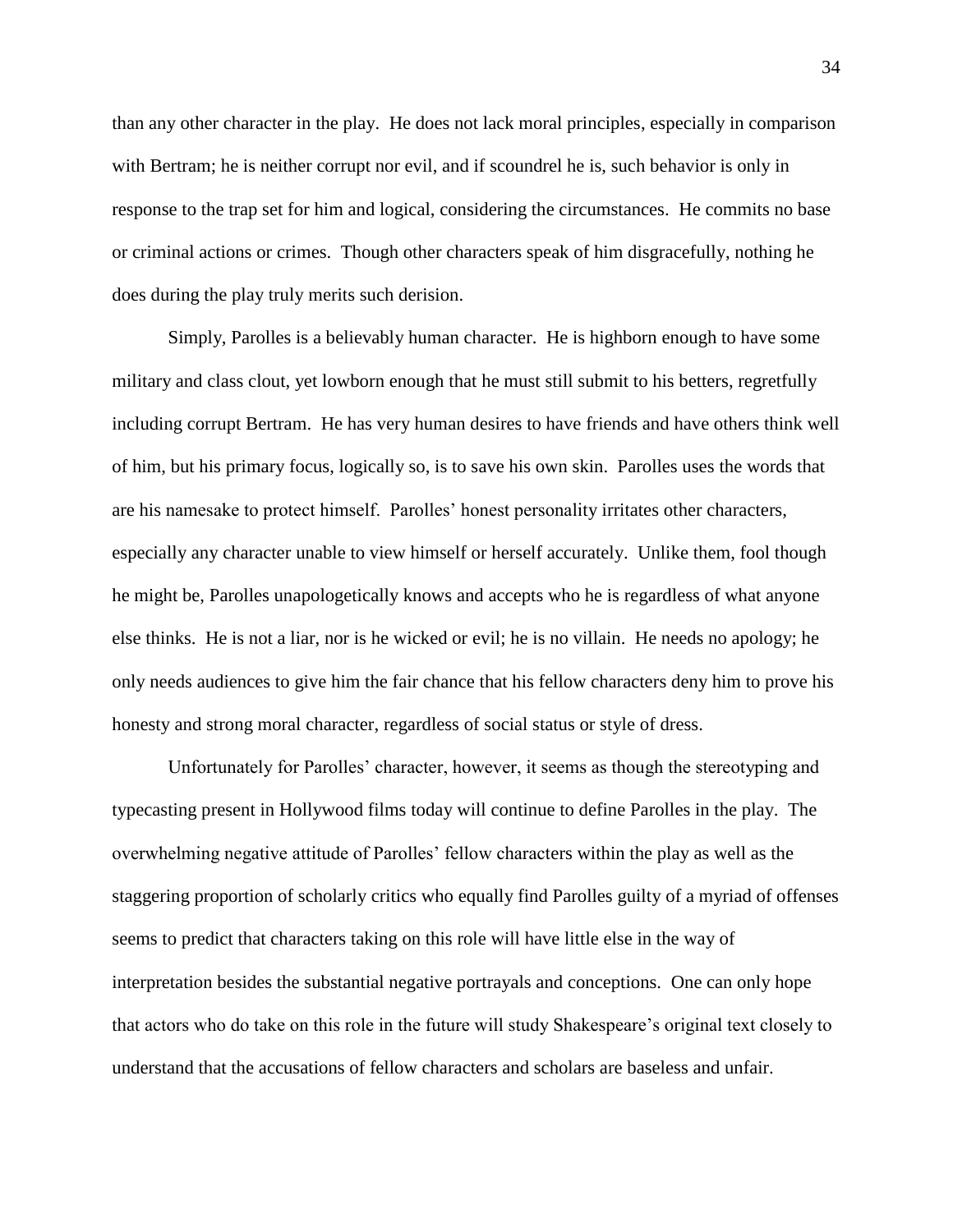than any other character in the play. He does not lack moral principles, especially in comparison with Bertram; he is neither corrupt nor evil, and if scoundrel he is, such behavior is only in response to the trap set for him and logical, considering the circumstances. He commits no base or criminal actions or crimes. Though other characters speak of him disgracefully, nothing he does during the play truly merits such derision.

Simply, Parolles is a believably human character. He is highborn enough to have some military and class clout, yet lowborn enough that he must still submit to his betters, regretfully including corrupt Bertram. He has very human desires to have friends and have others think well of him, but his primary focus, logically so, is to save his own skin. Parolles uses the words that are his namesake to protect himself. Parolles' honest personality irritates other characters, especially any character unable to view himself or herself accurately. Unlike them, fool though he might be, Parolles unapologetically knows and accepts who he is regardless of what anyone else thinks. He is not a liar, nor is he wicked or evil; he is no villain. He needs no apology; he only needs audiences to give him the fair chance that his fellow characters deny him to prove his honesty and strong moral character, regardless of social status or style of dress.

Unfortunately for Parolles' character, however, it seems as though the stereotyping and typecasting present in Hollywood films today will continue to define Parolles in the play. The overwhelming negative attitude of Parolles' fellow characters within the play as well as the staggering proportion of scholarly critics who equally find Parolles guilty of a myriad of offenses seems to predict that characters taking on this role will have little else in the way of interpretation besides the substantial negative portrayals and conceptions. One can only hope that actors who do take on this role in the future will study Shakespeare's original text closely to understand that the accusations of fellow characters and scholars are baseless and unfair.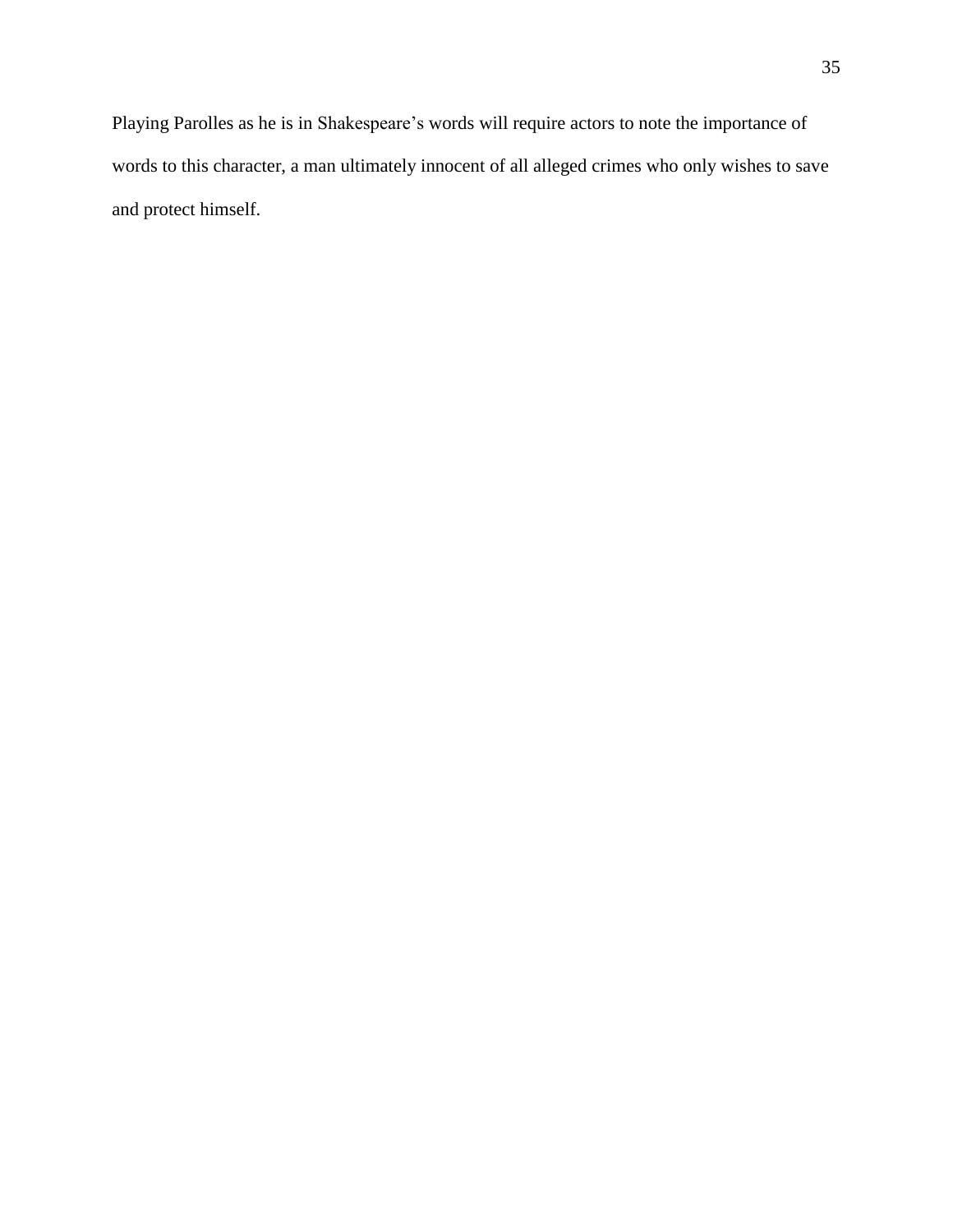Playing Parolles as he is in Shakespeare's words will require actors to note the importance of words to this character, a man ultimately innocent of all alleged crimes who only wishes to save and protect himself.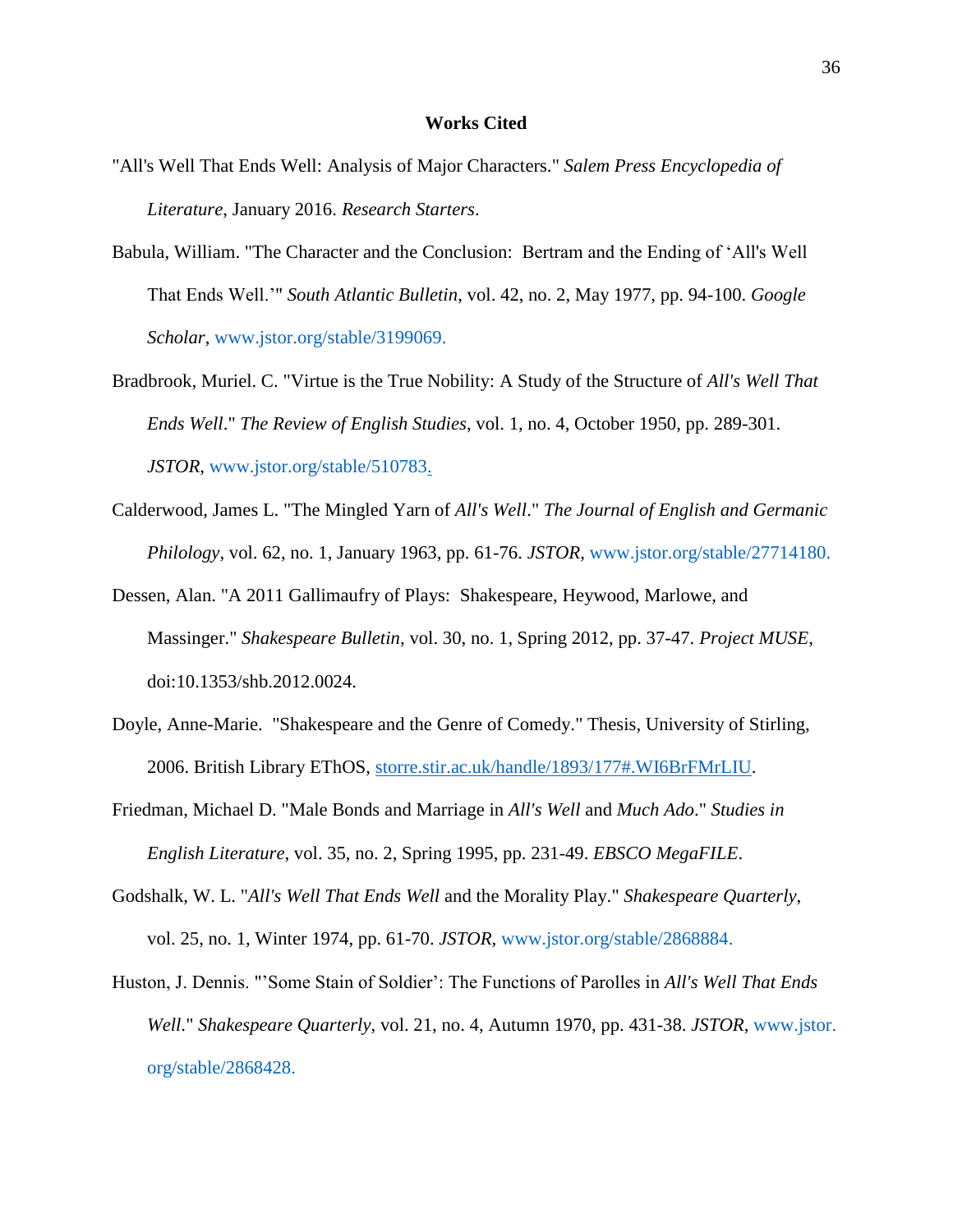## **Works Cited**

- "All's Well That Ends Well: Analysis of Major Characters." *Salem Press Encyclopedia of Literature*, January 2016. *Research Starters*.
- Babula, William. "The Character and the Conclusion: Bertram and the Ending of 'All's Well That Ends Well.'" *South Atlantic Bulletin*, vol. 42, no. 2, May 1977, pp. 94-100. *Google Scholar*, [www.jstor.org/stable/3199069.](http://www.jstor.org/stable/3199069)
- Bradbrook, Muriel. C. "Virtue is the True Nobility: A Study of the Structure of *All's Well That Ends Well*." *The Review of English Studies*, vol. 1, no. 4, October 1950, pp. 289-301. *JSTOR*, [www.jstor.org/stable/510783.](http://www.jstor.org/stable/510783)
- Calderwood, James L. "The Mingled Yarn of *All's Well*." *The Journal of English and Germanic Philology*, vol. 62, no. 1, January 1963, pp. 61-76. *JSTOR*, [www.jstor.org/stable/27714180.](http://www.jstor.org/stable/27714180)
- Dessen, Alan. "A 2011 Gallimaufry of Plays: Shakespeare, Heywood, Marlowe, and Massinger." *Shakespeare Bulletin*, vol. 30, no. 1, Spring 2012, pp. 37-47. *Project MUSE*, doi:10.1353/shb.2012.0024.
- Doyle, Anne-Marie. "Shakespeare and the Genre of Comedy." Thesis, University of Stirling, 2006. British Library EThOS, [storre.stir.ac.uk/handle/1893/177#.WI6BrFMrLIU.](http://storre.stir.ac.uk/handle/1893/177#.WI6BrFMrLIU)
- Friedman, Michael D. "Male Bonds and Marriage in *All's Well* and *Much Ado*." *Studies in English Literature*, vol. 35, no. 2, Spring 1995, pp. 231-49. *EBSCO MegaFILE*.
- Godshalk, W. L. "*All's Well That Ends Well* and the Morality Play." *Shakespeare Quarterly*, vol. 25, no. 1, Winter 1974, pp. 61-70. *JSTOR*, [www.jstor.org/stable/2868884.](http://www.jstor.org/stable/2868884)
- Huston, J. Dennis. "'Some Stain of Soldier': The Functions of Parolles in *All's Well That Ends Well*." *Shakespeare Quarterly*, vol. 21, no. 4, Autumn 1970, pp. 431-38. *JSTOR*, [www.jstor.](http://www.jstor.org/stable/2868428) [org/stable/2868428.](http://www.jstor.org/stable/2868428)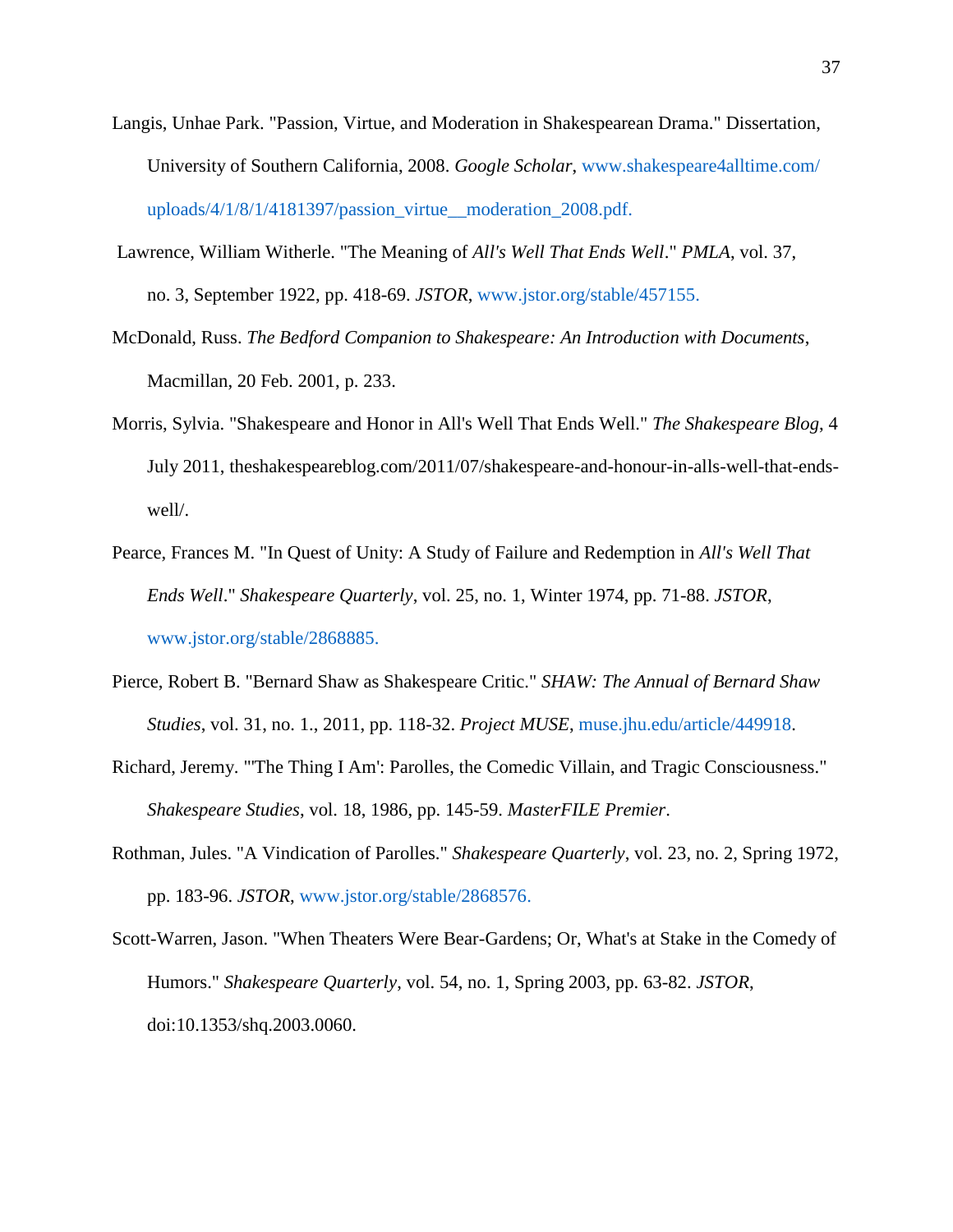- Langis, Unhae Park. "Passion, Virtue, and Moderation in Shakespearean Drama." Dissertation, University of Southern California, 2008. *Google Scholar*, [www.shakespeare4alltime.com/](http://www.shakespeare4alltime.com/uploads/4/1/8/1/4181397/passion_virtue__moderation_2008.pdf) [uploads/4/1/8/1/4181397/passion\\_virtue\\_\\_moderation\\_2008.pdf.](http://www.shakespeare4alltime.com/uploads/4/1/8/1/4181397/passion_virtue__moderation_2008.pdf)
- Lawrence, William Witherle. "The Meaning of *All's Well That Ends Well*." *PMLA*, vol. 37, no. 3, September 1922, pp. 418-69. *JSTOR*, [www.jstor.org/stable/457155.](http://www.jstor.org/stable/457155)
- McDonald, Russ. *The Bedford Companion to Shakespeare: An Introduction with Documents*, Macmillan, 20 Feb. 2001, p. 233.
- Morris, Sylvia. "Shakespeare and Honor in All's Well That Ends Well." *The Shakespeare Blog*, 4 July 2011, theshakespeareblog.com/2011/07/shakespeare-and-honour-in-alls-well-that-endswell/.
- Pearce, Frances M. "In Quest of Unity: A Study of Failure and Redemption in *All's Well That Ends Well*." *Shakespeare Quarterly*, vol. 25, no. 1, Winter 1974, pp. 71-88. *JSTOR*, [www.jstor.org/stable/2868885.](http://www.jstor.org/stable/2868885)
- Pierce, Robert B. "Bernard Shaw as Shakespeare Critic." *SHAW: The Annual of Bernard Shaw Studies*, vol. 31, no. 1., 2011, pp. 118-32. *Project MUSE*, [muse.jhu.edu/article/449918.](http://muse.jhu.edu/article/449918)
- Richard, Jeremy. "'The Thing I Am': Parolles, the Comedic Villain, and Tragic Consciousness." *Shakespeare Studies*, vol. 18, 1986, pp. 145-59. *MasterFILE Premier*.
- Rothman, Jules. "A Vindication of Parolles." *Shakespeare Quarterly*, vol. 23, no. 2, Spring 1972, pp. 183-96. *JSTOR*, [www.jstor.org/stable/2868576.](http://www.jstor.org/stable/2868576)
- Scott-Warren, Jason. "When Theaters Were Bear-Gardens; Or, What's at Stake in the Comedy of Humors." *Shakespeare Quarterly*, vol. 54, no. 1, Spring 2003, pp. 63-82. *JSTOR*, doi:10.1353/shq.2003.0060.